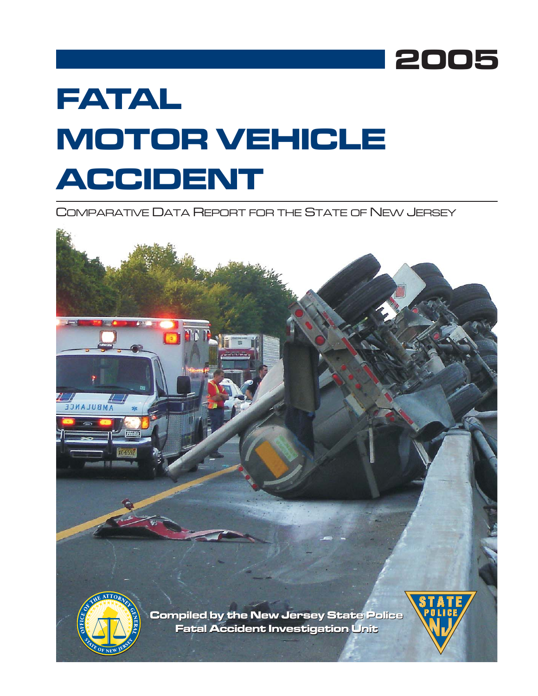

# **FATAL MOTOR VEHICLE ACCIDENT**

COMPARATIVE DATA REPORT FOR THE STATE OF NEW JERSEY

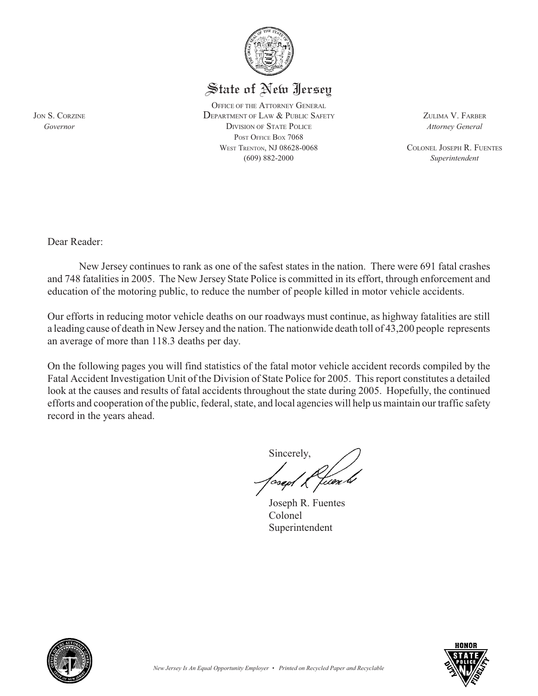

### State of New Jersey

OFFICE OF THE ATTORNEY GENERAL JON S. CORZINE DEPARTMENT OF LAW & PUBLIC SAFETY ZULIMA V. FARBER *Governor* DIVISION OF STATE POLICE *Attorney General* POST OFFICE BOX 7068 WEST TRENTON, NJ 08628-0068 COLONEL JOSEPH R. FUENTES (609) 882-2000 *Superintendent*

Dear Reader:

New Jersey continues to rank as one of the safest states in the nation. There were 691 fatal crashes and 748 fatalities in 2005. The New Jersey State Police is committed in its effort, through enforcement and education of the motoring public, to reduce the number of people killed in motor vehicle accidents.

Our efforts in reducing motor vehicle deaths on our roadways must continue, as highway fatalities are still a leading cause of death in New Jersey and the nation. The nationwide death toll of 43,200 people represents an average of more than 118.3 deaths per day.

On the following pages you will find statistics of the fatal motor vehicle accident records compiled by the Fatal Accident Investigation Unit of the Division of State Police for 2005. This report constitutes a detailed look at the causes and results of fatal accidents throughout the state during 2005. Hopefully, the continued efforts and cooperation of the public, federal, state, and local agencies will help us maintain our traffic safety record in the years ahead.

Sincerely,

Joseph R. Fuentes Colonel Superintendent



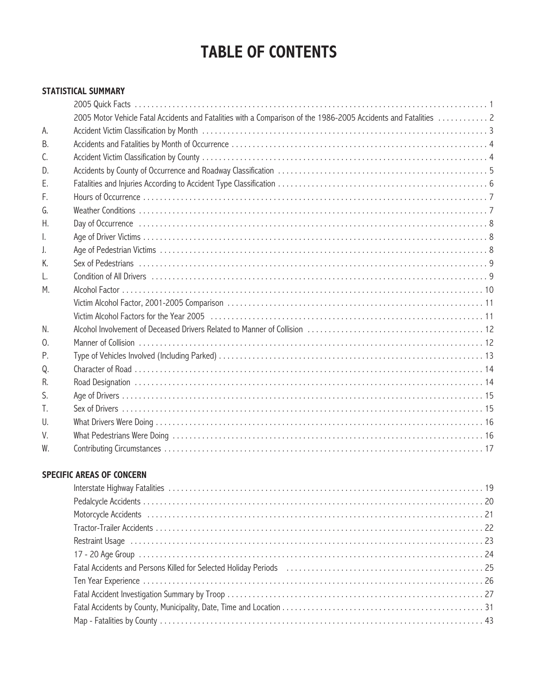## **TABLE OF CONTENTS**

#### **STATISTICAL SUMMARY**

|    | 2005 Motor Vehicle Fatal Accidents and Fatalities with a Comparison of the 1986-2005 Accidents and Fatalities  2 |
|----|------------------------------------------------------------------------------------------------------------------|
| А. |                                                                                                                  |
| В. |                                                                                                                  |
| C. |                                                                                                                  |
| D. |                                                                                                                  |
| Ε. |                                                                                                                  |
| F. |                                                                                                                  |
| G. |                                                                                                                  |
| Η. |                                                                                                                  |
| I. |                                                                                                                  |
| J. |                                                                                                                  |
| K. |                                                                                                                  |
| L. |                                                                                                                  |
| М. |                                                                                                                  |
|    |                                                                                                                  |
|    |                                                                                                                  |
| N. |                                                                                                                  |
| 0. |                                                                                                                  |
| Ρ. |                                                                                                                  |
| Q. |                                                                                                                  |
| R. |                                                                                                                  |
| S. |                                                                                                                  |
| T. |                                                                                                                  |
| U. |                                                                                                                  |
| V. |                                                                                                                  |
| W. |                                                                                                                  |

#### **SPECIFIC AREAS OF CONCERN**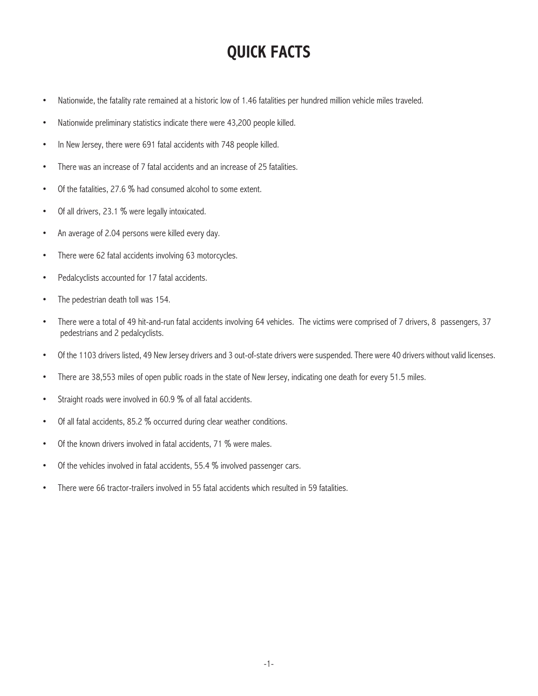## **QUICK FACTS**

- Nationwide, the fatality rate remained at a historic low of 1.46 fatalities per hundred million vehicle miles traveled.
- Nationwide preliminary statistics indicate there were 43,200 people killed.
- In New Jersey, there were 691 fatal accidents with 748 people killed.
- There was an increase of 7 fatal accidents and an increase of 25 fatalities.
- Of the fatalities, 27.6 % had consumed alcohol to some extent.
- Of all drivers, 23.1 % were legally intoxicated.
- An average of 2.04 persons were killed every day.
- There were 62 fatal accidents involving 63 motorcycles.
- Pedalcyclists accounted for 17 fatal accidents.
- The pedestrian death toll was 154.
- There were a total of 49 hit-and-run fatal accidents involving 64 vehicles. The victims were comprised of 7 drivers, 8 passengers, 37 pedestrians and 2 pedalcyclists.
- Of the 1103 drivers listed, 49 New Jersey drivers and 3 out-of-state drivers were suspended. There were 40 drivers without valid licenses.
- There are 38,553 miles of open public roads in the state of New Jersey, indicating one death for every 51.5 miles.
- Straight roads were involved in 60.9 % of all fatal accidents.
- Of all fatal accidents, 85.2 % occurred during clear weather conditions.
- Of the known drivers involved in fatal accidents, 71 % were males.
- Of the vehicles involved in fatal accidents, 55.4 % involved passenger cars.
- There were 66 tractor-trailers involved in 55 fatal accidents which resulted in 59 fatalities.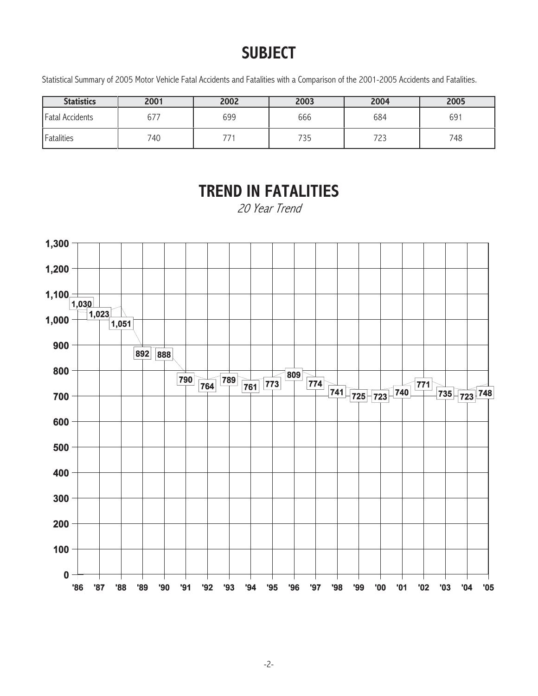## **SUBJECT**

Statistical Summary of 2005 Motor Vehicle Fatal Accidents and Fatalities with a Comparison of the 2001-2005 Accidents and Fatalities.

| <b>Statistics</b>      | 2001 | 2002 | 2003 | 2004 | 2005 |
|------------------------|------|------|------|------|------|
| <b>Fatal Accidents</b> | 677  | 699  | 666  | 684  | 691  |
| Fatalities             | 740  |      | 735  | 723  | 748  |

## **TREND IN FATALITIES**

20 Year Trend

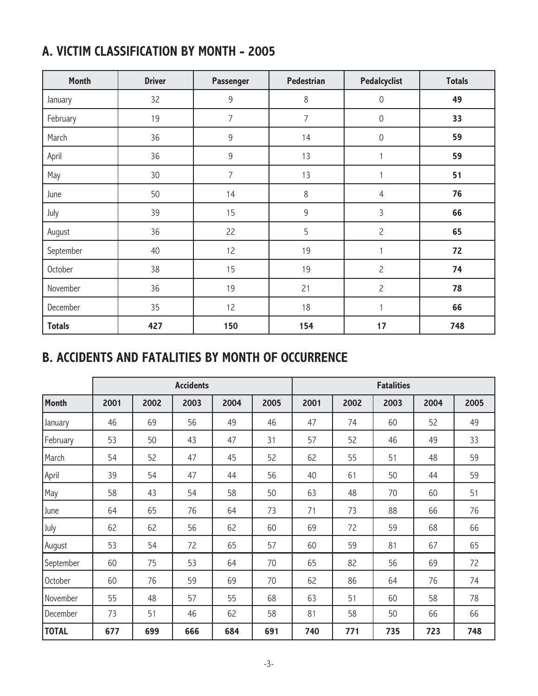|  |  | A. VICTIM CLASSIFICATION BY MONTH - 2005 |  |  |  |
|--|--|------------------------------------------|--|--|--|
|--|--|------------------------------------------|--|--|--|

| <b>Month</b>  | <b>Driver</b>   | Passenger      | <b>Pedestrian</b> | <b>Pedalcyclist</b> | <b>Totals</b> |
|---------------|-----------------|----------------|-------------------|---------------------|---------------|
| January       | 32              | $\mathsf 9$    | 8                 | $\mathbf 0$         | 49            |
| February      | 19              | $\overline{7}$ | $\overline{7}$    | $\mathbf 0$         | 33            |
| March         | 36              | $\mathsf 9$    | 14                | $\mathbf 0$         | 59            |
| April         | 36              | $\mathsf 9$    | 13                | 1                   | 59            |
| May           | 30 <sup>°</sup> | $\overline{7}$ | 13                |                     | 51            |
| June          | 50              | 14             | $\,8\,$           | $\overline{4}$      | 76            |
| July          | 39              | 15             | $\mathsf 9$       | 3                   | 66            |
| August        | 36              | 22             | 5                 | $\overline{c}$      | 65            |
| September     | 40              | 12             | 19                | 1                   | 72            |
| October       | 38              | 15             | 19                | $\overline{c}$      | 74            |
| November      | 36              | 19             | 21                | $\overline{c}$      | 78            |
| December      | 35              | 12             | 18                | $\mathbf{1}$        | 66            |
| <b>Totals</b> | 427             | 150            | 154               | 17                  | 748           |

## **B. ACCIDENTS AND FATALITIES BY MONTH OF OCCURRENCE**

|              |      |      | <b>Accidents</b> |      |      |      |      | <b>Fatalities</b> |      |      |
|--------------|------|------|------------------|------|------|------|------|-------------------|------|------|
| <b>Month</b> | 2001 | 2002 | 2003             | 2004 | 2005 | 2001 | 2002 | 2003              | 2004 | 2005 |
| January      | 46   | 69   | 56               | 49   | 46   | 47   | 74   | 60                | 52   | 49   |
| February     | 53   | 50   | 43               | 47   | 31   | 57   | 52   | 46                | 49   | 33   |
| March        | 54   | 52   | 47               | 45   | 52   | 62   | 55   | 51                | 48   | 59   |
| April        | 39   | 54   | 47               | 44   | 56   | 40   | 61   | 50                | 44   | 59   |
| May          | 58   | 43   | 54               | 58   | 50   | 63   | 48   | 70                | 60   | 51   |
| June         | 64   | 65   | 76               | 64   | 73   | 71   | 73   | 88                | 66   | 76   |
| July         | 62   | 62   | 56               | 62   | 60   | 69   | 72   | 59                | 68   | 66   |
| August       | 53   | 54   | 72               | 65   | 57   | 60   | 59   | 81                | 67   | 65   |
| September    | 60   | 75   | 53               | 64   | 70   | 65   | 82   | 56                | 69   | 72   |
| October      | 60   | 76   | 59               | 69   | 70   | 62   | 86   | 64                | 76   | 74   |
| November     | 55   | 48   | 57               | 55   | 68   | 63   | 51   | 60                | 58   | 78   |
| December     | 73   | 51   | 46               | 62   | 58   | 81   | 58   | 50                | 66   | 66   |
| <b>TOTAL</b> | 677  | 699  | 666              | 684  | 691  | 740  | 771  | 735               | 723  | 748  |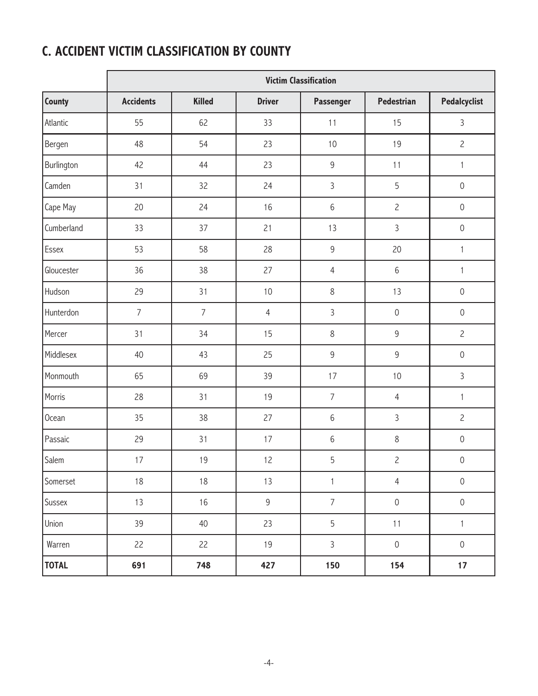### **C. ACCIDENT VICTIM CLASSIFICATION BY COUNTY**

|              | <b>Victim Classification</b> |                |                |                |                     |                     |  |  |
|--------------|------------------------------|----------------|----------------|----------------|---------------------|---------------------|--|--|
| County       | <b>Accidents</b>             | <b>Killed</b>  | <b>Driver</b>  | Passenger      | <b>Pedestrian</b>   | <b>Pedalcyclist</b> |  |  |
| Atlantic     | 55                           | 62             | 33             | 11             | 15                  | $\overline{3}$      |  |  |
| Bergen       | 48                           | 54             | 23             | 10             | 19                  | $\overline{c}$      |  |  |
| Burlington   | 42                           | 44             | 23             | $\mathsf 9$    | 11                  | $\mathbf{1}$        |  |  |
| Camden       | 31                           | 32             | 24             | $\mathfrak{Z}$ | 5                   | $\mathbf 0$         |  |  |
| Cape May     | 20                           | 24             | 16             | $6\,$          | $\overline{c}$      | $\mathbf 0$         |  |  |
| Cumberland   | 33                           | 37             | 21             | 13             | 3                   | $\mathbf 0$         |  |  |
| Essex        | 53                           | 58             | 28             | $\mathsf 9$    | 20                  | $\mathbf{1}$        |  |  |
| Gloucester   | 36                           | 38             | 27             | $\overline{4}$ | 6                   | $\mathbf{1}$        |  |  |
| Hudson       | 29                           | 31             | 10             | $8\,$          | 13                  | $\mathbf 0$         |  |  |
| Hunterdon    | $\overline{7}$               | $\overline{7}$ | $\overline{4}$ | $\mathsf{3}$   | $\mathbf 0$         | $\mathbf 0$         |  |  |
| Mercer       | 31                           | 34             | 15             | $8\,$          | 9                   | $\overline{c}$      |  |  |
| Middlesex    | 40                           | 43             | 25             | $\mathsf 9$    | 9                   | $\mathbf 0$         |  |  |
| Monmouth     | 65                           | 69             | 39             | 17             | 10                  | $\overline{3}$      |  |  |
| Morris       | 28                           | 31             | 19             | $\overline{7}$ | $\overline{4}$      | $\mathbf{1}$        |  |  |
| Ocean        | 35                           | 38             | 27             | $6\,$          | 3                   | $\overline{c}$      |  |  |
| Passaic      | 29                           | 31             | 17             | $6\,$          | $\,8\,$             | $\mathbf 0$         |  |  |
| Salem        | 17                           | 19             | 12             | 5              | $\overline{2}$      | $\mathbf 0$         |  |  |
| Somerset     | 18                           | $18$           | $13$           | $\mathbf{1}$   | $\overline{4}$      | $\,0\,$             |  |  |
| Sussex       | 13                           | $16$           | $\overline{9}$ | $\overline{7}$ | $\mathsf{O}\xspace$ | $\,0\,$             |  |  |
| Union        | 39                           | 40             | 23             | $\overline{5}$ | 11                  | $\mathbf{1}$        |  |  |
| Warren       | 22                           | 22             | 19             | $\mathsf{3}$   | $\mathsf{O}\xspace$ | $\mathsf{O}\xspace$ |  |  |
| <b>TOTAL</b> | 691                          | 748            | 427            | 150            | 154                 | 17                  |  |  |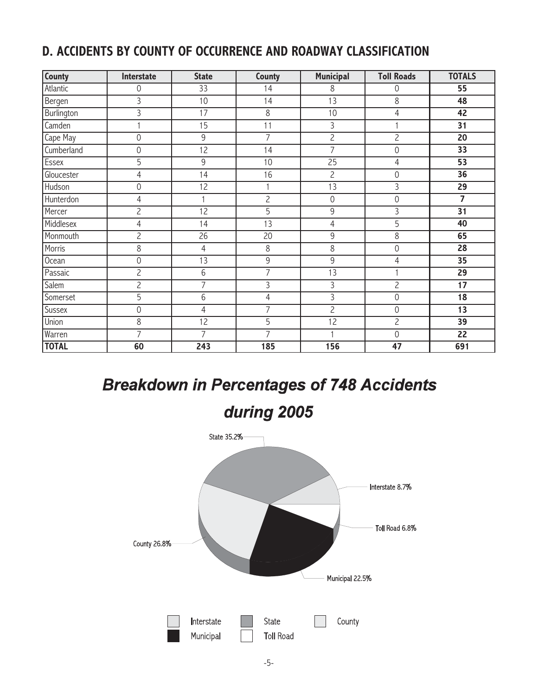#### **D. ACCIDENTS BY COUNTY OF OCCURRENCE AND ROADWAY CLASSIFICATION**

| County        | Interstate     | <b>State</b>   | County         | <b>Municipal</b> | <b>Toll Roads</b> | <b>TOTALS</b>   |
|---------------|----------------|----------------|----------------|------------------|-------------------|-----------------|
| Atlantic      | 0              | 33             | 14             | 8                | $\mathbf 0$       | 55              |
| Bergen        | 3              | 10             | 14             | 13               | 8                 | 48              |
| Burlington    | 3              | 17             | 8              | 10               | $\overline{4}$    | 42              |
| Camden        | 1              | 15             | 11             | 3                | $\mathbf{1}$      | 31              |
| Cape May      | $\overline{0}$ | $\overline{9}$ | $\overline{7}$ | $\overline{2}$   | $\overline{2}$    | $\overline{20}$ |
| Cumberland    | 0              | 12             | 14             | $\overline{7}$   | $\mathbf 0$       | $\overline{33}$ |
| Essex         | 5              | 9              | 10             | 25               | $\overline{4}$    | 53              |
| Gloucester    | $\overline{4}$ | 14             | 16             | $\overline{c}$   | $\mathbf 0$       | 36              |
| Hudson        | 0              | 12             |                | 13               | $\mathsf{3}$      | 29              |
| Hunterdon     | 4              | $\mathbf{1}$   | $\overline{2}$ | $\overline{0}$   | $\overline{0}$    | $\overline{7}$  |
| Mercer        | $\overline{c}$ | 12             | $\overline{5}$ | 9                | 3                 | $\overline{31}$ |
| Middlesex     | 4              | 14             | 13             | 4                | 5                 | 40              |
| Monmouth      | $\overline{c}$ | 26             | 20             | 9                | 8                 | 65              |
| Morris        | 8              | $\overline{4}$ | $\,8\,$        | 8                | $\overline{0}$    | 28              |
| Ocean         | 0              | 13             | 9              | 9                | $\overline{4}$    | 35              |
| Passaic       | $\overline{c}$ | 6              | 7              | $\overline{13}$  | $\mathbf{1}$      | $\overline{29}$ |
| Salem         | $\overline{2}$ | $\overline{7}$ | 3              | 3                | $\overline{c}$    | 17              |
| Somerset      | 5              | 6              | 4              | 3                | $\overline{0}$    | 18              |
| <b>Sussex</b> | 0              | $\overline{4}$ | $\overline{7}$ | $\overline{2}$   | $\overline{0}$    | $\overline{13}$ |
| Union         | 8              | 12             | $\overline{5}$ | 12               | $\overline{c}$    | $\overline{39}$ |
| Warren        | $\overline{7}$ | 7              | 7              |                  | $\overline{0}$    | 22              |
| <b>TOTAL</b>  | 60             | 243            | 185            | 156              | 47                | 691             |

## **Breakdown in Percentages of 748 Accidents**

during 2005

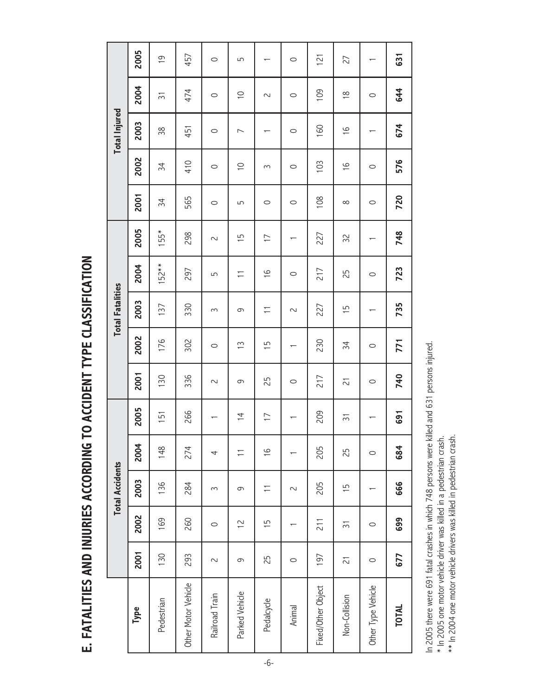E. FATALITIES AND INJURIES ACCORDING TO ACCIDENT TYPE CLASSIFICATION **E. FATALITIES AND INJURIES ACCORDING TO ACCIDENT TYPE CLASSIFICATION**

|                     |         |                | <b>Total Accidents</b> |                |                |                |               | <b>Total Fatalities</b> |               |                               |          |               | <b>Total Injured</b>     |                |                |
|---------------------|---------|----------------|------------------------|----------------|----------------|----------------|---------------|-------------------------|---------------|-------------------------------|----------|---------------|--------------------------|----------------|----------------|
| Type                | 2001    | 2002           | 2003                   | 2004           | 2005           | 2001           | 2002          | 2003                    | 2004          | 2005                          | 2001     | 2002          | 2003                     | 2004           | 2005           |
| Pedestrian          | 130     | 169            | 136                    | 148            | 51             | $\infty$       | 176           | 137                     | $152**$       | $155*$                        | 34       | 34            | 38                       | $\overline{5}$ | $\overline{0}$ |
| Other Motor Vehicle | 293     | 260            | 284                    | 274            | 266            | 336            | 302           | 330                     | 297           | 298                           | 565      | 410           | 451                      | 474            | 457            |
| Railroad Train      | 2       | $\circ$        | 3                      | 4              |                | $\sim$         | $\circ$       | $\infty$                | 5             | 2                             | $\circ$  | $\circ$       | $\circ$                  | $\circ$        | $\circ$        |
| Parked Vehicle      | 9       | $\tilde{c}$    | 9                      | $\overline{-}$ | $\overline{4}$ | 9              | $\tilde{=}$   | 9                       | Ξ             | 5<br>$\overline{\phantom{0}}$ | 5        | $\supseteq$   | $\overline{\phantom{0}}$ | $\supseteq$    | 5              |
| Pedalcycle          | 25      | $\frac{5}{1}$  | Ξ                      | $\frac{9}{1}$  | $\overline{1}$ | 25             | $\frac{5}{1}$ | Ξ                       | $\frac{9}{1}$ | $\overline{1}$                | $\circ$  | 3             |                          | 2              |                |
| Animal              | $\circ$ |                | $\sim$                 |                |                | $\circ$        |               | $\sim$                  | $\circ$       |                               | $\circ$  | $\circ$       | $\circ$                  | $\circ$        | $\circ$        |
| Fixed/Other Object  | 197     | 211            | 205                    | 205            | 209            | 217            | 230           | 227                     | 217           | 227                           | 108      | 103           | 160                      | 109            | 121            |
| Non-Collision       | 21      | $\overline{5}$ | $\frac{1}{2}$          | 25             | $\overline{5}$ | $\overline{c}$ | 34            | 5                       | 25            | 32                            | $\infty$ | $\frac{9}{1}$ | $\frac{9}{1}$            | $\frac{8}{1}$  | 27             |
| Other Type Vehicle  | $\circ$ | $\circ$        |                        | $\circ$        |                | $\circ$        | $\circ$       |                         | $\circ$       |                               | $\circ$  | $\circ$       |                          | $\circ$        |                |
| <b>TOTAL</b>        | 677     | 699            | 666                    | 684            | 691            | 740            | 771           | 735                     | 723           | 748                           | 720      | 576           | 674                      | 644            | 631            |

In 2005 there were 691 fatal crashes in which 748 persons were killed and 631 persons injured. In 2005 there were 691 fatal crashes in which 748 persons were killed and 631 persons injured.

\* In 2005 one motor vehicle driver was killed in a pedestrian crash.<br>\*\* In 2004 one motor vehicle drivers was killed in pedestrian crash. \*\* In 2004 one motor vehicle drivers was killed in pedestrian crash.\* In 2005 one motor vehicle driver was killed in a pedestrian crash.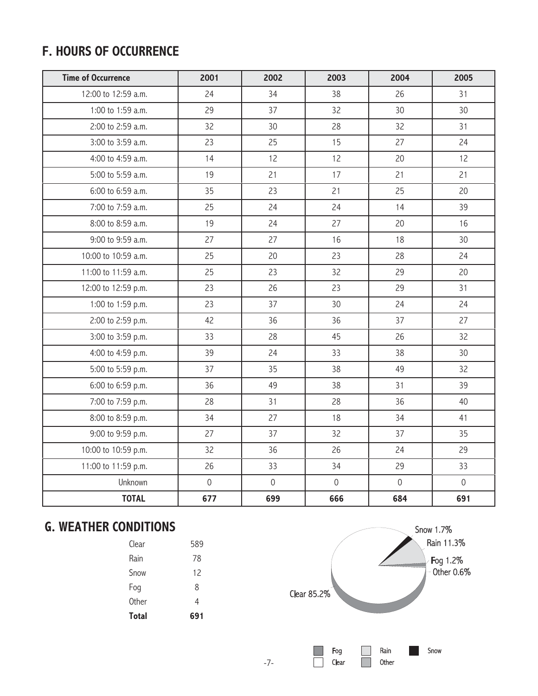### **F. HOURS OF OCCURRENCE**

| <b>Time of Occurrence</b> | 2001                | 2002                | 2003           | 2004        | 2005           |
|---------------------------|---------------------|---------------------|----------------|-------------|----------------|
| 12:00 to 12:59 a.m.       | 24                  | 34                  | 38             | 26          | 31             |
| 1:00 to 1:59 a.m.         | 29                  | 37                  | 32             | 30          | 30             |
| 2:00 to 2:59 a.m.         | 32                  | 30                  | 28             | 32          | 31             |
| 3:00 to 3:59 a.m.         | 23                  | 25                  | 15             | 27          | 24             |
| 4:00 to 4:59 a.m.         | 14                  | 12                  | 12             | 20          | 12             |
| 5:00 to 5:59 a.m.         | 19                  | 21                  | 17             | 21          | 21             |
| 6:00 to 6:59 a.m.         | 35                  | 23                  | 21             | 25          | 20             |
| 7:00 to 7:59 a.m.         | 25                  | 24                  | 24             | 14          | 39             |
| 8:00 to 8:59 a.m.         | 19                  | 24                  | 27             | 20          | 16             |
| 9:00 to 9:59 a.m.         | 27                  | 27                  | 16             | 18          | 30             |
| 10:00 to 10:59 a.m.       | 25                  | 20                  | 23             | 28          | 24             |
| 11:00 to 11:59 a.m.       | 25                  | 23                  | 32             | 29          | 20             |
| 12:00 to 12:59 p.m.       | 23                  | 26                  | 23             | 29          | 31             |
| 1:00 to 1:59 p.m.         | 23                  | 37                  | 30             | 24          | 24             |
| 2:00 to 2:59 p.m.         | 42                  | 36                  | 36             | 37          | 27             |
| 3:00 to 3:59 p.m.         | 33                  | 28                  | 45             | 26          | 32             |
| 4:00 to 4:59 p.m.         | 39                  | 24                  | 33             | 38          | 30             |
| 5:00 to 5:59 p.m.         | 37                  | 35                  | 38             | 49          | 32             |
| 6:00 to 6:59 p.m.         | 36                  | 49                  | 38             | 31          | 39             |
| 7:00 to 7:59 p.m.         | 28                  | 31                  | 28             | 36          | 40             |
| 8:00 to 8:59 p.m.         | 34                  | 27                  | 18             | 34          | 41             |
| 9:00 to 9:59 p.m.         | 27                  | 37                  | 32             | 37          | 35             |
| 10:00 to 10:59 p.m.       | 32                  | 36                  | 26             | 24          | 29             |
| 11:00 to 11:59 p.m.       | 26                  | 33                  | 34             | 29          | 33             |
| Unknown                   | $\mathsf{O}\xspace$ | $\mathsf{O}\xspace$ | $\overline{0}$ | $\mathbf 0$ | $\overline{0}$ |
| <b>TOTAL</b>              | 677                 | 699                 | 666            | 684         | 691            |

### **G. WEATHER CONDITIONS**

| <b>Total</b> | 691 |
|--------------|-----|
| <b>Other</b> | 4   |
| Fog          | 8   |
| Snow         | 12  |
| Rain         | 78  |
| Clear        | 589 |

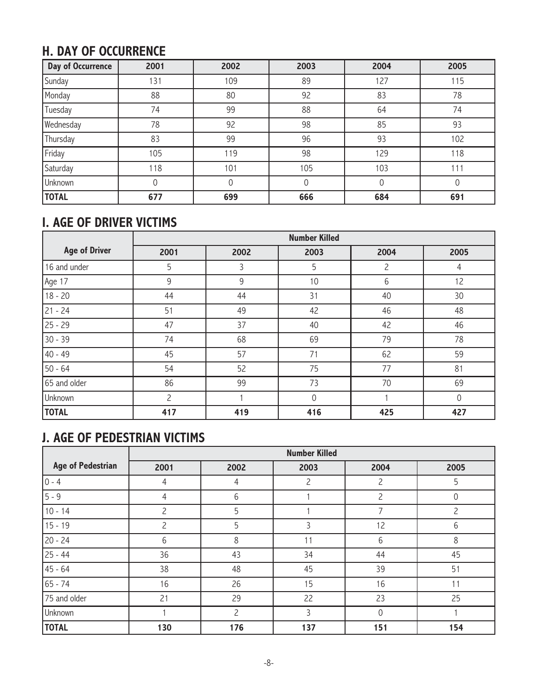### **H. DAY OF OCCURRENCE**

| <b>Day of Occurrence</b> | 2001        | 2002 | 2003 | 2004     | 2005 |
|--------------------------|-------------|------|------|----------|------|
| Sunday                   | 131         | 109  | 89   | 127      | 115  |
| Monday                   | 88          | 80   | 92   | 83       | 78   |
| Tuesday                  | 74          | 99   | 88   | 64       | 74   |
| Wednesday                | 78          | 92   | 98   | 85       | 93   |
| Thursday                 | 83          | 99   | 96   | 93       | 102  |
| Friday                   | 105         | 119  | 98   | 129      | 118  |
| Saturday                 | 118         | 101  | 105  | 103      | 111  |
| Unknown                  | $\mathbf 0$ | 0    | 0    | $\Omega$ | 0    |
| <b>TOTAL</b>             | 677         | 699  | 666  | 684      | 691  |

#### **I. AGE OF DRIVER VICTIMS**

|                      |                |      | <b>Number Killed</b> |      |          |
|----------------------|----------------|------|----------------------|------|----------|
| <b>Age of Driver</b> | 2001           | 2002 | 2003                 | 2004 | 2005     |
| 16 and under         | 5              | 3    | 5                    | 2    | 4        |
| Age 17               | 9              | 9    | 10                   | 6    | 12       |
| $18 - 20$            | 44             | 44   | 31                   | 40   | 30       |
| $21 - 24$            | 51             | 49   | 42                   | 46   | 48       |
| $25 - 29$            | 47             | 37   | 40                   | 42   | 46       |
| $30 - 39$            | 74             | 68   | 69                   | 79   | 78       |
| $40 - 49$            | 45             | 57   | 71                   | 62   | 59       |
| $50 - 64$            | 54             | 52   | 75                   | 77   | 81       |
| 65 and older         | 86             | 99   | 73                   | 70   | 69       |
| Unknown              | $\overline{c}$ |      | $\Omega$             |      | $\Omega$ |
| <b>TOTAL</b>         | 417            | 419  | 416                  | 425  | 427      |

### **J. AGE OF PEDESTRIAN VICTIMS**

|                          |                |                | <b>Number Killed</b> |                |      |
|--------------------------|----------------|----------------|----------------------|----------------|------|
| <b>Age of Pedestrian</b> | 2001           | 2002           | 2003                 | 2004           | 2005 |
| $0 - 4$                  | 4              | 4              | $\overline{c}$       | $\overline{c}$ | 5    |
| $5 - 9$                  | 4              | 6              |                      | $\overline{c}$ | 0    |
| $10 - 14$                | $\overline{c}$ | 5              |                      | 7              | 2    |
| $15 - 19$                | $\overline{c}$ | 5              | 3                    | 12             | 6    |
| $20 - 24$                | 6              | 8              | 11                   | 6              | 8    |
| $25 - 44$                | 36             | 43             | 34                   | 44             | 45   |
| 45 - 64                  | 38             | 48             | 45                   | 39             | 51   |
| $65 - 74$                | 16             | 26             | 15                   | 16             | 11   |
| 75 and older             | 21             | 29             | 22                   | 23             | 25   |
| Unknown                  |                | $\overline{c}$ | 3                    | $\mathbf 0$    |      |
| <b>TOTAL</b>             | 130            | 176            | 137                  | 151            | 154  |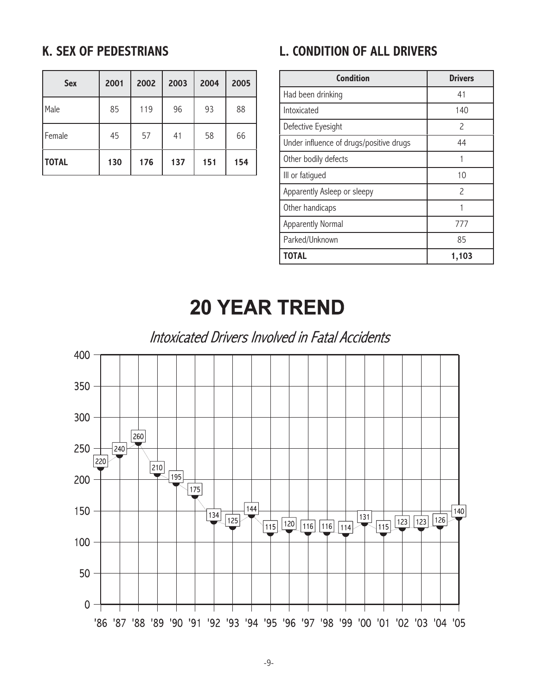#### **K. SEX OF PEDESTRIANS**

| <b>Sex</b>   | 2001 | 2002 | 2003 | 2004 | 2005 |
|--------------|------|------|------|------|------|
| Male         | 85   | 119  | 96   | 93   | 88   |
| Female       | 45   | 57   | 41   | 58   | 66   |
| <b>TOTAL</b> | 130  | 176  | 137  | 151  | 154  |

### **L. CONDITION OF ALL DRIVERS**

| <b>Condition</b>                        | <b>Drivers</b> |
|-----------------------------------------|----------------|
| Had been drinking                       | 41             |
| Intoxicated                             | 140            |
| Defective Eyesight                      | 2              |
| Under influence of drugs/positive drugs | 44             |
| Other bodily defects                    |                |
| III or fatigued                         | 10             |
| Apparently Asleep or sleepy             | $\mathcal{P}$  |
| Other handicaps                         |                |
| <b>Apparently Normal</b>                | 777            |
| Parked/Unknown                          | 85             |
| TOTAL                                   | 1,103          |

## **20 YEAR TREND**

Intoxicated Drivers Involved in Fatal Accidents

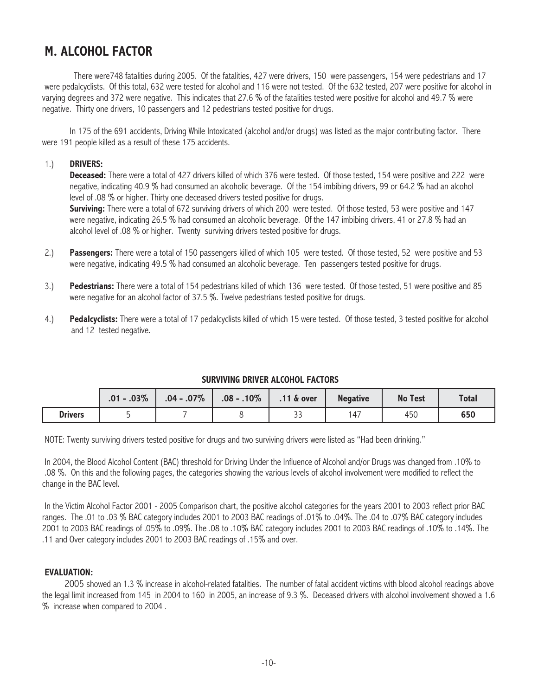#### **M. ALCOHOL FACTOR**

There were748 fatalities during 2005. Of the fatalities, 427 were drivers, 150 were passengers, 154 were pedestrians and 17 were pedalcyclists. Of this total, 632 were tested for alcohol and 116 were not tested. Of the 632 tested, 207 were positive for alcohol in varying degrees and 372 were negative. This indicates that 27.6 % of the fatalities tested were positive for alcohol and 49.7 % were negative. Thirty one drivers, 10 passengers and 12 pedestrians tested positive for drugs.

In 175 of the 691 accidents, Driving While Intoxicated (alcohol and/or drugs) was listed as the major contributing factor. There were 191 people killed as a result of these 175 accidents.

#### 1.) **DRIVERS:**

**Deceased:** There were a total of 427 drivers killed of which 376 were tested. Of those tested, 154 were positive and 222 were negative, indicating 40.9 % had consumed an alcoholic beverage. Of the 154 imbibing drivers, 99 or 64.2 % had an alcohol level of .08 % or higher. Thirty one deceased drivers tested positive for drugs.

**Surviving:** There were a total of 672 surviving drivers of which 200 were tested. Of those tested, 53 were positive and 147 were negative, indicating 26.5 % had consumed an alcoholic beverage. Of the 147 imbibing drivers, 41 or 27.8 % had an alcohol level of .08 % or higher. Twenty surviving drivers tested positive for drugs.

- 2.) **Passengers:** There were a total of 150 passengers killed of which 105 were tested. Of those tested, 52 were positive and 53 were negative, indicating 49.5 % had consumed an alcoholic beverage. Ten passengers tested positive for drugs.
- 3.) **Pedestrians:** There were a total of 154 pedestrians killed of which 136 were tested. Of those tested, 51 were positive and 85 were negative for an alcohol factor of 37.5 %. Twelve pedestrians tested positive for drugs.
- 4.) **Pedalcyclists:** There were a total of 17 pedalcyclists killed of which 15 were tested. Of those tested, 3 tested positive for alcohol and 12 tested negative.

#### **SURVIVING DRIVER ALCOHOL FACTORS**

|                | $.01 - .03\%$ | $.04 - .07\%$ | $.08 - .10\%$ | $.11$ $\&$ over      | <b>Negative</b> | <b>No Test</b> | <b>Total</b> |
|----------------|---------------|---------------|---------------|----------------------|-----------------|----------------|--------------|
| <b>Drivers</b> |               |               |               | $\sim$ $\sim$<br>ر ر | $14^{-}$        | 450            | 650          |

NOTE: Twenty surviving drivers tested positive for drugs and two surviving drivers were listed as "Had been drinking."

In 2004, the Blood Alcohol Content (BAC) threshold for Driving Under the Influence of Alcohol and/or Drugs was changed from .10% to .08 %. On this and the following pages, the categories showing the various levels of alcohol involvement were modified to reflect the change in the BAC level.

In the Victim Alcohol Factor 2001 - 2005 Comparison chart, the positive alcohol categories for the years 2001 to 2003 reflect prior BAC ranges. The .01 to .03 % BAC category includes 2001 to 2003 BAC readings of .01% to .04%. The .04 to .07% BAC category includes 2001 to 2003 BAC readings of .05% to .09%. The .08 to .10% BAC category includes 2001 to 2003 BAC readings of .10% to .14%. The .11 and Over category includes 2001 to 2003 BAC readings of .15% and over.

#### **EVALUATION:**

 2005 showed an 1.3 % increase in alcohol-related fatalities. The number of fatal accident victims with blood alcohol readings above the legal limit increased from 145 in 2004 to 160 in 2005, an increase of 9.3 %. Deceased drivers with alcohol involvement showed a 1.6 % increase when compared to 2004 .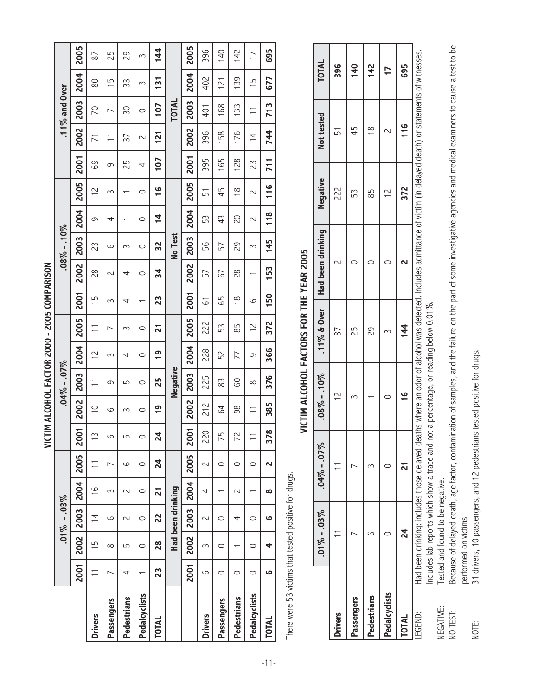|                |         |          |                   |               |         | <b>SIN</b>  |               |                 | IM ALCOHOL FACTOR 2000 - 2005 COMPARISON |                |               |      |                |               |                |      |                |                  |               |                |
|----------------|---------|----------|-------------------|---------------|---------|-------------|---------------|-----------------|------------------------------------------|----------------|---------------|------|----------------|---------------|----------------|------|----------------|------------------|---------------|----------------|
|                |         |          | $.01\% - .03\%$   |               |         |             |               | $.04\% - .07\%$ |                                          |                |               |      | $08\% - .10\%$ |               |                |      |                | $.11\%$ and Over |               |                |
|                | 2001    | 2002     | 2003              | 2004          | 2005    | <b>200</b>  | 2002          | 2003            | 2004                                     | 2005           | <b>2001</b>   | 2002 | 2003           | 2004          | 2005           | 2001 | 2002           | 2003             | 2004          | 2005           |
| <b>Drivers</b> | Ξ       | 15       | $\overline{4}$    | $\frac{6}{1}$ | Ξ       | $\tilde{1}$ | $\supseteq$   | Ξ               | $\approx$                                | Ξ              | 5             | 28   | 23             | 9             | $\frac{2}{1}$  | 89   | $\overline{1}$ | 20               | 80            | 87             |
| Passengers     |         | $\infty$ | ဖ                 | 3             | ∼       | ပ           | ပ             | თ               | 3                                        | ∼              | 3             | 2    | ပ              | 4             | 3              | 9    | Ξ              | ∼                | 15            | 25             |
| Pedestrians    | 4       | 5        | 2                 | $\sim$        | ပ       | 5           | 3             | 5               | 4                                        | 3              | 4             | 4    | 3              |               |                | 25   | 37             | 50               | 33            | 29             |
| Pedalcyclists  |         | 0        | $\circ$           | $\circ$       | $\circ$ | $\circ$     | 0             | $\circ$         | $\circ$                                  | $\circ$        |               | 0    | $\circ$        | $\circ$       | $\circ$        | 4    | 2              | $\circ$          | 3             | 3              |
| TOTAL          | 23      | 82       | 22                | 21            | 24      | 24          | $\frac{6}{1}$ | 25              | $\frac{6}{1}$                            | 21             | 23            | 34   | 32             | $\frac{4}{1}$ | <u>ي</u>       | 107  | 121            | 107              | 131           | 144            |
|                |         |          | Had been drinking |               |         |             |               | Negative        |                                          |                |               |      | No Test        |               |                |      |                | <b>TOTAL</b>     |               |                |
|                | 2001    | 2002     | 2003              | 2004          | 2005    | 200         | 2002          | 2003            | 2004                                     | 2005           | 2001          | 2002 | 2003           | 2004          | 2005           | 2001 | 2002           | 2003             | 2004          | 2005           |
| <b>Drivers</b> | ပ       | 3        | $\sim$            | 4             | 2       | 220         | 212           | 225             | 228                                      | 222            | 5             | 57   | 99             | 53            | 51             | 395  | 396            | 401              | 402           | 396            |
| Passengers     | 0       | 0        | 0                 |               | 0       | 75          | 3             | 83              | 52                                       | 53             | 59            | 67   | 57             | 43            | 45             | 165  | 158            | 168              | 121           | 140            |
| Pedestrians    | 0       |          | 4                 | 2             | $\circ$ | 72          | 98            | 8               | 77                                       | 85             | $\frac{8}{1}$ | 28   | 29             | 20            | $\frac{8}{1}$  | 128  | 176            | 133              | 139           | 142            |
| Pedalcyclists  | $\circ$ | $\circ$  | $\circ$           |               | $\circ$ |             | Ξ             | $\infty$        | 9                                        | $\overline{C}$ | 6             |      | 3              | 2             | 2              | 23   | $\overline{4}$ | Ξ                | $\frac{5}{1}$ | $\overline{1}$ |
| TOTAL          | ဖ       | 4        | ဖ                 | $\infty$      | 2       | 378         | 385           | 376             | 366                                      | 372            | 150           | 153  | 145            | 118           | $\frac{6}{11}$ | 711  | 744            | 713              | 677           | 695            |

There were 53 victims that tested positive for drugs. There were 53 victims that tested positive for drugs.

| l<br>l      |
|-------------|
| ۱           |
| l           |
|             |
| j<br>l<br>ì |
|             |
| í<br>ı      |
| ١           |
|             |
| ֠<br>l      |
|             |
|             |
|             |
|             |
|             |
|             |
|             |
|             |
| ֠           |
|             |
|             |
| l           |
|             |
| l           |
| l           |
|             |

|                |              | $.01\% - .03\%$ $.04\% - .07\%$ |                |     | $.08\% - .10\%$ 11% & Over   Had been drinking                                                                                                                       | Negative | Not tested    | <b>TOTAL</b> |
|----------------|--------------|---------------------------------|----------------|-----|----------------------------------------------------------------------------------------------------------------------------------------------------------------------|----------|---------------|--------------|
| <b>Drivers</b> |              |                                 |                |     |                                                                                                                                                                      | 222      | Ľ             | 396          |
| assengers      |              |                                 |                | 25  |                                                                                                                                                                      | 53       | 45            | 140          |
| Pedestrians    |              |                                 |                | 29  |                                                                                                                                                                      | 85       | $\frac{8}{1}$ | 142          |
| Pedalcyclists  |              |                                 |                |     |                                                                                                                                                                      |          |               |              |
| <b>TOTAL</b>   | $\mathbf{z}$ |                                 | $\overline{P}$ | 144 |                                                                                                                                                                      | 372      | $\frac{6}{1}$ | 695          |
| EGEND:         |              |                                 |                |     | Had been drinking; includes those delayed deaths where an odor of alcohol was detected. Includes admittance of victim (in delayed death) or statements of witnesses. |          |               |              |

Includes lab reports which show a trace and not a percentage, or reading below 0.01%. Includes lab reports which show a trace and not a percentage, or reading below 0.01%.

Tested and found to be negative. NEGATIVE: Tested and found to be negative. NEGATIVE:

Because of delayed death, age factor, contamination of samples, and the failure on the part of some investigative agencies and medical examiners to cause a test to be NO TEST: Because of delayed death, age factor, contamination of samples, and the failure on the part of some investigative agencies and medical examiners to cause a test to be performed on victims.<br>31 drivers, 10 passengers, and 12 pedestrians tested positive for drugs. performed on victims. NO TEST:

NOTE: 31 drivers, 10 passengers, and 12 pedestrians tested positive for drugs.NOTE: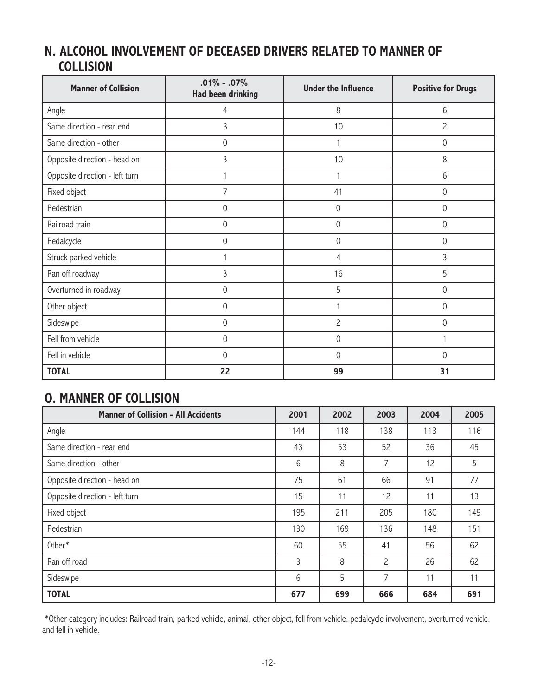#### **N. ALCOHOL INVOLVEMENT OF DECEASED DRIVERS RELATED TO MANNER OF COLLISION**

| <b>Manner of Collision</b>     | $.01\% - .07\%$<br><b>Had been drinking</b> | <b>Under the Influence</b> | <b>Positive for Drugs</b> |  |
|--------------------------------|---------------------------------------------|----------------------------|---------------------------|--|
| Angle                          | 4                                           | 8                          | 6                         |  |
| Same direction - rear end      | 3                                           | 10                         | $\overline{c}$            |  |
| Same direction - other         | $\mathbf 0$                                 |                            | 0                         |  |
| Opposite direction - head on   | 3                                           | 10                         | 8                         |  |
| Opposite direction - left turn |                                             |                            | 6                         |  |
| Fixed object                   | $\overline{7}$                              | 41                         | 0                         |  |
| Pedestrian                     | $\overline{0}$                              | $\overline{0}$             | $\overline{0}$            |  |
| Railroad train                 | $\overline{0}$                              | $\overline{0}$             | $\overline{0}$            |  |
| Pedalcycle                     | $\overline{0}$                              | $\overline{0}$             | 0                         |  |
| Struck parked vehicle          |                                             | 4                          | $\overline{3}$            |  |
| Ran off roadway                | 3                                           | 16                         | 5                         |  |
| Overturned in roadway          | $\mathbf 0$                                 | 5                          | 0                         |  |
| Other object                   | $\mathbf 0$                                 |                            | 0                         |  |
| Sideswipe                      | $\mathbf 0$                                 | $\overline{c}$             | 0                         |  |
| Fell from vehicle              | $\overline{0}$                              | $\theta$                   |                           |  |
| Fell in vehicle                | $\overline{0}$                              | $\Omega$                   | $\Omega$                  |  |
| <b>TOTAL</b>                   | 22                                          | 99                         | 31                        |  |

#### **O. MANNER OF COLLISION**

| <b>Manner of Collision - All Accidents</b> | 2001 | 2002 | 2003           | 2004 | 2005 |
|--------------------------------------------|------|------|----------------|------|------|
| Angle                                      | 144  | 118  | 138            | 113  | 116  |
| Same direction - rear end                  | 43   | 53   | 52             | 36   | 45   |
| Same direction - other                     | 6    | 8    | 7              | 12   | 5    |
| Opposite direction - head on               | 75   | 61   | 66             | 91   | 77   |
| Opposite direction - left turn             | 15   | 11   | 12             | 11   | 13   |
| Fixed object                               | 195  | 211  | 205            | 180  | 149  |
| Pedestrian                                 | 130  | 169  | 136            | 148  | 151  |
| Other*                                     | 60   | 55   | 41             | 56   | 62   |
| Ran off road                               | 3    | 8    | $\overline{c}$ | 26   | 62   |
| Sideswipe                                  | 6    | 5    | 7              | 11   | 11   |
| <b>TOTAL</b>                               | 677  | 699  | 666            | 684  | 691  |

\*Other category includes: Railroad train, parked vehicle, animal, other object, fell from vehicle, pedalcycle involvement, overturned vehicle, and fell in vehicle.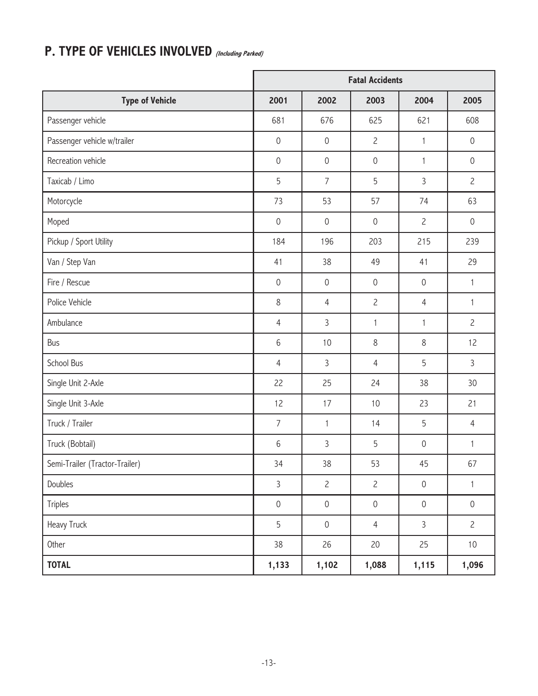## **P. TYPE OF VEHICLES INVOLVED (Including Parked)**

|                                |                     |                     | <b>Fatal Accidents</b> |                     |                     |
|--------------------------------|---------------------|---------------------|------------------------|---------------------|---------------------|
| <b>Type of Vehicle</b>         | 2001                | 2002                | 2003                   | 2004                | 2005                |
| Passenger vehicle              | 681                 | 676                 | 625                    | 621                 | 608                 |
| Passenger vehicle w/trailer    | $\mathbf 0$         | $\mathbf 0$         | $\mathbf{2}$           | 1                   | $\mathbf 0$         |
| Recreation vehicle             | $\mathbf 0$         | $\mathbf 0$         | $\mathbf 0$            | 1                   | $\mathbf 0$         |
| Taxicab / Limo                 | 5                   | $\overline{7}$      | 5                      | 3                   | $\overline{c}$      |
| Motorcycle                     | 73                  | 53                  | 57                     | 74                  | 63                  |
| Moped                          | $\mathbf 0$         | $\mathbf 0$         | $\mathbf 0$            | $\overline{c}$      | $\mathbf 0$         |
| Pickup / Sport Utility         | 184                 | 196                 | 203                    | 215                 | 239                 |
| Van / Step Van                 | 41                  | 38                  | 49                     | 41                  | 29                  |
| Fire / Rescue                  | $\mathbf 0$         | $\mathbf 0$         | $\mathbf 0$            | $\mathsf{O}\xspace$ | 1                   |
| Police Vehicle                 | $\,8\,$             | $\overline{4}$      | $\overline{c}$         | $\overline{4}$      | 1                   |
| Ambulance                      | $\overline{4}$      | 3                   | $\mathbf{1}$           | $\mathbf{1}$        | $\overline{c}$      |
| <b>Bus</b>                     | $6\,$               | 10                  | 8                      | 8                   | 12                  |
| School Bus                     | $\overline{4}$      | 3                   | $\overline{4}$         | 5                   | $\mathfrak{Z}$      |
| Single Unit 2-Axle             | 22                  | 25                  | 24                     | 38                  | 30                  |
| Single Unit 3-Axle             | 12                  | 17                  | 10                     | 23                  | 21                  |
| Truck / Trailer                | $\overline{7}$      | $\mathbf{1}$        | 14                     | 5                   | $\overline{4}$      |
| Truck (Bobtail)                | $6\,$               | 3                   | 5                      | $\mathbf 0$         | 1                   |
| Semi-Trailer (Tractor-Trailer) | 34                  | $38\,$              | 53                     | 45                  | 67                  |
| Doubles                        | $\mathsf{3}$        | $\mathbf{2}$        | $\mathbf{2}$           | $\mathsf{O}\xspace$ | $\mathbf{1}$        |
| Triples                        | $\mathsf{O}\xspace$ | $\mathbf 0$         | $\mathsf{O}\xspace$    | $\mathsf{O}\xspace$ | $\mathsf{O}\xspace$ |
| Heavy Truck                    | 5                   | $\mathsf{O}\xspace$ | $\overline{4}$         | $\overline{3}$      | $\overline{c}$      |
| Other                          | 38                  | 26                  | 20                     | 25                  | $10$                |
| <b>TOTAL</b>                   | 1,133               | 1,102               | 1,088                  | 1,115               | 1,096               |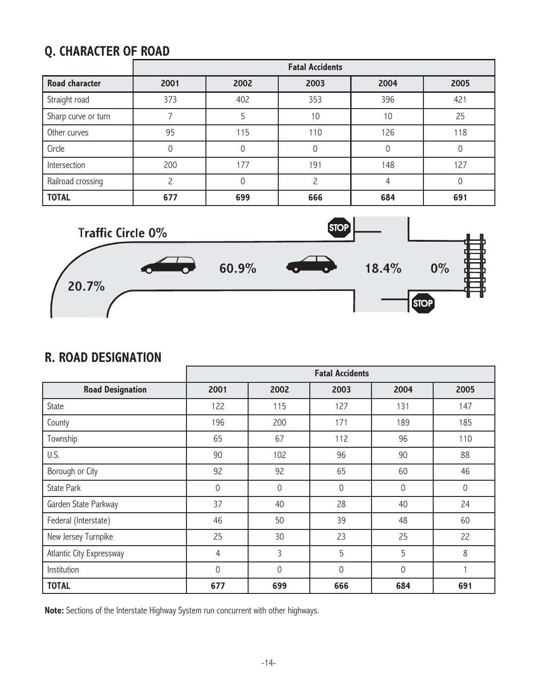### **Q. CHARACTER OF ROAD**

|                       |      |      | <b>Fatal Accidents</b> |      |      |
|-----------------------|------|------|------------------------|------|------|
| <b>Road character</b> | 2001 | 2002 | 2003                   | 2004 | 2005 |
| Straight road         | 373  | 402  | 353                    | 396  | 421  |
| Sharp curve or turn   |      | 5    | 10                     | 10   | 25   |
| Other curves          | 95   | 115  | 110                    | 126  | 118  |
| Circle                | 0    |      | 0                      |      |      |
| Intersection          | 200  | 177  | 191                    | 148  | 127  |
| Railroad crossing     |      |      |                        |      |      |
| <b>TOTAL</b>          | 677  | 699  | 666                    | 684  | 691  |



#### **R. ROAD DESIGNATION**

|                          | <b>Fatal Accidents</b> |      |                |          |             |  |  |
|--------------------------|------------------------|------|----------------|----------|-------------|--|--|
| <b>Road Designation</b>  | 2001                   | 2002 | 2003           | 2004     | 2005        |  |  |
| State                    | 122                    | 115  | 127            | 131      | 147         |  |  |
| County                   | 196                    | 200  | 171            | 189      | 185         |  |  |
| Township                 | 65                     | 67   | 112            | 96       | 110         |  |  |
| U.S.                     | 90                     | 102  | 96             | 90       | 88          |  |  |
| Borough or City          | 92                     | 92   | 65             | 60       | 46          |  |  |
| <b>State Park</b>        | 0                      | 0    | $\Omega$       | $\Omega$ | $\mathbf 0$ |  |  |
| Garden State Parkway     | 37                     | 40   | 28             | 40       | 24          |  |  |
| Federal (Interstate)     | 46                     | 50   | 39             | 48       | 60          |  |  |
| New Jersey Turnpike      | 25                     | 30   | 23             | 25       | 22          |  |  |
| Atlantic City Expressway | 4                      | 3    | 5              | 5        | 8           |  |  |
| Institution              | $\theta$               | 0    | $\overline{0}$ | $\Omega$ |             |  |  |
| <b>TOTAL</b>             | 677                    | 699  | 666            | 684      | 691         |  |  |

**Note:** Sections of the Interstate Highway System run concurrent with other highways.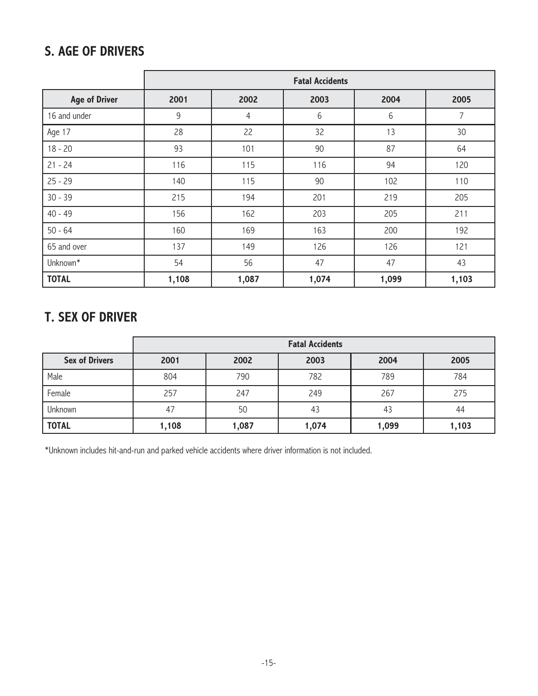#### **S. AGE OF DRIVERS**

|                      | <b>Fatal Accidents</b>               |                |       |       |       |  |  |  |
|----------------------|--------------------------------------|----------------|-------|-------|-------|--|--|--|
| <b>Age of Driver</b> | 2001<br>2002<br>2004<br>2005<br>2003 |                |       |       |       |  |  |  |
| 16 and under         | $9\,$                                | $\overline{4}$ | 6     | 6     | 7     |  |  |  |
| Age 17               | 28                                   | 22             | 32    | 13    | 30    |  |  |  |
| $18 - 20$            | 93                                   | 101            | 90    | 87    | 64    |  |  |  |
| $21 - 24$            | 116                                  | 115            | 116   | 94    | 120   |  |  |  |
| $25 - 29$            | 140                                  | 115            | 90    | 102   | 110   |  |  |  |
| $30 - 39$            | 215                                  | 194            | 201   | 219   | 205   |  |  |  |
| $40 - 49$            | 156                                  | 162            | 203   | 205   | 211   |  |  |  |
| $50 - 64$            | 160                                  | 169            | 163   | 200   | 192   |  |  |  |
| 65 and over          | 137                                  | 149            | 126   | 126   | 121   |  |  |  |
| Unknown*             | 54                                   | 56             | 47    | 47    | 43    |  |  |  |
| <b>TOTAL</b>         | 1,108                                | 1,087          | 1,074 | 1,099 | 1,103 |  |  |  |

#### **T. SEX OF DRIVER**

|                       | <b>Fatal Accidents</b> |                              |       |       |       |  |  |  |  |  |
|-----------------------|------------------------|------------------------------|-------|-------|-------|--|--|--|--|--|
| <b>Sex of Drivers</b> | 2001                   | 2002<br>2003<br>2004<br>2005 |       |       |       |  |  |  |  |  |
| Male                  | 804                    | 790                          | 782   | 789   | 784   |  |  |  |  |  |
| Female                | 257                    | 247                          | 249   | 267   | 275   |  |  |  |  |  |
| Unknown               | 47                     | 50                           | 43    | 43    | 44    |  |  |  |  |  |
| <b>TOTAL</b>          | 1,108                  | 1,087                        | 1,074 | 1,099 | 1,103 |  |  |  |  |  |

\*Unknown includes hit-and-run and parked vehicle accidents where driver information is not included.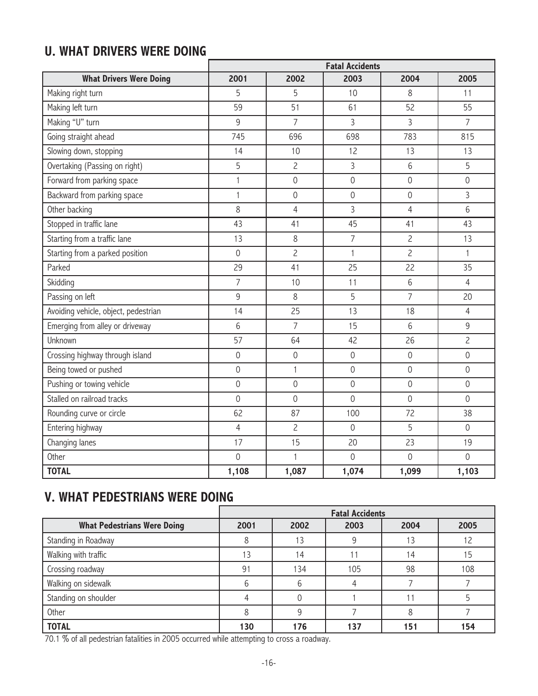## **U. WHAT DRIVERS WERE DOING**

|                                      | <b>Fatal Accidents</b> |                |                     |                     |                |  |
|--------------------------------------|------------------------|----------------|---------------------|---------------------|----------------|--|
| <b>What Drivers Were Doing</b>       | 2001                   | 2002           | 2003                | 2004                | 2005           |  |
| Making right turn                    | 5                      | 5              | 10                  | 8                   | 11             |  |
| Making left turn                     | 59                     | 51             | 61                  | 52                  | 55             |  |
| Making "U" turn                      | 9                      | $\overline{7}$ | $\overline{3}$      | 3                   | $\overline{7}$ |  |
| Going straight ahead                 | 745                    | 696            | 698                 | 783                 | 815            |  |
| Slowing down, stopping               | 14                     | 10             | 12                  | 13                  | 13             |  |
| Overtaking (Passing on right)        | 5                      | $\overline{c}$ | $\overline{3}$      | 6                   | 5              |  |
| Forward from parking space           | $\mathbf{1}$           | $\mathbf 0$    | $\mathbf 0$         | $\mathsf{O}\xspace$ | $\mathbf 0$    |  |
| Backward from parking space          | $\mathbf{1}$           | $\mathbf 0$    | $\mathsf{O}\xspace$ | $\mathbf 0$         | 3              |  |
| Other backing                        | 8                      | $\overline{4}$ | $\overline{3}$      | $\overline{4}$      | 6              |  |
| Stopped in traffic lane              | 43                     | 41             | 45                  | 41                  | 43             |  |
| Starting from a traffic lane         | 13                     | 8              | $\overline{7}$      | $\overline{c}$      | 13             |  |
| Starting from a parked position      | $\mathbf 0$            | $\overline{c}$ | $\mathbf{1}$        | $\overline{c}$      | $\mathbf{1}$   |  |
| Parked                               | 29                     | 41             | 25                  | 22                  | 35             |  |
| Skidding                             | $\overline{7}$         | 10             | 11                  | 6                   | $\overline{4}$ |  |
| Passing on left                      | $9$                    | 8              | 5                   | $\overline{7}$      | 20             |  |
| Avoiding vehicle, object, pedestrian | 14                     | 25             | 13                  | 18                  | $\overline{4}$ |  |
| Emerging from alley or driveway      | 6                      | $\overline{7}$ | 15                  | 6                   | 9              |  |
| Unknown                              | 57                     | 64             | 42                  | 26                  | $\overline{c}$ |  |
| Crossing highway through island      | $\mathbf 0$            | $\overline{0}$ | $\overline{0}$      | $\overline{0}$      | $\overline{0}$ |  |
| Being towed or pushed                | $\mathbf 0$            | 1              | $\overline{0}$      | $\overline{0}$      | $\overline{0}$ |  |
| Pushing or towing vehicle            | $\mathbf 0$            | $\mathbf 0$    | $\mathbf 0$         | $\mathbf 0$         | $\mathbf 0$    |  |
| Stalled on railroad tracks           | $\overline{0}$         | $\overline{0}$ | $\overline{0}$      | $\mathbf 0$         | $\overline{0}$ |  |
| Rounding curve or circle             | 62                     | 87             | 100                 | 72                  | 38             |  |
| Entering highway                     | $\overline{4}$         | $\overline{c}$ | $\overline{0}$      | 5                   | $\overline{0}$ |  |
| Changing lanes                       | 17                     | 15             | 20                  | 23                  | 19             |  |
| Other                                | $\overline{0}$         | 1              | $\mathbf 0$         | $\overline{0}$      | $\overline{0}$ |  |
| <b>TOTAL</b>                         | 1,108                  | 1,087          | 1,074               | 1,099               | 1,103          |  |

### **V. WHAT PEDESTRIANS WERE DOING**

|                                    |      | <b>Fatal Accidents</b> |      |      |      |  |
|------------------------------------|------|------------------------|------|------|------|--|
| <b>What Pedestrians Were Doing</b> | 2001 | 2002                   | 2003 | 2004 | 2005 |  |
| Standing in Roadway                |      | 13                     |      |      | 12   |  |
| Walking with traffic               | 13   | 14                     |      | 14   | 15   |  |
| Crossing roadway                   | 91   | 134                    | 105  | 98   | 108  |  |
| Walking on sidewalk                |      | b                      |      |      |      |  |
| Standing on shoulder               |      |                        |      |      |      |  |
| Other                              |      | 9                      |      | 8    |      |  |
| <b>TOTAL</b>                       | 130  | 176                    | 37   | 151  | 154  |  |

70.1 % of all pedestrian fatalities in 2005 occurred while attempting to cross a roadway.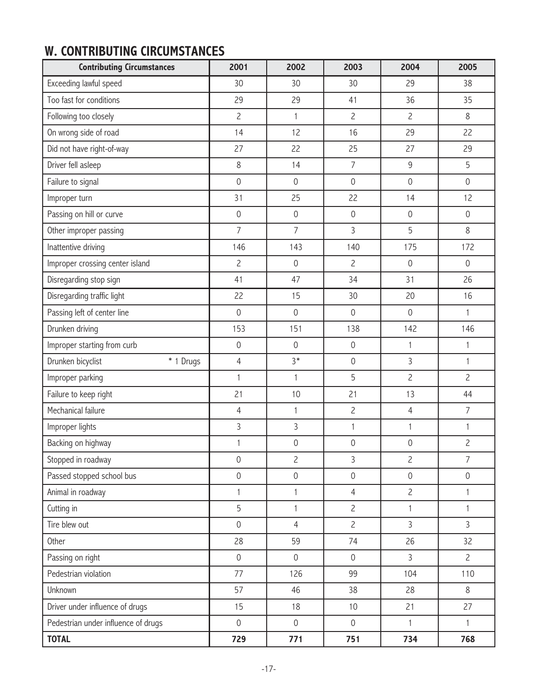### **W. CONTRIBUTING CIRCUMSTANCES**

| <b>Contributing Circumstances</b>   | 2001           | 2002                | 2003                | 2004           | 2005           |
|-------------------------------------|----------------|---------------------|---------------------|----------------|----------------|
| Exceeding lawful speed              | 30             | 30                  | 30                  | 29             | 38             |
| Too fast for conditions             | 29             | 29                  | 41                  | 36             | 35             |
| Following too closely               | $\overline{c}$ | 1                   | $\overline{c}$      | $\overline{c}$ | 8              |
| On wrong side of road               | 14             | 12                  | 16                  | 29             | 22             |
| Did not have right-of-way           | 27             | 22                  | 25                  | 27             | 29             |
| Driver fell asleep                  | $\,8\,$        | 14                  | $\overline{7}$      | $\mathsf 9$    | 5              |
| Failure to signal                   | $\mathbf 0$    | $\mathbf 0$         | $\mathbf 0$         | $\mathbf 0$    | $\mathbf 0$    |
| Improper turn                       | 31             | 25                  | 22                  | 14             | 12             |
| Passing on hill or curve            | $\mathbf 0$    | $\mathbf 0$         | $\mathbf 0$         | $\mathbf 0$    | $\mathbf 0$    |
| Other improper passing              | $\overline{7}$ | $\overline{7}$      | $\overline{3}$      | 5              | 8              |
| Inattentive driving                 | 146            | 143                 | 140                 | 175            | 172            |
| Improper crossing center island     | $\overline{c}$ | $\overline{0}$      | $\overline{c}$      | $\mathbf 0$    | $\mathbf 0$    |
| Disregarding stop sign              | 41             | 47                  | 34                  | 31             | 26             |
| Disregarding traffic light          | 22             | 15                  | 30                  | 20             | 16             |
| Passing left of center line         | $\mathbf 0$    | $\mathbf 0$         | $\mathbf 0$         | $\mathbf 0$    | 1              |
| Drunken driving                     | 153            | 151                 | 138                 | 142            | 146            |
| Improper starting from curb         | $\mathbf 0$    | $\overline{0}$      | $\mathsf{O}\xspace$ | $\mathbf{1}$   | 1              |
| Drunken bicyclist<br>* 1 Drugs      | $\overline{4}$ | $3*$                | $\mathsf{O}\xspace$ | 3              | 1              |
| Improper parking                    | $\mathbf{1}$   | $\mathbf{1}$        | 5                   | $\overline{c}$ | $\overline{c}$ |
| Failure to keep right               | 21             | 10                  | 21                  | 13             | 44             |
| Mechanical failure                  | 4              | $\mathbf{1}$        | $\overline{c}$      | $\overline{4}$ | $\overline{7}$ |
| Improper lights                     | $\overline{3}$ | 3                   | $\mathbf{1}$        | 1              | 1              |
| Backing on highway                  | 1              | $\mathsf{O}\xspace$ | 0                   | $\mathbf 0$    | $\overline{c}$ |
| Stopped in roadway                  | $\mathbf 0$    | $\overline{c}$      | 3                   | $\overline{c}$ | 7              |
| Passed stopped school bus           | $\mathbf 0$    | $\mathbf 0$         | $\mathbf 0$         | $\mathbf 0$    | $\mathbf 0$    |
| Animal in roadway                   | $\mathbf{1}$   | $\mathbf{1}$        | $\overline{4}$      | $\overline{2}$ | 1              |
| Cutting in                          | 5              | $\mathbf{1}$        | $\overline{c}$      | $\mathbf{1}$   | 1              |
| Tire blew out                       | $\mathbf 0$    | $\overline{4}$      | $\overline{c}$      | 3              | $\overline{3}$ |
| Other                               | 28             | 59                  | 74                  | 26             | 32             |
| Passing on right                    | $\mathbf 0$    | $\overline{0}$      | $\mathbf 0$         | $\overline{3}$ | $\overline{c}$ |
| Pedestrian violation                | 77             | 126                 | 99                  | 104            | 110            |
| Unknown                             | 57             | 46                  | 38                  | 28             | 8              |
| Driver under influence of drugs     | 15             | 18                  | 10                  | 21             | 27             |
| Pedestrian under influence of drugs | $\mathbf 0$    | $\mathbf 0$         | $\mathsf{O}\xspace$ | $\mathbf{1}$   | $\mathbf{1}$   |
| <b>TOTAL</b>                        | 729            | 771                 | 751                 | 734            | 768            |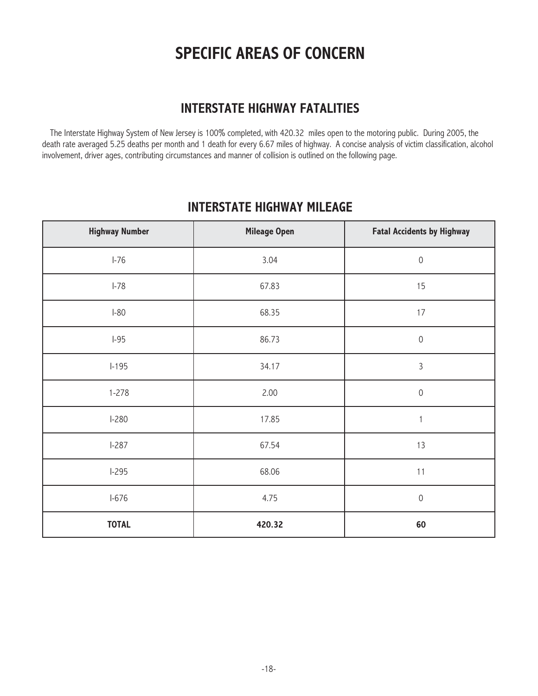## **SPECIFIC AREAS OF CONCERN**

#### **INTERSTATE HIGHWAY FATALITIES**

The Interstate Highway System of New Jersey is 100% completed, with 420.32 miles open to the motoring public. During 2005, the death rate averaged 5.25 deaths per month and 1 death for every 6.67 miles of highway. A concise analysis of victim classification, alcohol involvement, driver ages, contributing circumstances and manner of collision is outlined on the following page.

#### **INTERSTATE HIGHWAY MILEAGE**

| <b>Highway Number</b> | <b>Mileage Open</b> | <b>Fatal Accidents by Highway</b> |
|-----------------------|---------------------|-----------------------------------|
| $I-76$                | 3.04                | $\mathbf 0$                       |
| $I-78$                | 67.83               | 15                                |
| $I-80$                | 68.35               | 17                                |
| $I-95$                | 86.73               | $\mathbf 0$                       |
| $1 - 195$             | 34.17               | $\overline{3}$                    |
| $1 - 278$             | 2.00                | $\mathbf 0$                       |
| $I-280$               | 17.85               | 1                                 |
| $I-287$               | 67.54               | 13                                |
| $I-295$               | 68.06               | 11                                |
| $I-676$               | 4.75                | $\mathbf 0$                       |
| <b>TOTAL</b>          | 420.32              | 60                                |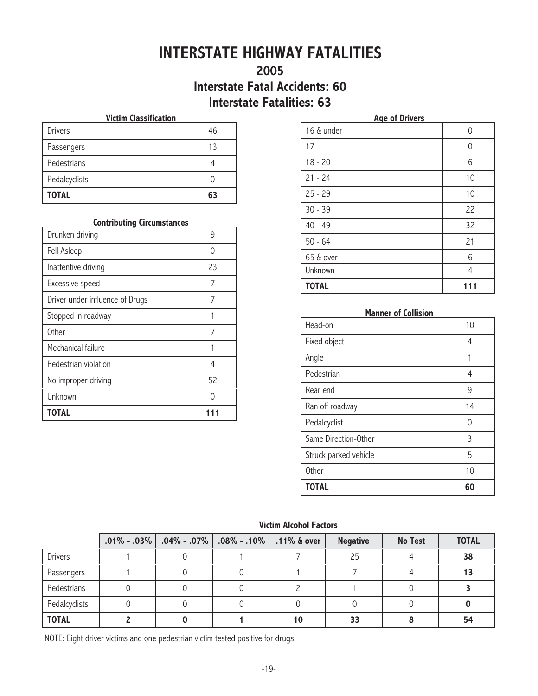## **INTERSTATE HIGHWAY FATALITIES**

#### **2005 Interstate Fatal Accidents: 60 Interstate Fatalities: 63**

#### **Victim Classification**

| <b>TOTAL</b>   | 63 |
|----------------|----|
| Pedalcyclists  |    |
| Pedestrians    |    |
| Passengers     | 13 |
| <b>Drivers</b> | 46 |

#### **Contributing Circumstances**

| Drunken driving                 |    |
|---------------------------------|----|
| Fell Asleep                     |    |
| Inattentive driving             | 23 |
| Excessive speed                 | 7  |
| Driver under influence of Drugs | 7  |
| Stopped in roadway              |    |
| <b>Other</b>                    |    |
| Mechanical failure              |    |
| Pedestrian violation            | 4  |
| No improper driving             | 52 |
| Unknown                         |    |
| <b>TOTAL</b>                    |    |

| <b>Age of Drivers</b> |          |  |  |  |
|-----------------------|----------|--|--|--|
| 16 & under            | 0        |  |  |  |
| 17                    | $\Omega$ |  |  |  |
| $18 - 20$             | 6        |  |  |  |
| $21 - 24$             | 10       |  |  |  |
| $25 - 29$             | 10       |  |  |  |
| $30 - 39$             | 22       |  |  |  |
| $40 - 49$             | 32       |  |  |  |
| $50 - 64$             | 21       |  |  |  |
| 65 & over             | 6        |  |  |  |
| Unknown               | 4        |  |  |  |
| <b>TOTAL</b>          | 111      |  |  |  |

#### **Manner of Collision**

| Head-on               | 10 |
|-----------------------|----|
| Fixed object          | 4  |
| Angle                 |    |
| Pedestrian            | 4  |
| Rear end              | 9  |
| Ran off roadway       | 14 |
| Pedalcyclist          | Λ  |
| Same Direction-Other  | 3  |
| Struck parked vehicle | 5  |
| <b>Other</b>          | 10 |
| <b>TOTAL</b>          | 60 |

#### **Victim Alcohol Factors**

|                | $.01\%$ - .03%   .04% - .07% | $.08\%$ - $.10\%$   $.11\%$ & over |    | <b>Negative</b> | <b>No Test</b> | <b>TOTAL</b> |
|----------------|------------------------------|------------------------------------|----|-----------------|----------------|--------------|
| <b>Drivers</b> |                              |                                    |    | 25              |                | 38           |
| Passengers     |                              |                                    |    |                 |                | 13           |
| Pedestrians    |                              |                                    |    |                 |                |              |
| Pedalcyclists  |                              |                                    |    |                 |                |              |
| <b>TOTAL</b>   |                              |                                    | 10 | 33              |                | 54           |

NOTE: Eight driver victims and one pedestrian victim tested positive for drugs.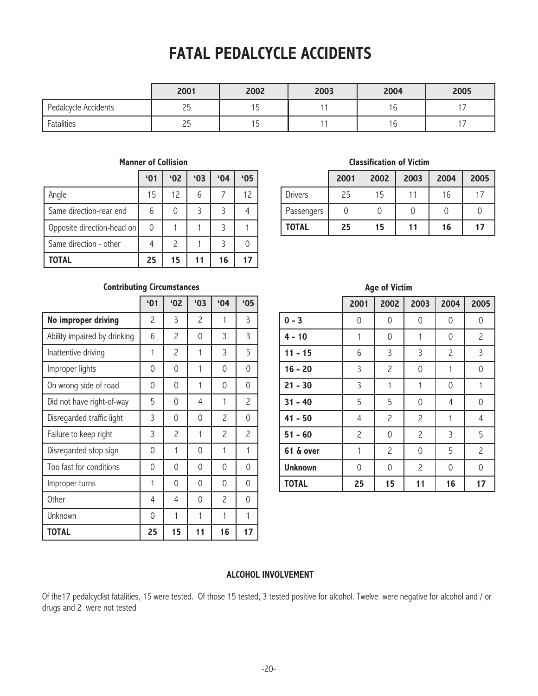## **FATAL PEDALCYCLE ACCIDENTS**

|                      | 2001     | 2002 | 2003 | 2004 | 2005 |
|----------------------|----------|------|------|------|------|
| Pedalcycle Accidents | י<br>ر ے |      |      | b    |      |
| Fatalities           | י<br>ر ے |      |      | b    |      |

#### **Manner of Collision**

|                            | '01      | '02                      | 63 | 64 | '05 |
|----------------------------|----------|--------------------------|----|----|-----|
| Angle                      | 15       | 12                       | 6  |    | 12  |
| Same direction-rear end    | 6        |                          | 3  | 3  |     |
| Opposite direction-head on | $\Omega$ |                          |    | 3  |     |
| Same direction - other     |          | $\overline{\phantom{0}}$ |    | ς  |     |
| <b>TOTAL</b>               | 25       | 15                       | 11 | 16 | 17  |

#### **Classification of Victim**

|                | 2001 | 2002 | 2003 | 2004 | 2005 |
|----------------|------|------|------|------|------|
| <b>Drivers</b> | 25   | 15   | 11   | 16   |      |
| Passengers     |      |      |      |      |      |
| <b>TOTAL</b>   | 25   | 15   | 11   | 16   | 17   |

**Age of Victim**

#### **Contributing Circumstances**

|                              | '01 | '02                      | '03                      | 64             | '05            |
|------------------------------|-----|--------------------------|--------------------------|----------------|----------------|
| No improper driving          | 2   | 3                        | $\overline{\phantom{0}}$ | 1              | 3              |
| Ability impaired by drinking | 6   | 2                        | 0                        | 3              | 3              |
| Inattentive driving          | 1   | 2                        | 1                        | 3              | 5              |
| Improper lights              | 0   | 0                        | 1                        | 0              | 0              |
| On wrong side of road        | 0   | 0                        | 1                        | 0              | 0              |
| Did not have right-of-way    | 5   | 0                        | 4                        | 1              | 2              |
| Disregarded traffic light    | 3   | 0                        | 0                        | 2              | 0              |
| Failure to keep right        | 3   | $\overline{\phantom{0}}$ | 1                        | $\overline{c}$ | $\overline{c}$ |
| Disregarded stop sign        | 0   | 1                        | 0                        | 1              | 1              |
| Too fast for conditions      | 0   | 0                        | 0                        | 0              | 0              |
| Improper turns               | 1   | 0                        | 0                        | 0              | 0              |
| <b>Other</b>                 | 4   | 4                        | 0                        | 2              | 0              |
| Unknown                      | 0   | 1                        | 1                        | 1              | 1              |
| <b>TOTAL</b>                 | 25  | 15                       | 11                       | 16             | 17             |

|                | 2001           | 2002           | 2003           | 2004           | 2005           |
|----------------|----------------|----------------|----------------|----------------|----------------|
| $0 - 3$        | 0              | 0              | 0              | 0              | 0              |
| $4 - 10$       | $\mathbf{1}$   | 0              | 1              | 0              | $\overline{c}$ |
| $11 - 15$      | 6              | 3              | 3              | $\overline{c}$ | 3              |
| $16 - 20$      | 3              | $\overline{c}$ | 0              | 1              | 0              |
| $21 - 30$      | 3              | 1              | 1              | 0              | 1              |
| $31 - 40$      | 5              | 5              | 0              | 4              | 0              |
| $41 - 50$      | 4              | $\overline{c}$ | $\overline{c}$ | 1              | 4              |
| $51 - 60$      | $\overline{c}$ | 0              | $\overline{c}$ | 3              | 5              |
| 61 & over      | 1              | $\overline{c}$ | 0              | 5              | $\overline{c}$ |
| <b>Unknown</b> | $\Omega$       | 0              | $\overline{c}$ | 0              | 0              |
| <b>TOTAL</b>   | 25             | 15             | 11             | 16             | 17             |

#### **ALCOHOL INVOLVEMENT**

Of the17 pedalcyclist fatalities, 15 were tested. Of those 15 tested, 3 tested positive for alcohol. Twelve were negative for alcohol and / or drugs and 2 were not tested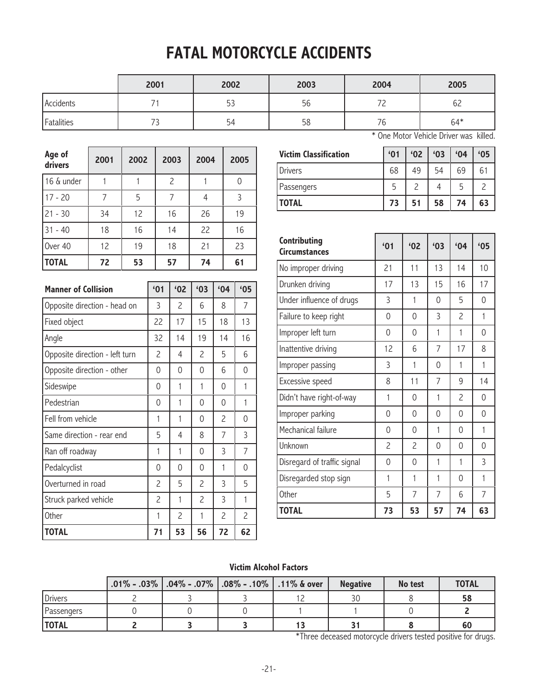## **FATAL MOTORCYCLE ACCIDENTS**

|            | 2001     | 2002 | 2003 | 2004          | 2005  |
|------------|----------|------|------|---------------|-------|
| Accidents  |          | 53   | 56   | $\sim$ $\sim$ | 62    |
| Fatalities | <b>ب</b> | 54   | 58   | 76            | $64*$ |

| Age of<br>drivers | 2001 | 2002 | 2003           | 2004 | 2005 |
|-------------------|------|------|----------------|------|------|
| 16 & under        |      |      | $\overline{c}$ |      | 0    |
| $17 - 20$         | 7    | 5    | 7              | 4    | 3    |
| $21 - 30$         | 34   | 12   | 16             | 26   | 19   |
| $31 - 40$         | 18   | 16   | 14             | 22   | 16   |
| Over 40           | 12   | 19   | 18             | 21   | 23   |
| <b>TOTAL</b>      | 72   | 53   | 57             | 74   | 61   |
|                   |      |      |                |      |      |

| <b>Manner of Collision</b>     | '01            | '02 | '03            | 64 | '05 |
|--------------------------------|----------------|-----|----------------|----|-----|
| Opposite direction - head on   | 3              | 2   | 6              | 8  | 7   |
| Fixed object                   | 22             | 17  | 15             | 18 | 13  |
| Angle                          | 32             | 14  | 19             | 14 | 16  |
| Opposite direction - left turn | $\overline{c}$ | 4   | 2              | 5  | 6   |
| Opposite direction - other     | 0              | 0   | 0              | 6  | 0   |
| Sideswipe                      | 0              | 1   | 1              | 0  | 1   |
| Pedestrian                     | 0              | 1   | 0              | 0  | 1   |
| Fell from vehicle              | 1              | 1   | 0              | 2  | 0   |
| Same direction - rear end      | 5              | 4   | 8              | 7  | 3   |
| Ran off roadway                | 1              | 1   | 0              | 3  | 7   |
| Pedalcyclist                   | 0              | 0   | 0              | 1  | 0   |
| Overturned in road             | 2              | 5   | 2              | 3  | 5   |
| Struck parked vehicle          | 2              | 1   | $\overline{c}$ | 3  | 1   |
| Other                          | 1              | 2   | 1              | 2  | 2   |
| TOTAL                          | 71             | 53  | 56             | 72 | 62  |

|  |  | * One Motor Vehicle Driver was killed. |  |
|--|--|----------------------------------------|--|
|  |  |                                        |  |

| <b>Victim Classification</b> | '01 | '02 | '03 | 64 | '05 |
|------------------------------|-----|-----|-----|----|-----|
| Drivers                      | 68  | 49  | 54  | 69 |     |
| Passengers                   | 5   |     |     | 5  |     |
| <b>TOTAL</b>                 | 73  | 51  | 58  | 74 | 63  |

| Contributing<br><b>Circumstances</b> | '01                      | '02                      | 63           | 64                       | '05      |
|--------------------------------------|--------------------------|--------------------------|--------------|--------------------------|----------|
| No improper driving                  | 21                       | 11                       | 13           | 14                       | 10       |
| Drunken driving                      | 17                       | 13                       | 15           | 16                       | 17       |
| Under influence of drugs             | 3                        | 1                        | 0            | 5                        | 0        |
| Failure to keep right                | $\Omega$                 | $\Omega$                 | 3            | $\overline{\phantom{0}}$ | 1        |
| Improper left turn                   | 0                        | $\Omega$                 | 1            | 1                        | 0        |
| Inattentive driving                  | 12                       | 6                        | 7            | 17                       | 8        |
| Improper passing                     | 3                        | 1                        | $\Omega$     | 1                        | 1        |
| Excessive speed                      | 8                        | 11                       | 7            | 9                        | 14       |
| Didn't have right-of-way             | 1                        | $\Omega$                 | 1            | $\overline{\phantom{0}}$ | $\Omega$ |
| Improper parking                     | 0                        | $\Omega$                 | 0            | $\Omega$                 | 0        |
| Mechanical failure                   | 0                        | $\Omega$                 | 1            | $\Omega$                 | 1        |
| Unknown                              | $\overline{\phantom{0}}$ | $\overline{\phantom{0}}$ | $\Omega$     | $\Omega$                 | $\Omega$ |
| Disregard of traffic signal          | 0                        | $\overline{0}$           | $\mathbf{1}$ | $\mathbf{1}$             | 3        |
| Disregarded stop sign                | 1                        | 1                        | 1            | $\Omega$                 | 1        |
| <b>Other</b>                         | 5                        | 7                        | 7            | 6                        | 7        |
| <b>TOTAL</b>                         | 73                       | 53                       | 57           | 74                       | 63       |

#### **Victim Alcohol Factors**

|                | .01% - .03%   .04% - .07%   .08% - .10%   .11% & over |  | <b>Negative</b> | No test | <b>TOTAL</b> |
|----------------|-------------------------------------------------------|--|-----------------|---------|--------------|
| <b>Drivers</b> |                                                       |  |                 |         | 58           |
| Passengers     |                                                       |  |                 |         |              |
| <b>TOTAL</b>   |                                                       |  |                 |         | 60           |

\*Three deceased motorcycle drivers tested positive for drugs.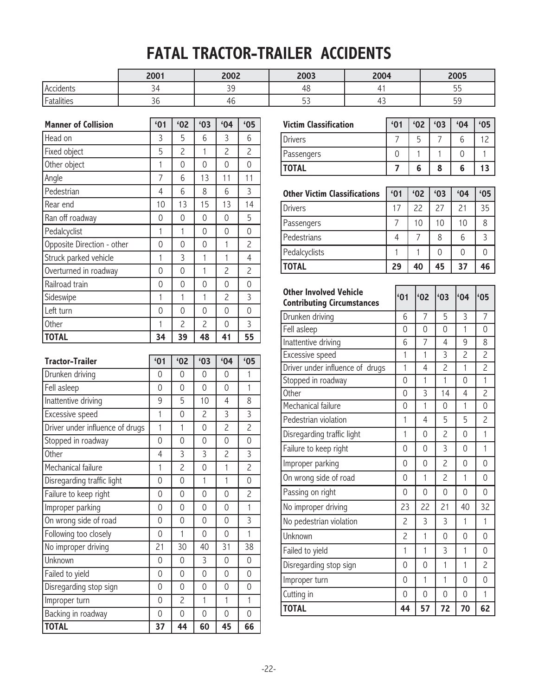## **FATAL TRACTOR-TRAILER ACCIDENTS**

|            | 2001 | 2002          | 2003                 | 2004     | 2005                  |
|------------|------|---------------|----------------------|----------|-----------------------|
| Accidents  |      | $\cap$<br>- - | ro                   |          | - -<br>h<br><u>-</u>  |
| Fatalities | υU   | "U            | $ \sim$<br><u>JJ</u> | ∸<br>. . | <b>ΓC</b><br><u>-</u> |

| <b>Manner of Collision</b>      | '01            | '02            | '03            | 64             | '05            |
|---------------------------------|----------------|----------------|----------------|----------------|----------------|
| Head on                         | 3              | 5              | 6              | 3              | 6              |
| Fixed object                    | 5              | $\overline{c}$ | $\mathbf{1}$   | $\overline{c}$ | $\overline{c}$ |
| Other object                    | 1              | 0              | $\overline{0}$ | $\overline{0}$ | $\overline{0}$ |
| Angle                           | $\overline{7}$ | 6              | 13             | 11             | 11             |
| Pedestrian                      | $\overline{4}$ | 6              | 8              | 6              | 3              |
| Rear end                        | 10             | 13             | 15             | 13             | 14             |
| Ran off roadway                 | 0              | 0              | 0              | 0              | 5              |
| Pedalcyclist                    | $\mathbf{1}$   | $\mathbf{1}$   | $\overline{0}$ | $\overline{0}$ | $\overline{0}$ |
| Opposite Direction - other      | 0              | 0              | $\overline{0}$ | $\mathbf{1}$   | $\overline{c}$ |
| Struck parked vehicle           | $\mathbf{1}$   | 3              | 1              | $\mathbf{1}$   | $\overline{4}$ |
| Overturned in roadway           | 0              | 0              | $\mathbf{1}$   | $\overline{c}$ | $\overline{c}$ |
| Railroad train                  | 0              | 0              | $\overline{0}$ | $\overline{0}$ | $\overline{0}$ |
| Sideswipe                       | $\mathbf{1}$   | $\mathbf{1}$   | $\mathbf{1}$   | $\overline{c}$ | $\overline{3}$ |
| Left turn                       | $\overline{0}$ | 0              | $\overline{0}$ | $\overline{0}$ | $\overline{0}$ |
| Other                           | 1              | $\overline{c}$ | $\overline{c}$ | $\overline{0}$ | $\overline{3}$ |
| <b>TOTAL</b>                    | 34             | 39             | 48             | 41             | 55             |
|                                 |                |                |                |                |                |
| <b>Tractor-Trailer</b>          | '01            | '02            | '03            | 64             | '05            |
| Drunken driving                 | 0              | 0              | 0              | $\Omega$       | 1              |
| Fell asleep                     | 0              | 0              | $\Omega$       | $\overline{0}$ | $\mathbf{1}$   |
| Inattentive driving             | 9              | 5              | 10             | $\overline{4}$ | 8              |
| Excessive speed                 | 1              | 0              | $\overline{c}$ | 3              | $\overline{3}$ |
| Driver under influence of drugs | 1              | 1              | $\overline{0}$ | $\overline{c}$ | $\overline{c}$ |
| Stopped in roadway              | 0              | 0              | 0              | $\overline{0}$ | $\overline{0}$ |
| Other                           | 4              | 3              | $\overline{3}$ | $\overline{c}$ | $\overline{3}$ |
| Mechanical failure              | 1              | $\overline{c}$ | $\overline{0}$ | $\mathbf{1}$   | $\overline{2}$ |
| Disregarding traffic light      | $\overline{0}$ | $\overline{0}$ | $\mathbf{1}$   | $\mathfrak{f}$ | $\overline{0}$ |

Failure to keep right 0 0 0 0 0 2 Improper parking 0 0 0 0 1 On wrong side of road 0 0 0 0 3 Following too closely **0 1 0 0 1** 1 0 1 1 No improper driving 21 30 40 31 38 Unknown 0 0 3 0 0 Failed to yield 0 0 0 0 0 Disregarding stop sign 0 0 0 0 0 Improper turn 0 2 1 1 1 Backing in roadway 0 0 0 0 0 0 0 **TOTAL 37 44 60 45 66**

| <b>Victim Classification</b> | '01 | 62 | '03 | 64 | '05 |
|------------------------------|-----|----|-----|----|-----|
| Drivers                      |     | b  |     |    |     |
| Passengers                   |     |    |     |    |     |
| <b>TOTAL</b>                 |     | 6  |     | h  |     |

| <b>Other Victim Classifications</b> | '01 | '02 | '03 | 64 | '05 |
|-------------------------------------|-----|-----|-----|----|-----|
| <b>Drivers</b>                      | 17  | 22  | 27  | 21 | 35  |
| Passengers                          |     | 10  | 10  | 10 |     |
| Pedestrians                         | 4   |     | 8   | 6  |     |
| Pedalcyclists                       |     |     |     |    |     |
| <b>TOTAL</b>                        | 29  | 40  | 45  | 37 | 46  |

| <b>Other Involved Vehicle</b><br><b>Contributing Circumstances</b> | 61             | 62       | '03                      | 64             | '05            |
|--------------------------------------------------------------------|----------------|----------|--------------------------|----------------|----------------|
| Drunken driving                                                    | 6              | 7        | 5                        | 3              | 7              |
| Fell asleep                                                        | $\Omega$       | $\Omega$ | $\overline{0}$           | $\mathbf{1}$   | 0              |
| Inattentive driving                                                | 6              | 7        | $\overline{4}$           | 9              | 8              |
| Excessive speed                                                    | 1              | 1        | 3                        | 2              | $\overline{c}$ |
| Driver under influence of drugs                                    | 1              | 4        | $\overline{c}$           | 1              | $\overline{c}$ |
| Stopped in roadway                                                 | $\overline{0}$ | 1        | $\mathbf{1}$             | $\Omega$       | 1              |
| Other                                                              | 0              | 3        | 14                       | 4              | $\overline{c}$ |
| Mechanical failure                                                 | 0              | 1        | 0                        | 1              | $\Omega$       |
| Pedestrian violation                                               | 1              | 4        | 5                        | 5              | $\overline{c}$ |
| Disregarding traffic light                                         | 1              | 0        | $\overline{c}$           | $\overline{0}$ | 1              |
| Failure to keep right                                              | $\Omega$       | $\Omega$ | $\overline{3}$           | $\Omega$       | 1              |
| Improper parking                                                   | $\Omega$       | $\Omega$ | $\overline{\phantom{0}}$ | $\Omega$       | $\Omega$       |
| On wrong side of road                                              | 0              | 1        | $\overline{c}$           | $\mathbf{1}$   | 0              |
| Passing on right                                                   | $\Omega$       | $\Omega$ | $\Omega$                 | $\Omega$       | $\Omega$       |
| No improper driving                                                | 23             | 22       | 21                       | 40             | 32             |
| No pedestrian violation                                            | $\overline{c}$ | 3        | 3                        | 1              | 1              |
| Unknown                                                            | $\overline{c}$ | 1        | $\overline{0}$           | $\Omega$       | 0              |
| Failed to yield                                                    | 1              | 1        | 3                        | $\mathbf{1}$   | 0              |
| Disregarding stop sign                                             | 0              | 0        | 1                        | 1              | 2              |
| Improper turn                                                      | 0              | 1        | $\mathbf{1}$             | $\overline{0}$ | 0              |
| Cutting in                                                         | 0              | 0        | 0                        | 0              | $\mathbf{1}$   |
| <b>TOTAL</b>                                                       | 44             | 57       | 72                       | 70             | 62             |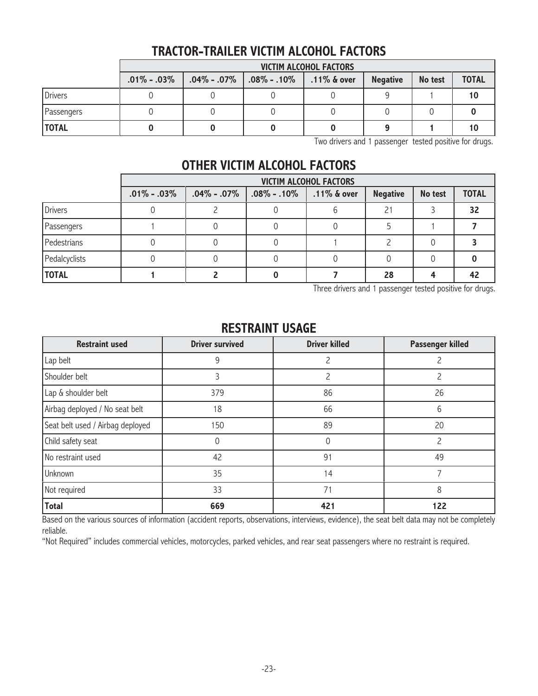### **TRACTOR-TRAILER VICTIM ALCOHOL FACTORS**

|                | <b>VICTIM ALCOHOL FACTORS</b> |  |                                                             |  |                 |         |              |
|----------------|-------------------------------|--|-------------------------------------------------------------|--|-----------------|---------|--------------|
|                | $.01\% - .03\%$               |  | $\vert$ .04% - .07% $\vert$ .08% - .10% $\vert$ .11% & over |  | <b>Negative</b> | No test | <b>TOTAL</b> |
| <b>Drivers</b> |                               |  |                                                             |  |                 |         | 10           |
| Passengers     |                               |  |                                                             |  |                 |         |              |
| <b>TOTAL</b>   |                               |  |                                                             |  |                 |         | 10           |

Two drivers and 1 passenger tested positive for drugs.

#### **OTHER VICTIM ALCOHOL FACTORS**

|                | <b>VICTIM ALCOHOL FACTORS</b> |                |                   |                |                 |         |              |
|----------------|-------------------------------|----------------|-------------------|----------------|-----------------|---------|--------------|
|                | $.01\% - .03\%$               | $.04\%$ - .07% | $.08\%$ - $.10\%$ | $.11\%$ & over | <b>Negative</b> | No test | <b>TOTAL</b> |
| <b>Drivers</b> |                               |                |                   |                |                 |         | 32           |
| Passengers     |                               |                |                   |                |                 |         |              |
| Pedestrians    |                               |                |                   |                |                 |         |              |
| Pedalcyclists  |                               |                |                   |                |                 |         |              |
| <b>TOTAL</b>   |                               |                |                   |                | 28              |         |              |

Three drivers and 1 passenger tested positive for drugs.

| <b>Restraint used</b>            | <b>Driver survived</b> | <b>Driver killed</b> | Passenger killed |
|----------------------------------|------------------------|----------------------|------------------|
| Lap belt                         | 9                      |                      |                  |
| Shoulder belt                    | 3                      | 2                    | 2                |
| Lap & shoulder belt              | 379                    | 86                   | 26               |
| Airbag deployed / No seat belt   | 18                     | 66                   | 6                |
| Seat belt used / Airbag deployed | 150                    | 89                   | 20               |
| Child safety seat                | 0                      | 0                    | 2                |
| No restraint used                | 42                     | 91                   | 49               |
| Unknown                          | 35                     | 14                   | ℸ                |
| Not required                     | 33                     | 71                   | 8                |
| <b>Total</b>                     | 669                    | 421                  | 122              |

#### **RESTRAINT USAGE**

Based on the various sources of information (accident reports, observations, interviews, evidence), the seat belt data may not be completely reliable.

"Not Required" includes commercial vehicles, motorcycles, parked vehicles, and rear seat passengers where no restraint is required.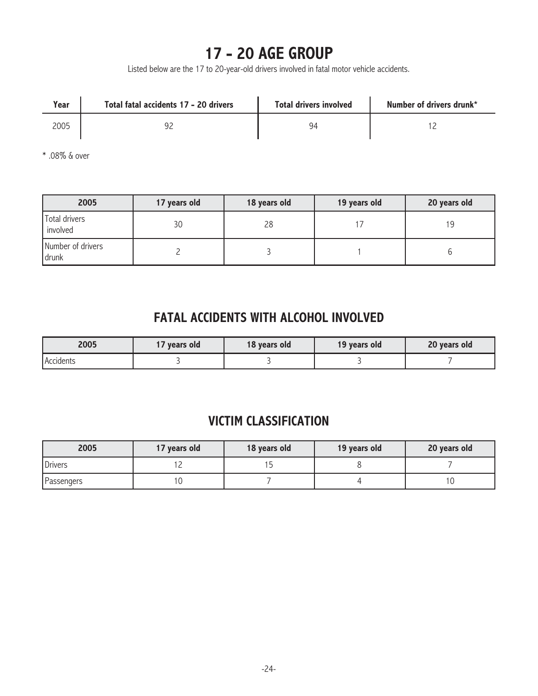## **17 - 20 AGE GROUP**

Listed below are the 17 to 20-year-old drivers involved in fatal motor vehicle accidents.

| Year | Total fatal accidents 17 - 20 drivers | <b>Total drivers involved</b> | Number of drivers drunk* |
|------|---------------------------------------|-------------------------------|--------------------------|
| 2005 |                                       | 94                            |                          |

\* .08% & over

| 2005                       | 17 years old | 18 years old | 19 years old | 20 years old |
|----------------------------|--------------|--------------|--------------|--------------|
| Total drivers<br>involved  | 30           | 28           |              | 19           |
| Number of drivers<br>drunk |              |              |              |              |

#### **FATAL ACCIDENTS WITH ALCOHOL INVOLVED**

| 2005      | vears old | 18 years old | 19 years old | 20 years old |
|-----------|-----------|--------------|--------------|--------------|
| Accidents |           |              |              |              |

#### **VICTIM CLASSIFICATION**

| 2005           | 17 years old | 18 years old | 19 years old | 20 years old |
|----------------|--------------|--------------|--------------|--------------|
| <b>Drivers</b> |              |              |              |              |
| Passengers     |              |              |              | l O          |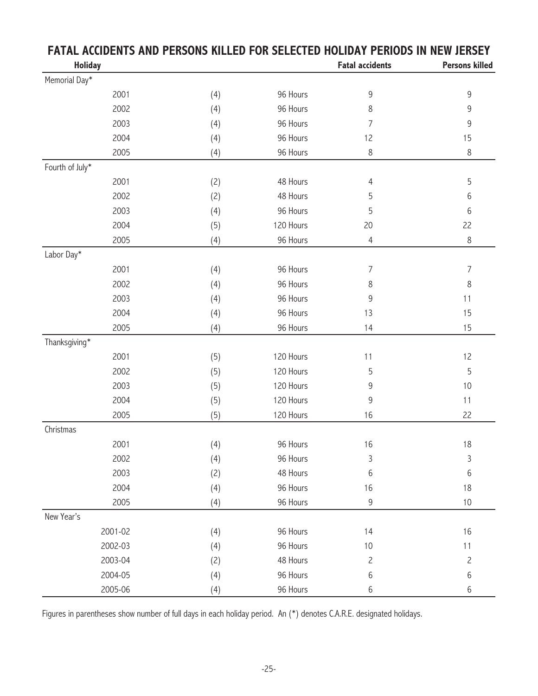|                 | ו שווה שוושבע |     |           | I FIJIANA III IIT      |                       |
|-----------------|---------------|-----|-----------|------------------------|-----------------------|
| <b>Holiday</b>  |               |     |           | <b>Fatal accidents</b> | <b>Persons killed</b> |
| Memorial Day*   |               |     |           |                        |                       |
|                 | 2001          | (4) | 96 Hours  | 9                      | 9                     |
|                 | 2002          | (4) | 96 Hours  | 8                      | 9                     |
|                 | 2003          | (4) | 96 Hours  | 7                      | 9                     |
|                 | 2004          | (4) | 96 Hours  | 12                     | 15                    |
|                 | 2005          | (4) | 96 Hours  | 8                      | $\,8\,$               |
| Fourth of July* |               |     |           |                        |                       |
|                 | 2001          | (2) | 48 Hours  | $\overline{4}$         | 5                     |
|                 | 2002          | (2) | 48 Hours  | 5                      | 6                     |
|                 | 2003          | (4) | 96 Hours  | 5                      | 6                     |
|                 | 2004          | (5) | 120 Hours | 20                     | 22                    |
|                 | 2005          | (4) | 96 Hours  | $\overline{4}$         | $\,8\,$               |
| Labor Day*      |               |     |           |                        |                       |
|                 | 2001          | (4) | 96 Hours  | 7                      | $\overline{7}$        |
|                 | 2002          | (4) | 96 Hours  | 8                      | 8                     |
|                 | 2003          | (4) | 96 Hours  | 9                      | 11                    |
|                 | 2004          | (4) | 96 Hours  | 13                     | 15                    |
|                 | 2005          | (4) | 96 Hours  | 14                     | 15                    |
| Thanksgiving*   |               |     |           |                        |                       |
|                 | 2001          | (5) | 120 Hours | 11                     | 12                    |
|                 | 2002          | (5) | 120 Hours | 5                      | 5                     |
|                 | 2003          | (5) | 120 Hours | 9                      | 10                    |
|                 | 2004          | (5) | 120 Hours | 9                      | 11                    |
|                 | 2005          | (5) | 120 Hours | 16                     | 22                    |
| Christmas       |               |     |           |                        |                       |
|                 | 2001          | (4) | 96 Hours  | 16                     | 18                    |
|                 | 2002          | (4) | 96 Hours  | 3                      | $\mathsf 3$           |
|                 | 2003          | (2) | 48 Hours  | 6                      | 6                     |
|                 | 2004          | (4) | 96 Hours  | 16                     | 18                    |
|                 | 2005          | (4) | 96 Hours  | 9                      | $10$                  |
| New Year's      |               |     |           |                        |                       |
|                 | 2001-02       | (4) | 96 Hours  | 14                     | 16                    |
|                 | 2002-03       | (4) | 96 Hours  | $10$                   | 11                    |
|                 | 2003-04       | (2) | 48 Hours  | $\overline{c}$         | 2                     |
|                 | 2004-05       | (4) | 96 Hours  | 6                      | 6                     |
|                 | 2005-06       | (4) | 96 Hours  | 6                      | 6                     |

### **FATAL ACCIDENTS AND PERSONS KILLED FOR SELECTED HOLIDAY PERIODS IN NEW JERSEY**

Figures in parentheses show number of full days in each holiday period. An (\*) denotes C.A.R.E. designated holidays.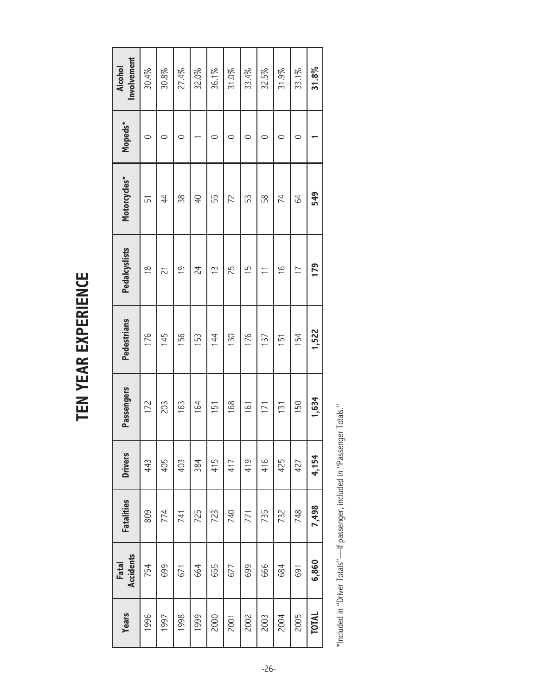| ľ           |
|-------------|
|             |
| ı           |
|             |
| с<br>ı<br>I |
|             |
| ı           |

| <b>Drivers</b><br><b>Fatalities</b> | Passengers | <b>Pedestrians</b> | Pedalcyslists  | Motorcycles*   | Mopeds* | Involvement<br>Alcohol |
|-------------------------------------|------------|--------------------|----------------|----------------|---------|------------------------|
| 443                                 | 172        | 176                | $\frac{8}{1}$  | 51             | 0       | 30.4%                  |
| 405                                 | 203        | 145                | $\overline{C}$ | 44             | 0       | 30.8%                  |
| 403                                 | 163        | 156                | $\frac{6}{1}$  | 38             | 0       | 27.4%                  |
| 384                                 | 164        | 153                | 24             | $\overline{P}$ |         | 32.0%                  |
| 415                                 | 151        | 144                | $\frac{3}{5}$  | 55             | C       | 36.1%                  |
| 417                                 | 168        | 130                | 25             | 22             | 0       | 31.0%                  |
| 419                                 | 161        | 176                | 15             | 53             | C       | 33.4%                  |
| 416                                 | 171        | 137                |                | 58             | C       | 32.5%                  |
| 425                                 | 131        | 151                | $\frac{0}{1}$  | 74             | C       | 31.9%                  |
| 427                                 | 150        | 154                | $\overline{1}$ | 84             |         | 33.1%                  |
| 4,154                               | 1,634      | 1,522              | 179            | 549            |         | 31.8%                  |

\*Included in "Driver Totals"—If passenger, included in "Passenger Totals." \*Included in "Driver Totals"—If passenger, included in "Passenger Totals."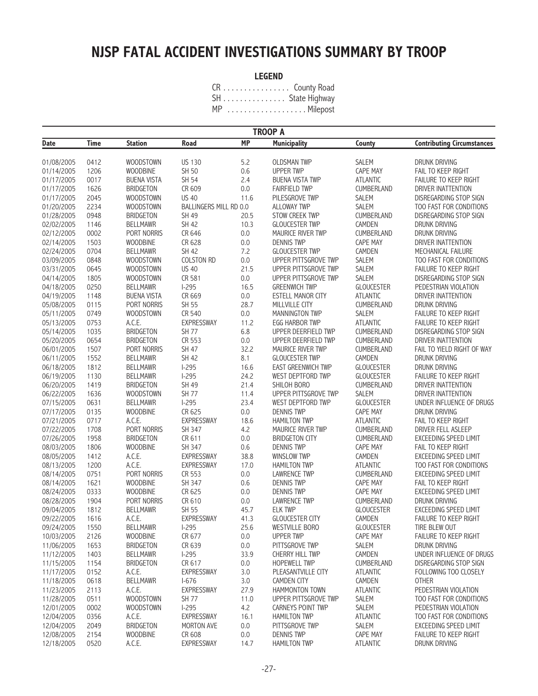## **NJSP FATAL ACCIDENT INVESTIGATIONS SUMMARY BY TROOP**

#### **LEGEND**

CR . . . . . . . . . . . . . . . . County Road SH . . . . . . . . . . . . . . . State Highway MP . . . . . . . . . . . . . . . . . . . Milepost

| <b>MP</b><br><b>Time</b><br>Road<br><b>Municipality</b><br><b>Contributing Circumstances</b><br><b>Station</b><br>County<br>Date<br>WOODSTOWN<br>5.2<br><b>OLDSMAN TWP</b><br>SALEM<br>DRUNK DRIVING<br>01/08/2005<br>0412<br><b>US 130</b><br><b>WOODBINE</b><br>SH 50<br>0.6<br><b>UPPER TWP</b><br>CAPE MAY<br>FAIL TO KEEP RIGHT<br>01/14/2005<br>1206<br>SH 54<br>2.4<br>01/17/2005<br>0017<br><b>BUENA VISTA</b><br><b>BUENA VISTA TWP</b><br><b>ATLANTIC</b><br>FAILURE TO KEEP RIGHT<br>CUMBERLAND<br>1626<br><b>BRIDGETON</b><br>CR 609<br>0.0<br><b>FAIRFIELD TWP</b><br>DRIVER INATTENTION<br>01/17/2005<br>2045<br>WOODSTOWN<br><b>US 40</b><br>DISREGARDING STOP SIGN<br>01/17/2005<br>11.6<br>PILESGROVE TWP<br><b>SALEM</b><br>2234<br>BALLINGERS MILL RD 0.0<br>SALEM<br>TOO FAST FOR CONDITIONS<br>01/20/2005<br><b>WOODSTOWN</b><br><b>ALLOWAY TWP</b><br><b>BRIDGETON</b><br>SH 49<br><b>STOW CREEK TWP</b><br>CUMBERLAND<br>01/28/2005<br>0948<br>20.5<br>DISREGARDING STOP SIGN<br><b>BELLMAWR</b><br><b>SH 42</b><br>CAMDEN<br>02/02/2005<br>1146<br>10.3<br><b>GLOUCESTER TWP</b><br>DRUNK DRIVING<br>0002<br>PORT NORRIS<br>CR 646<br>0.0<br>MAURICE RIVER TWP<br>CUMBERLAND<br>DRUNK DRIVING<br>02/12/2005<br>1503<br>CR 628<br>CAPE MAY<br>02/14/2005<br><b>WOODBINE</b><br>0.0<br><b>DENNIS TWP</b><br>DRIVER INATTENTION<br><b>SH 42</b><br>CAMDEN<br>02/24/2005<br>0704<br><b>BELLMAWR</b><br>7.2<br><b>GLOUCESTER TWP</b><br>MECHANICAL FAILURE<br>COLSTON RD<br>0.0<br>03/09/2005<br>0848<br>WOODSTOWN<br>UPPER PITTSGROVE TWP<br>SALEM<br>TOO FAST FOR CONDITIONS<br><b>US 40</b><br>21.5<br>SALEM<br>03/31/2005<br>0645<br>WOODSTOWN<br>UPPER PITTSGROVE TWP<br>FAILURE TO KEEP RIGHT<br>CR 581<br>0.0<br>SALEM<br>DISREGARDING STOP SIGN<br>04/14/2005<br>1805<br>WOODSTOWN<br>UPPER PITTSGROVE TWP<br>0250<br>$1-295$<br>PEDESTRIAN VIOLATION<br>04/18/2005<br><b>BELLMAWR</b><br>16.5<br><b>GREENWICH TWP</b><br><b>GLOUCESTER</b><br>CR 669<br>1148<br><b>BUENA VISTA</b><br>0.0<br>ESTELL MANOR CITY<br><b>ATLANTIC</b><br>DRIVER INATTENTION<br>04/19/2005<br>SH 55<br>28.7<br>CUMBERLAND<br>05/08/2005<br>0115<br>PORT NORRIS<br>MILLVILLE CITY<br><b>DRUNK DRIVING</b><br>0749<br>WOODSTOWN<br>CR 540<br>0.0<br>FAILURE TO KEEP RIGHT<br>05/11/2005<br>MANNINGTON TWP<br>SALEM<br>A.C.E.<br><b>EXPRESSWAY</b><br>0753<br>11.2<br><b>EGG HARBOR TWP</b><br><b>ATLANTIC</b><br>FAILURE TO KEEP RIGHT<br>05/13/2005<br>1035<br><b>BRIDGETON</b><br><b>SH 77</b><br>6.8<br>CUMBERLAND<br>05/14/2005<br>UPPER DEERFIELD TWP<br>DISREGARDING STOP SIGN<br>0654<br><b>BRIDGETON</b><br>CR 553<br>0.0<br>05/20/2005<br>UPPER DEERFIELD TWP<br>CUMBERLAND<br>DRIVER INATTENTION<br>SH 47<br>1507<br>PORT NORRIS<br>32.2<br>MAURICE RIVER TWP<br>CUMBERLAND<br>FAIL TO YIELD RIGHT OF WAY<br>06/01/2005<br><b>SH 42</b><br>8.1<br>06/11/2005<br>1552<br><b>BELLMAWR</b><br><b>GLOUCESTER TWP</b><br>CAMDEN<br><b>DRUNK DRIVING</b><br>$1-295$<br><b>GLOUCESTER</b><br>06/18/2005<br>1812<br><b>BELLMAWR</b><br>16.6<br><b>EAST GREENWICH TWP</b><br>DRUNK DRIVING<br>$1-295$<br>1130<br><b>BELLMAWR</b><br>24.2<br>WEST DEPTFORD TWP<br><b>GLOUCESTER</b><br>FAILURE TO KEEP RIGHT<br>06/19/2005<br>SH 49<br><b>BRIDGETON</b><br>21.4<br>SHILOH BORO<br>CUMBERLAND<br>DRIVER INATTENTION<br>06/20/2005<br>1419<br><b>SH 77</b><br>UPPER PITTSGROVE TWP<br>SALEM<br>06/22/2005<br>1636<br>WOODSTOWN<br>11.4<br>DRIVER INATTENTION<br>23.4<br>07/15/2005<br>0631<br><b>BELLMAWR</b><br>$1-295$<br>WEST DEPTFORD TWP<br><b>GLOUCESTER</b><br>UNDER INFLUENCE OF DRUGS<br><b>WOODBINE</b><br>0135<br>CR 625<br>0.0<br><b>DENNIS TWP</b><br>CAPE MAY<br>DRUNK DRIVING<br>07/17/2005<br>0717<br>A.C.E.<br><b>EXPRESSWAY</b><br>18.6<br>07/21/2005<br><b>HAMILTON TWP</b><br><b>ATLANTIC</b><br>FAIL TO KEEP RIGHT<br>1708<br>PORT NORRIS<br>SH 347<br>MAURICE RIVER TWP<br>CUMBERLAND<br>DRIVER FELL ASLEEP<br>07/22/2005<br>4.2<br>CR 611<br>07/26/2005<br>1958<br><b>BRIDGETON</b><br>0.0<br><b>BRIDGETON CITY</b><br>CUMBERLAND<br>EXCEEDING SPEED LIMIT<br><b>WOODBINE</b><br>SH 347<br>0.6<br><b>DENNIS TWP</b><br>CAPE MAY<br>FAIL TO KEEP RIGHT<br>08/03/2005<br>1806<br>A.C.E.<br><b>EXPRESSWAY</b><br>CAMDEN<br>08/05/2005<br>1412<br>38.8<br>WINSLOW TWP<br>EXCEEDING SPEED LIMIT<br>A.C.E.<br>1200<br><b>EXPRESSWAY</b><br>17.0<br>ATLANTIC<br>TOO FAST FOR CONDITIONS<br>08/13/2005<br><b>HAMILTON TWP</b><br>PORT NORRIS<br>08/14/2005<br>0751<br>CR 553<br>0.0<br><b>LAWRENCE TWP</b><br>CUMBERLAND<br>EXCEEDING SPEED LIMIT<br><b>WOODBINE</b><br>SH 347<br>CAPE MAY<br>FAIL TO KEEP RIGHT<br>08/14/2005<br>1621<br>0.6<br><b>DENNIS TWP</b><br>CR 625<br>0333<br><b>WOODBINE</b><br>0.0<br><b>DENNIS TWP</b><br>CAPE MAY<br><b>EXCEEDING SPEED LIMIT</b><br>08/24/2005<br>PORT NORRIS<br>CR 610<br>08/28/2005<br>1904<br>0.0<br><b>LAWRENCE TWP</b><br>CUMBERLAND<br>DRUNK DRIVING<br>SH 55<br>EXCEEDING SPEED LIMIT<br>09/04/2005<br>1812<br><b>BELLMAWR</b><br>45.7<br><b>ELK TWP</b><br><b>GLOUCESTER</b><br>A.C.E.<br><b>EXPRESSWAY</b><br><b>GLOUCESTER CITY</b><br>CAMDEN<br>FAILURE TO KEEP RIGHT<br>09/22/2005<br>1616<br>41.3<br><b>BELLMAWR</b><br>$1-295$<br>25.6<br><b>WESTVILLE BORO</b><br><b>GLOUCESTER</b><br>TIRE BLEW OUT<br>09/24/2005<br>1550<br>WOODBINE<br>CR 677<br>0.0<br><b>UPPER TWP</b><br>CAPE MAY<br>FAILURE TO KEEP RIGHT<br>10/03/2005<br>2126<br>11/06/2005<br>1653<br><b>BRIDGETON</b><br>CR 639<br>0.0<br>PITTSGROVE TWP<br><b>SALEM</b><br>DRUNK DRIVING<br>1403<br>$I-295$<br>33.9<br>CAMDEN<br>UNDER INFLUENCE OF DRUGS<br>11/12/2005<br><b>BELLMAWR</b><br>CHERRY HILL TWP<br><b>BRIDGETON</b><br>CUMBERLAND<br>11/15/2005<br>1154<br>CR 617<br>0.0<br><b>HOPEWELL TWP</b><br>DISREGARDING STOP SIGN<br>0152<br>A.C.E.<br><b>EXPRESSWAY</b><br>ATLANTIC<br>FOLLOWING TOO CLOSELY<br>11/17/2005<br>3.0<br>PLEASANTVILLE CITY<br><b>OTHER</b><br>0618<br><b>BELLMAWR</b><br>3.0<br><b>CAMDEN CITY</b><br>CAMDEN<br>11/18/2005<br>$1-676$<br>11/23/2005<br>A.C.E.<br><b>EXPRESSWAY</b><br>27.9<br><b>HAMMONTON TOWN</b><br>ATLANTIC<br>PEDESTRIAN VIOLATION<br>2113<br>0511<br>WOODSTOWN<br><b>SH 77</b><br>UPPER PITTSGROVE TWP<br>SALEM<br>TOO FAST FOR CONDITIONS<br>11/28/2005<br>11.0 |  |  | <b>TROOP A</b> |  |
|------------------------------------------------------------------------------------------------------------------------------------------------------------------------------------------------------------------------------------------------------------------------------------------------------------------------------------------------------------------------------------------------------------------------------------------------------------------------------------------------------------------------------------------------------------------------------------------------------------------------------------------------------------------------------------------------------------------------------------------------------------------------------------------------------------------------------------------------------------------------------------------------------------------------------------------------------------------------------------------------------------------------------------------------------------------------------------------------------------------------------------------------------------------------------------------------------------------------------------------------------------------------------------------------------------------------------------------------------------------------------------------------------------------------------------------------------------------------------------------------------------------------------------------------------------------------------------------------------------------------------------------------------------------------------------------------------------------------------------------------------------------------------------------------------------------------------------------------------------------------------------------------------------------------------------------------------------------------------------------------------------------------------------------------------------------------------------------------------------------------------------------------------------------------------------------------------------------------------------------------------------------------------------------------------------------------------------------------------------------------------------------------------------------------------------------------------------------------------------------------------------------------------------------------------------------------------------------------------------------------------------------------------------------------------------------------------------------------------------------------------------------------------------------------------------------------------------------------------------------------------------------------------------------------------------------------------------------------------------------------------------------------------------------------------------------------------------------------------------------------------------------------------------------------------------------------------------------------------------------------------------------------------------------------------------------------------------------------------------------------------------------------------------------------------------------------------------------------------------------------------------------------------------------------------------------------------------------------------------------------------------------------------------------------------------------------------------------------------------------------------------------------------------------------------------------------------------------------------------------------------------------------------------------------------------------------------------------------------------------------------------------------------------------------------------------------------------------------------------------------------------------------------------------------------------------------------------------------------------------------------------------------------------------------------------------------------------------------------------------------------------------------------------------------------------------------------------------------------------------------------------------------------------------------------------------------------------------------------------------------------------------------------------------------------------------------------------------------------------------------------------------------------------------------------------------------------------------------------------------------------------------------------------------------------------------------------------------------------------------------------------------------------------------------------------------------------------------------------------------------------------------------------------------------------------------------------------------------------------------------------------------------------------------------------------------------------------------------------------------------------------------------------------------------------------------------------------------------------------------------------------------------------------------------------------------------------------------------------------------------------------------------------------------------------------------------------------------------------------------------------------------------------------------------------------------------------------------------------------------------------------------------------------------------------------------------------------------------------------------------------------------------------------------------------------------------------------------------------------------------------------------------------------------------------------------------------------------------------------------------------------------------|--|--|----------------|--|
|                                                                                                                                                                                                                                                                                                                                                                                                                                                                                                                                                                                                                                                                                                                                                                                                                                                                                                                                                                                                                                                                                                                                                                                                                                                                                                                                                                                                                                                                                                                                                                                                                                                                                                                                                                                                                                                                                                                                                                                                                                                                                                                                                                                                                                                                                                                                                                                                                                                                                                                                                                                                                                                                                                                                                                                                                                                                                                                                                                                                                                                                                                                                                                                                                                                                                                                                                                                                                                                                                                                                                                                                                                                                                                                                                                                                                                                                                                                                                                                                                                                                                                                                                                                                                                                                                                                                                                                                                                                                                                                                                                                                                                                                                                                                                                                                                                                                                                                                                                                                                                                                                                                                                                                                                                                                                                                                                                                                                                                                                                                                                                                                                                                                                                                                                                                                                                                                                                                                                                                                                                                                                                                                                                                                                                                                        |  |  |                |  |
|                                                                                                                                                                                                                                                                                                                                                                                                                                                                                                                                                                                                                                                                                                                                                                                                                                                                                                                                                                                                                                                                                                                                                                                                                                                                                                                                                                                                                                                                                                                                                                                                                                                                                                                                                                                                                                                                                                                                                                                                                                                                                                                                                                                                                                                                                                                                                                                                                                                                                                                                                                                                                                                                                                                                                                                                                                                                                                                                                                                                                                                                                                                                                                                                                                                                                                                                                                                                                                                                                                                                                                                                                                                                                                                                                                                                                                                                                                                                                                                                                                                                                                                                                                                                                                                                                                                                                                                                                                                                                                                                                                                                                                                                                                                                                                                                                                                                                                                                                                                                                                                                                                                                                                                                                                                                                                                                                                                                                                                                                                                                                                                                                                                                                                                                                                                                                                                                                                                                                                                                                                                                                                                                                                                                                                                                        |  |  |                |  |
|                                                                                                                                                                                                                                                                                                                                                                                                                                                                                                                                                                                                                                                                                                                                                                                                                                                                                                                                                                                                                                                                                                                                                                                                                                                                                                                                                                                                                                                                                                                                                                                                                                                                                                                                                                                                                                                                                                                                                                                                                                                                                                                                                                                                                                                                                                                                                                                                                                                                                                                                                                                                                                                                                                                                                                                                                                                                                                                                                                                                                                                                                                                                                                                                                                                                                                                                                                                                                                                                                                                                                                                                                                                                                                                                                                                                                                                                                                                                                                                                                                                                                                                                                                                                                                                                                                                                                                                                                                                                                                                                                                                                                                                                                                                                                                                                                                                                                                                                                                                                                                                                                                                                                                                                                                                                                                                                                                                                                                                                                                                                                                                                                                                                                                                                                                                                                                                                                                                                                                                                                                                                                                                                                                                                                                                                        |  |  |                |  |
|                                                                                                                                                                                                                                                                                                                                                                                                                                                                                                                                                                                                                                                                                                                                                                                                                                                                                                                                                                                                                                                                                                                                                                                                                                                                                                                                                                                                                                                                                                                                                                                                                                                                                                                                                                                                                                                                                                                                                                                                                                                                                                                                                                                                                                                                                                                                                                                                                                                                                                                                                                                                                                                                                                                                                                                                                                                                                                                                                                                                                                                                                                                                                                                                                                                                                                                                                                                                                                                                                                                                                                                                                                                                                                                                                                                                                                                                                                                                                                                                                                                                                                                                                                                                                                                                                                                                                                                                                                                                                                                                                                                                                                                                                                                                                                                                                                                                                                                                                                                                                                                                                                                                                                                                                                                                                                                                                                                                                                                                                                                                                                                                                                                                                                                                                                                                                                                                                                                                                                                                                                                                                                                                                                                                                                                                        |  |  |                |  |
|                                                                                                                                                                                                                                                                                                                                                                                                                                                                                                                                                                                                                                                                                                                                                                                                                                                                                                                                                                                                                                                                                                                                                                                                                                                                                                                                                                                                                                                                                                                                                                                                                                                                                                                                                                                                                                                                                                                                                                                                                                                                                                                                                                                                                                                                                                                                                                                                                                                                                                                                                                                                                                                                                                                                                                                                                                                                                                                                                                                                                                                                                                                                                                                                                                                                                                                                                                                                                                                                                                                                                                                                                                                                                                                                                                                                                                                                                                                                                                                                                                                                                                                                                                                                                                                                                                                                                                                                                                                                                                                                                                                                                                                                                                                                                                                                                                                                                                                                                                                                                                                                                                                                                                                                                                                                                                                                                                                                                                                                                                                                                                                                                                                                                                                                                                                                                                                                                                                                                                                                                                                                                                                                                                                                                                                                        |  |  |                |  |
|                                                                                                                                                                                                                                                                                                                                                                                                                                                                                                                                                                                                                                                                                                                                                                                                                                                                                                                                                                                                                                                                                                                                                                                                                                                                                                                                                                                                                                                                                                                                                                                                                                                                                                                                                                                                                                                                                                                                                                                                                                                                                                                                                                                                                                                                                                                                                                                                                                                                                                                                                                                                                                                                                                                                                                                                                                                                                                                                                                                                                                                                                                                                                                                                                                                                                                                                                                                                                                                                                                                                                                                                                                                                                                                                                                                                                                                                                                                                                                                                                                                                                                                                                                                                                                                                                                                                                                                                                                                                                                                                                                                                                                                                                                                                                                                                                                                                                                                                                                                                                                                                                                                                                                                                                                                                                                                                                                                                                                                                                                                                                                                                                                                                                                                                                                                                                                                                                                                                                                                                                                                                                                                                                                                                                                                                        |  |  |                |  |
|                                                                                                                                                                                                                                                                                                                                                                                                                                                                                                                                                                                                                                                                                                                                                                                                                                                                                                                                                                                                                                                                                                                                                                                                                                                                                                                                                                                                                                                                                                                                                                                                                                                                                                                                                                                                                                                                                                                                                                                                                                                                                                                                                                                                                                                                                                                                                                                                                                                                                                                                                                                                                                                                                                                                                                                                                                                                                                                                                                                                                                                                                                                                                                                                                                                                                                                                                                                                                                                                                                                                                                                                                                                                                                                                                                                                                                                                                                                                                                                                                                                                                                                                                                                                                                                                                                                                                                                                                                                                                                                                                                                                                                                                                                                                                                                                                                                                                                                                                                                                                                                                                                                                                                                                                                                                                                                                                                                                                                                                                                                                                                                                                                                                                                                                                                                                                                                                                                                                                                                                                                                                                                                                                                                                                                                                        |  |  |                |  |
|                                                                                                                                                                                                                                                                                                                                                                                                                                                                                                                                                                                                                                                                                                                                                                                                                                                                                                                                                                                                                                                                                                                                                                                                                                                                                                                                                                                                                                                                                                                                                                                                                                                                                                                                                                                                                                                                                                                                                                                                                                                                                                                                                                                                                                                                                                                                                                                                                                                                                                                                                                                                                                                                                                                                                                                                                                                                                                                                                                                                                                                                                                                                                                                                                                                                                                                                                                                                                                                                                                                                                                                                                                                                                                                                                                                                                                                                                                                                                                                                                                                                                                                                                                                                                                                                                                                                                                                                                                                                                                                                                                                                                                                                                                                                                                                                                                                                                                                                                                                                                                                                                                                                                                                                                                                                                                                                                                                                                                                                                                                                                                                                                                                                                                                                                                                                                                                                                                                                                                                                                                                                                                                                                                                                                                                                        |  |  |                |  |
|                                                                                                                                                                                                                                                                                                                                                                                                                                                                                                                                                                                                                                                                                                                                                                                                                                                                                                                                                                                                                                                                                                                                                                                                                                                                                                                                                                                                                                                                                                                                                                                                                                                                                                                                                                                                                                                                                                                                                                                                                                                                                                                                                                                                                                                                                                                                                                                                                                                                                                                                                                                                                                                                                                                                                                                                                                                                                                                                                                                                                                                                                                                                                                                                                                                                                                                                                                                                                                                                                                                                                                                                                                                                                                                                                                                                                                                                                                                                                                                                                                                                                                                                                                                                                                                                                                                                                                                                                                                                                                                                                                                                                                                                                                                                                                                                                                                                                                                                                                                                                                                                                                                                                                                                                                                                                                                                                                                                                                                                                                                                                                                                                                                                                                                                                                                                                                                                                                                                                                                                                                                                                                                                                                                                                                                                        |  |  |                |  |
|                                                                                                                                                                                                                                                                                                                                                                                                                                                                                                                                                                                                                                                                                                                                                                                                                                                                                                                                                                                                                                                                                                                                                                                                                                                                                                                                                                                                                                                                                                                                                                                                                                                                                                                                                                                                                                                                                                                                                                                                                                                                                                                                                                                                                                                                                                                                                                                                                                                                                                                                                                                                                                                                                                                                                                                                                                                                                                                                                                                                                                                                                                                                                                                                                                                                                                                                                                                                                                                                                                                                                                                                                                                                                                                                                                                                                                                                                                                                                                                                                                                                                                                                                                                                                                                                                                                                                                                                                                                                                                                                                                                                                                                                                                                                                                                                                                                                                                                                                                                                                                                                                                                                                                                                                                                                                                                                                                                                                                                                                                                                                                                                                                                                                                                                                                                                                                                                                                                                                                                                                                                                                                                                                                                                                                                                        |  |  |                |  |
|                                                                                                                                                                                                                                                                                                                                                                                                                                                                                                                                                                                                                                                                                                                                                                                                                                                                                                                                                                                                                                                                                                                                                                                                                                                                                                                                                                                                                                                                                                                                                                                                                                                                                                                                                                                                                                                                                                                                                                                                                                                                                                                                                                                                                                                                                                                                                                                                                                                                                                                                                                                                                                                                                                                                                                                                                                                                                                                                                                                                                                                                                                                                                                                                                                                                                                                                                                                                                                                                                                                                                                                                                                                                                                                                                                                                                                                                                                                                                                                                                                                                                                                                                                                                                                                                                                                                                                                                                                                                                                                                                                                                                                                                                                                                                                                                                                                                                                                                                                                                                                                                                                                                                                                                                                                                                                                                                                                                                                                                                                                                                                                                                                                                                                                                                                                                                                                                                                                                                                                                                                                                                                                                                                                                                                                                        |  |  |                |  |
|                                                                                                                                                                                                                                                                                                                                                                                                                                                                                                                                                                                                                                                                                                                                                                                                                                                                                                                                                                                                                                                                                                                                                                                                                                                                                                                                                                                                                                                                                                                                                                                                                                                                                                                                                                                                                                                                                                                                                                                                                                                                                                                                                                                                                                                                                                                                                                                                                                                                                                                                                                                                                                                                                                                                                                                                                                                                                                                                                                                                                                                                                                                                                                                                                                                                                                                                                                                                                                                                                                                                                                                                                                                                                                                                                                                                                                                                                                                                                                                                                                                                                                                                                                                                                                                                                                                                                                                                                                                                                                                                                                                                                                                                                                                                                                                                                                                                                                                                                                                                                                                                                                                                                                                                                                                                                                                                                                                                                                                                                                                                                                                                                                                                                                                                                                                                                                                                                                                                                                                                                                                                                                                                                                                                                                                                        |  |  |                |  |
|                                                                                                                                                                                                                                                                                                                                                                                                                                                                                                                                                                                                                                                                                                                                                                                                                                                                                                                                                                                                                                                                                                                                                                                                                                                                                                                                                                                                                                                                                                                                                                                                                                                                                                                                                                                                                                                                                                                                                                                                                                                                                                                                                                                                                                                                                                                                                                                                                                                                                                                                                                                                                                                                                                                                                                                                                                                                                                                                                                                                                                                                                                                                                                                                                                                                                                                                                                                                                                                                                                                                                                                                                                                                                                                                                                                                                                                                                                                                                                                                                                                                                                                                                                                                                                                                                                                                                                                                                                                                                                                                                                                                                                                                                                                                                                                                                                                                                                                                                                                                                                                                                                                                                                                                                                                                                                                                                                                                                                                                                                                                                                                                                                                                                                                                                                                                                                                                                                                                                                                                                                                                                                                                                                                                                                                                        |  |  |                |  |
|                                                                                                                                                                                                                                                                                                                                                                                                                                                                                                                                                                                                                                                                                                                                                                                                                                                                                                                                                                                                                                                                                                                                                                                                                                                                                                                                                                                                                                                                                                                                                                                                                                                                                                                                                                                                                                                                                                                                                                                                                                                                                                                                                                                                                                                                                                                                                                                                                                                                                                                                                                                                                                                                                                                                                                                                                                                                                                                                                                                                                                                                                                                                                                                                                                                                                                                                                                                                                                                                                                                                                                                                                                                                                                                                                                                                                                                                                                                                                                                                                                                                                                                                                                                                                                                                                                                                                                                                                                                                                                                                                                                                                                                                                                                                                                                                                                                                                                                                                                                                                                                                                                                                                                                                                                                                                                                                                                                                                                                                                                                                                                                                                                                                                                                                                                                                                                                                                                                                                                                                                                                                                                                                                                                                                                                                        |  |  |                |  |
|                                                                                                                                                                                                                                                                                                                                                                                                                                                                                                                                                                                                                                                                                                                                                                                                                                                                                                                                                                                                                                                                                                                                                                                                                                                                                                                                                                                                                                                                                                                                                                                                                                                                                                                                                                                                                                                                                                                                                                                                                                                                                                                                                                                                                                                                                                                                                                                                                                                                                                                                                                                                                                                                                                                                                                                                                                                                                                                                                                                                                                                                                                                                                                                                                                                                                                                                                                                                                                                                                                                                                                                                                                                                                                                                                                                                                                                                                                                                                                                                                                                                                                                                                                                                                                                                                                                                                                                                                                                                                                                                                                                                                                                                                                                                                                                                                                                                                                                                                                                                                                                                                                                                                                                                                                                                                                                                                                                                                                                                                                                                                                                                                                                                                                                                                                                                                                                                                                                                                                                                                                                                                                                                                                                                                                                                        |  |  |                |  |
|                                                                                                                                                                                                                                                                                                                                                                                                                                                                                                                                                                                                                                                                                                                                                                                                                                                                                                                                                                                                                                                                                                                                                                                                                                                                                                                                                                                                                                                                                                                                                                                                                                                                                                                                                                                                                                                                                                                                                                                                                                                                                                                                                                                                                                                                                                                                                                                                                                                                                                                                                                                                                                                                                                                                                                                                                                                                                                                                                                                                                                                                                                                                                                                                                                                                                                                                                                                                                                                                                                                                                                                                                                                                                                                                                                                                                                                                                                                                                                                                                                                                                                                                                                                                                                                                                                                                                                                                                                                                                                                                                                                                                                                                                                                                                                                                                                                                                                                                                                                                                                                                                                                                                                                                                                                                                                                                                                                                                                                                                                                                                                                                                                                                                                                                                                                                                                                                                                                                                                                                                                                                                                                                                                                                                                                                        |  |  |                |  |
|                                                                                                                                                                                                                                                                                                                                                                                                                                                                                                                                                                                                                                                                                                                                                                                                                                                                                                                                                                                                                                                                                                                                                                                                                                                                                                                                                                                                                                                                                                                                                                                                                                                                                                                                                                                                                                                                                                                                                                                                                                                                                                                                                                                                                                                                                                                                                                                                                                                                                                                                                                                                                                                                                                                                                                                                                                                                                                                                                                                                                                                                                                                                                                                                                                                                                                                                                                                                                                                                                                                                                                                                                                                                                                                                                                                                                                                                                                                                                                                                                                                                                                                                                                                                                                                                                                                                                                                                                                                                                                                                                                                                                                                                                                                                                                                                                                                                                                                                                                                                                                                                                                                                                                                                                                                                                                                                                                                                                                                                                                                                                                                                                                                                                                                                                                                                                                                                                                                                                                                                                                                                                                                                                                                                                                                                        |  |  |                |  |
|                                                                                                                                                                                                                                                                                                                                                                                                                                                                                                                                                                                                                                                                                                                                                                                                                                                                                                                                                                                                                                                                                                                                                                                                                                                                                                                                                                                                                                                                                                                                                                                                                                                                                                                                                                                                                                                                                                                                                                                                                                                                                                                                                                                                                                                                                                                                                                                                                                                                                                                                                                                                                                                                                                                                                                                                                                                                                                                                                                                                                                                                                                                                                                                                                                                                                                                                                                                                                                                                                                                                                                                                                                                                                                                                                                                                                                                                                                                                                                                                                                                                                                                                                                                                                                                                                                                                                                                                                                                                                                                                                                                                                                                                                                                                                                                                                                                                                                                                                                                                                                                                                                                                                                                                                                                                                                                                                                                                                                                                                                                                                                                                                                                                                                                                                                                                                                                                                                                                                                                                                                                                                                                                                                                                                                                                        |  |  |                |  |
|                                                                                                                                                                                                                                                                                                                                                                                                                                                                                                                                                                                                                                                                                                                                                                                                                                                                                                                                                                                                                                                                                                                                                                                                                                                                                                                                                                                                                                                                                                                                                                                                                                                                                                                                                                                                                                                                                                                                                                                                                                                                                                                                                                                                                                                                                                                                                                                                                                                                                                                                                                                                                                                                                                                                                                                                                                                                                                                                                                                                                                                                                                                                                                                                                                                                                                                                                                                                                                                                                                                                                                                                                                                                                                                                                                                                                                                                                                                                                                                                                                                                                                                                                                                                                                                                                                                                                                                                                                                                                                                                                                                                                                                                                                                                                                                                                                                                                                                                                                                                                                                                                                                                                                                                                                                                                                                                                                                                                                                                                                                                                                                                                                                                                                                                                                                                                                                                                                                                                                                                                                                                                                                                                                                                                                                                        |  |  |                |  |
|                                                                                                                                                                                                                                                                                                                                                                                                                                                                                                                                                                                                                                                                                                                                                                                                                                                                                                                                                                                                                                                                                                                                                                                                                                                                                                                                                                                                                                                                                                                                                                                                                                                                                                                                                                                                                                                                                                                                                                                                                                                                                                                                                                                                                                                                                                                                                                                                                                                                                                                                                                                                                                                                                                                                                                                                                                                                                                                                                                                                                                                                                                                                                                                                                                                                                                                                                                                                                                                                                                                                                                                                                                                                                                                                                                                                                                                                                                                                                                                                                                                                                                                                                                                                                                                                                                                                                                                                                                                                                                                                                                                                                                                                                                                                                                                                                                                                                                                                                                                                                                                                                                                                                                                                                                                                                                                                                                                                                                                                                                                                                                                                                                                                                                                                                                                                                                                                                                                                                                                                                                                                                                                                                                                                                                                                        |  |  |                |  |
|                                                                                                                                                                                                                                                                                                                                                                                                                                                                                                                                                                                                                                                                                                                                                                                                                                                                                                                                                                                                                                                                                                                                                                                                                                                                                                                                                                                                                                                                                                                                                                                                                                                                                                                                                                                                                                                                                                                                                                                                                                                                                                                                                                                                                                                                                                                                                                                                                                                                                                                                                                                                                                                                                                                                                                                                                                                                                                                                                                                                                                                                                                                                                                                                                                                                                                                                                                                                                                                                                                                                                                                                                                                                                                                                                                                                                                                                                                                                                                                                                                                                                                                                                                                                                                                                                                                                                                                                                                                                                                                                                                                                                                                                                                                                                                                                                                                                                                                                                                                                                                                                                                                                                                                                                                                                                                                                                                                                                                                                                                                                                                                                                                                                                                                                                                                                                                                                                                                                                                                                                                                                                                                                                                                                                                                                        |  |  |                |  |
|                                                                                                                                                                                                                                                                                                                                                                                                                                                                                                                                                                                                                                                                                                                                                                                                                                                                                                                                                                                                                                                                                                                                                                                                                                                                                                                                                                                                                                                                                                                                                                                                                                                                                                                                                                                                                                                                                                                                                                                                                                                                                                                                                                                                                                                                                                                                                                                                                                                                                                                                                                                                                                                                                                                                                                                                                                                                                                                                                                                                                                                                                                                                                                                                                                                                                                                                                                                                                                                                                                                                                                                                                                                                                                                                                                                                                                                                                                                                                                                                                                                                                                                                                                                                                                                                                                                                                                                                                                                                                                                                                                                                                                                                                                                                                                                                                                                                                                                                                                                                                                                                                                                                                                                                                                                                                                                                                                                                                                                                                                                                                                                                                                                                                                                                                                                                                                                                                                                                                                                                                                                                                                                                                                                                                                                                        |  |  |                |  |
|                                                                                                                                                                                                                                                                                                                                                                                                                                                                                                                                                                                                                                                                                                                                                                                                                                                                                                                                                                                                                                                                                                                                                                                                                                                                                                                                                                                                                                                                                                                                                                                                                                                                                                                                                                                                                                                                                                                                                                                                                                                                                                                                                                                                                                                                                                                                                                                                                                                                                                                                                                                                                                                                                                                                                                                                                                                                                                                                                                                                                                                                                                                                                                                                                                                                                                                                                                                                                                                                                                                                                                                                                                                                                                                                                                                                                                                                                                                                                                                                                                                                                                                                                                                                                                                                                                                                                                                                                                                                                                                                                                                                                                                                                                                                                                                                                                                                                                                                                                                                                                                                                                                                                                                                                                                                                                                                                                                                                                                                                                                                                                                                                                                                                                                                                                                                                                                                                                                                                                                                                                                                                                                                                                                                                                                                        |  |  |                |  |
|                                                                                                                                                                                                                                                                                                                                                                                                                                                                                                                                                                                                                                                                                                                                                                                                                                                                                                                                                                                                                                                                                                                                                                                                                                                                                                                                                                                                                                                                                                                                                                                                                                                                                                                                                                                                                                                                                                                                                                                                                                                                                                                                                                                                                                                                                                                                                                                                                                                                                                                                                                                                                                                                                                                                                                                                                                                                                                                                                                                                                                                                                                                                                                                                                                                                                                                                                                                                                                                                                                                                                                                                                                                                                                                                                                                                                                                                                                                                                                                                                                                                                                                                                                                                                                                                                                                                                                                                                                                                                                                                                                                                                                                                                                                                                                                                                                                                                                                                                                                                                                                                                                                                                                                                                                                                                                                                                                                                                                                                                                                                                                                                                                                                                                                                                                                                                                                                                                                                                                                                                                                                                                                                                                                                                                                                        |  |  |                |  |
|                                                                                                                                                                                                                                                                                                                                                                                                                                                                                                                                                                                                                                                                                                                                                                                                                                                                                                                                                                                                                                                                                                                                                                                                                                                                                                                                                                                                                                                                                                                                                                                                                                                                                                                                                                                                                                                                                                                                                                                                                                                                                                                                                                                                                                                                                                                                                                                                                                                                                                                                                                                                                                                                                                                                                                                                                                                                                                                                                                                                                                                                                                                                                                                                                                                                                                                                                                                                                                                                                                                                                                                                                                                                                                                                                                                                                                                                                                                                                                                                                                                                                                                                                                                                                                                                                                                                                                                                                                                                                                                                                                                                                                                                                                                                                                                                                                                                                                                                                                                                                                                                                                                                                                                                                                                                                                                                                                                                                                                                                                                                                                                                                                                                                                                                                                                                                                                                                                                                                                                                                                                                                                                                                                                                                                                                        |  |  |                |  |
|                                                                                                                                                                                                                                                                                                                                                                                                                                                                                                                                                                                                                                                                                                                                                                                                                                                                                                                                                                                                                                                                                                                                                                                                                                                                                                                                                                                                                                                                                                                                                                                                                                                                                                                                                                                                                                                                                                                                                                                                                                                                                                                                                                                                                                                                                                                                                                                                                                                                                                                                                                                                                                                                                                                                                                                                                                                                                                                                                                                                                                                                                                                                                                                                                                                                                                                                                                                                                                                                                                                                                                                                                                                                                                                                                                                                                                                                                                                                                                                                                                                                                                                                                                                                                                                                                                                                                                                                                                                                                                                                                                                                                                                                                                                                                                                                                                                                                                                                                                                                                                                                                                                                                                                                                                                                                                                                                                                                                                                                                                                                                                                                                                                                                                                                                                                                                                                                                                                                                                                                                                                                                                                                                                                                                                                                        |  |  |                |  |
|                                                                                                                                                                                                                                                                                                                                                                                                                                                                                                                                                                                                                                                                                                                                                                                                                                                                                                                                                                                                                                                                                                                                                                                                                                                                                                                                                                                                                                                                                                                                                                                                                                                                                                                                                                                                                                                                                                                                                                                                                                                                                                                                                                                                                                                                                                                                                                                                                                                                                                                                                                                                                                                                                                                                                                                                                                                                                                                                                                                                                                                                                                                                                                                                                                                                                                                                                                                                                                                                                                                                                                                                                                                                                                                                                                                                                                                                                                                                                                                                                                                                                                                                                                                                                                                                                                                                                                                                                                                                                                                                                                                                                                                                                                                                                                                                                                                                                                                                                                                                                                                                                                                                                                                                                                                                                                                                                                                                                                                                                                                                                                                                                                                                                                                                                                                                                                                                                                                                                                                                                                                                                                                                                                                                                                                                        |  |  |                |  |
|                                                                                                                                                                                                                                                                                                                                                                                                                                                                                                                                                                                                                                                                                                                                                                                                                                                                                                                                                                                                                                                                                                                                                                                                                                                                                                                                                                                                                                                                                                                                                                                                                                                                                                                                                                                                                                                                                                                                                                                                                                                                                                                                                                                                                                                                                                                                                                                                                                                                                                                                                                                                                                                                                                                                                                                                                                                                                                                                                                                                                                                                                                                                                                                                                                                                                                                                                                                                                                                                                                                                                                                                                                                                                                                                                                                                                                                                                                                                                                                                                                                                                                                                                                                                                                                                                                                                                                                                                                                                                                                                                                                                                                                                                                                                                                                                                                                                                                                                                                                                                                                                                                                                                                                                                                                                                                                                                                                                                                                                                                                                                                                                                                                                                                                                                                                                                                                                                                                                                                                                                                                                                                                                                                                                                                                                        |  |  |                |  |
|                                                                                                                                                                                                                                                                                                                                                                                                                                                                                                                                                                                                                                                                                                                                                                                                                                                                                                                                                                                                                                                                                                                                                                                                                                                                                                                                                                                                                                                                                                                                                                                                                                                                                                                                                                                                                                                                                                                                                                                                                                                                                                                                                                                                                                                                                                                                                                                                                                                                                                                                                                                                                                                                                                                                                                                                                                                                                                                                                                                                                                                                                                                                                                                                                                                                                                                                                                                                                                                                                                                                                                                                                                                                                                                                                                                                                                                                                                                                                                                                                                                                                                                                                                                                                                                                                                                                                                                                                                                                                                                                                                                                                                                                                                                                                                                                                                                                                                                                                                                                                                                                                                                                                                                                                                                                                                                                                                                                                                                                                                                                                                                                                                                                                                                                                                                                                                                                                                                                                                                                                                                                                                                                                                                                                                                                        |  |  |                |  |
|                                                                                                                                                                                                                                                                                                                                                                                                                                                                                                                                                                                                                                                                                                                                                                                                                                                                                                                                                                                                                                                                                                                                                                                                                                                                                                                                                                                                                                                                                                                                                                                                                                                                                                                                                                                                                                                                                                                                                                                                                                                                                                                                                                                                                                                                                                                                                                                                                                                                                                                                                                                                                                                                                                                                                                                                                                                                                                                                                                                                                                                                                                                                                                                                                                                                                                                                                                                                                                                                                                                                                                                                                                                                                                                                                                                                                                                                                                                                                                                                                                                                                                                                                                                                                                                                                                                                                                                                                                                                                                                                                                                                                                                                                                                                                                                                                                                                                                                                                                                                                                                                                                                                                                                                                                                                                                                                                                                                                                                                                                                                                                                                                                                                                                                                                                                                                                                                                                                                                                                                                                                                                                                                                                                                                                                                        |  |  |                |  |
|                                                                                                                                                                                                                                                                                                                                                                                                                                                                                                                                                                                                                                                                                                                                                                                                                                                                                                                                                                                                                                                                                                                                                                                                                                                                                                                                                                                                                                                                                                                                                                                                                                                                                                                                                                                                                                                                                                                                                                                                                                                                                                                                                                                                                                                                                                                                                                                                                                                                                                                                                                                                                                                                                                                                                                                                                                                                                                                                                                                                                                                                                                                                                                                                                                                                                                                                                                                                                                                                                                                                                                                                                                                                                                                                                                                                                                                                                                                                                                                                                                                                                                                                                                                                                                                                                                                                                                                                                                                                                                                                                                                                                                                                                                                                                                                                                                                                                                                                                                                                                                                                                                                                                                                                                                                                                                                                                                                                                                                                                                                                                                                                                                                                                                                                                                                                                                                                                                                                                                                                                                                                                                                                                                                                                                                                        |  |  |                |  |
|                                                                                                                                                                                                                                                                                                                                                                                                                                                                                                                                                                                                                                                                                                                                                                                                                                                                                                                                                                                                                                                                                                                                                                                                                                                                                                                                                                                                                                                                                                                                                                                                                                                                                                                                                                                                                                                                                                                                                                                                                                                                                                                                                                                                                                                                                                                                                                                                                                                                                                                                                                                                                                                                                                                                                                                                                                                                                                                                                                                                                                                                                                                                                                                                                                                                                                                                                                                                                                                                                                                                                                                                                                                                                                                                                                                                                                                                                                                                                                                                                                                                                                                                                                                                                                                                                                                                                                                                                                                                                                                                                                                                                                                                                                                                                                                                                                                                                                                                                                                                                                                                                                                                                                                                                                                                                                                                                                                                                                                                                                                                                                                                                                                                                                                                                                                                                                                                                                                                                                                                                                                                                                                                                                                                                                                                        |  |  |                |  |
|                                                                                                                                                                                                                                                                                                                                                                                                                                                                                                                                                                                                                                                                                                                                                                                                                                                                                                                                                                                                                                                                                                                                                                                                                                                                                                                                                                                                                                                                                                                                                                                                                                                                                                                                                                                                                                                                                                                                                                                                                                                                                                                                                                                                                                                                                                                                                                                                                                                                                                                                                                                                                                                                                                                                                                                                                                                                                                                                                                                                                                                                                                                                                                                                                                                                                                                                                                                                                                                                                                                                                                                                                                                                                                                                                                                                                                                                                                                                                                                                                                                                                                                                                                                                                                                                                                                                                                                                                                                                                                                                                                                                                                                                                                                                                                                                                                                                                                                                                                                                                                                                                                                                                                                                                                                                                                                                                                                                                                                                                                                                                                                                                                                                                                                                                                                                                                                                                                                                                                                                                                                                                                                                                                                                                                                                        |  |  |                |  |
|                                                                                                                                                                                                                                                                                                                                                                                                                                                                                                                                                                                                                                                                                                                                                                                                                                                                                                                                                                                                                                                                                                                                                                                                                                                                                                                                                                                                                                                                                                                                                                                                                                                                                                                                                                                                                                                                                                                                                                                                                                                                                                                                                                                                                                                                                                                                                                                                                                                                                                                                                                                                                                                                                                                                                                                                                                                                                                                                                                                                                                                                                                                                                                                                                                                                                                                                                                                                                                                                                                                                                                                                                                                                                                                                                                                                                                                                                                                                                                                                                                                                                                                                                                                                                                                                                                                                                                                                                                                                                                                                                                                                                                                                                                                                                                                                                                                                                                                                                                                                                                                                                                                                                                                                                                                                                                                                                                                                                                                                                                                                                                                                                                                                                                                                                                                                                                                                                                                                                                                                                                                                                                                                                                                                                                                                        |  |  |                |  |
|                                                                                                                                                                                                                                                                                                                                                                                                                                                                                                                                                                                                                                                                                                                                                                                                                                                                                                                                                                                                                                                                                                                                                                                                                                                                                                                                                                                                                                                                                                                                                                                                                                                                                                                                                                                                                                                                                                                                                                                                                                                                                                                                                                                                                                                                                                                                                                                                                                                                                                                                                                                                                                                                                                                                                                                                                                                                                                                                                                                                                                                                                                                                                                                                                                                                                                                                                                                                                                                                                                                                                                                                                                                                                                                                                                                                                                                                                                                                                                                                                                                                                                                                                                                                                                                                                                                                                                                                                                                                                                                                                                                                                                                                                                                                                                                                                                                                                                                                                                                                                                                                                                                                                                                                                                                                                                                                                                                                                                                                                                                                                                                                                                                                                                                                                                                                                                                                                                                                                                                                                                                                                                                                                                                                                                                                        |  |  |                |  |
|                                                                                                                                                                                                                                                                                                                                                                                                                                                                                                                                                                                                                                                                                                                                                                                                                                                                                                                                                                                                                                                                                                                                                                                                                                                                                                                                                                                                                                                                                                                                                                                                                                                                                                                                                                                                                                                                                                                                                                                                                                                                                                                                                                                                                                                                                                                                                                                                                                                                                                                                                                                                                                                                                                                                                                                                                                                                                                                                                                                                                                                                                                                                                                                                                                                                                                                                                                                                                                                                                                                                                                                                                                                                                                                                                                                                                                                                                                                                                                                                                                                                                                                                                                                                                                                                                                                                                                                                                                                                                                                                                                                                                                                                                                                                                                                                                                                                                                                                                                                                                                                                                                                                                                                                                                                                                                                                                                                                                                                                                                                                                                                                                                                                                                                                                                                                                                                                                                                                                                                                                                                                                                                                                                                                                                                                        |  |  |                |  |
|                                                                                                                                                                                                                                                                                                                                                                                                                                                                                                                                                                                                                                                                                                                                                                                                                                                                                                                                                                                                                                                                                                                                                                                                                                                                                                                                                                                                                                                                                                                                                                                                                                                                                                                                                                                                                                                                                                                                                                                                                                                                                                                                                                                                                                                                                                                                                                                                                                                                                                                                                                                                                                                                                                                                                                                                                                                                                                                                                                                                                                                                                                                                                                                                                                                                                                                                                                                                                                                                                                                                                                                                                                                                                                                                                                                                                                                                                                                                                                                                                                                                                                                                                                                                                                                                                                                                                                                                                                                                                                                                                                                                                                                                                                                                                                                                                                                                                                                                                                                                                                                                                                                                                                                                                                                                                                                                                                                                                                                                                                                                                                                                                                                                                                                                                                                                                                                                                                                                                                                                                                                                                                                                                                                                                                                                        |  |  |                |  |
|                                                                                                                                                                                                                                                                                                                                                                                                                                                                                                                                                                                                                                                                                                                                                                                                                                                                                                                                                                                                                                                                                                                                                                                                                                                                                                                                                                                                                                                                                                                                                                                                                                                                                                                                                                                                                                                                                                                                                                                                                                                                                                                                                                                                                                                                                                                                                                                                                                                                                                                                                                                                                                                                                                                                                                                                                                                                                                                                                                                                                                                                                                                                                                                                                                                                                                                                                                                                                                                                                                                                                                                                                                                                                                                                                                                                                                                                                                                                                                                                                                                                                                                                                                                                                                                                                                                                                                                                                                                                                                                                                                                                                                                                                                                                                                                                                                                                                                                                                                                                                                                                                                                                                                                                                                                                                                                                                                                                                                                                                                                                                                                                                                                                                                                                                                                                                                                                                                                                                                                                                                                                                                                                                                                                                                                                        |  |  |                |  |
|                                                                                                                                                                                                                                                                                                                                                                                                                                                                                                                                                                                                                                                                                                                                                                                                                                                                                                                                                                                                                                                                                                                                                                                                                                                                                                                                                                                                                                                                                                                                                                                                                                                                                                                                                                                                                                                                                                                                                                                                                                                                                                                                                                                                                                                                                                                                                                                                                                                                                                                                                                                                                                                                                                                                                                                                                                                                                                                                                                                                                                                                                                                                                                                                                                                                                                                                                                                                                                                                                                                                                                                                                                                                                                                                                                                                                                                                                                                                                                                                                                                                                                                                                                                                                                                                                                                                                                                                                                                                                                                                                                                                                                                                                                                                                                                                                                                                                                                                                                                                                                                                                                                                                                                                                                                                                                                                                                                                                                                                                                                                                                                                                                                                                                                                                                                                                                                                                                                                                                                                                                                                                                                                                                                                                                                                        |  |  |                |  |
|                                                                                                                                                                                                                                                                                                                                                                                                                                                                                                                                                                                                                                                                                                                                                                                                                                                                                                                                                                                                                                                                                                                                                                                                                                                                                                                                                                                                                                                                                                                                                                                                                                                                                                                                                                                                                                                                                                                                                                                                                                                                                                                                                                                                                                                                                                                                                                                                                                                                                                                                                                                                                                                                                                                                                                                                                                                                                                                                                                                                                                                                                                                                                                                                                                                                                                                                                                                                                                                                                                                                                                                                                                                                                                                                                                                                                                                                                                                                                                                                                                                                                                                                                                                                                                                                                                                                                                                                                                                                                                                                                                                                                                                                                                                                                                                                                                                                                                                                                                                                                                                                                                                                                                                                                                                                                                                                                                                                                                                                                                                                                                                                                                                                                                                                                                                                                                                                                                                                                                                                                                                                                                                                                                                                                                                                        |  |  |                |  |
|                                                                                                                                                                                                                                                                                                                                                                                                                                                                                                                                                                                                                                                                                                                                                                                                                                                                                                                                                                                                                                                                                                                                                                                                                                                                                                                                                                                                                                                                                                                                                                                                                                                                                                                                                                                                                                                                                                                                                                                                                                                                                                                                                                                                                                                                                                                                                                                                                                                                                                                                                                                                                                                                                                                                                                                                                                                                                                                                                                                                                                                                                                                                                                                                                                                                                                                                                                                                                                                                                                                                                                                                                                                                                                                                                                                                                                                                                                                                                                                                                                                                                                                                                                                                                                                                                                                                                                                                                                                                                                                                                                                                                                                                                                                                                                                                                                                                                                                                                                                                                                                                                                                                                                                                                                                                                                                                                                                                                                                                                                                                                                                                                                                                                                                                                                                                                                                                                                                                                                                                                                                                                                                                                                                                                                                                        |  |  |                |  |
|                                                                                                                                                                                                                                                                                                                                                                                                                                                                                                                                                                                                                                                                                                                                                                                                                                                                                                                                                                                                                                                                                                                                                                                                                                                                                                                                                                                                                                                                                                                                                                                                                                                                                                                                                                                                                                                                                                                                                                                                                                                                                                                                                                                                                                                                                                                                                                                                                                                                                                                                                                                                                                                                                                                                                                                                                                                                                                                                                                                                                                                                                                                                                                                                                                                                                                                                                                                                                                                                                                                                                                                                                                                                                                                                                                                                                                                                                                                                                                                                                                                                                                                                                                                                                                                                                                                                                                                                                                                                                                                                                                                                                                                                                                                                                                                                                                                                                                                                                                                                                                                                                                                                                                                                                                                                                                                                                                                                                                                                                                                                                                                                                                                                                                                                                                                                                                                                                                                                                                                                                                                                                                                                                                                                                                                                        |  |  |                |  |
|                                                                                                                                                                                                                                                                                                                                                                                                                                                                                                                                                                                                                                                                                                                                                                                                                                                                                                                                                                                                                                                                                                                                                                                                                                                                                                                                                                                                                                                                                                                                                                                                                                                                                                                                                                                                                                                                                                                                                                                                                                                                                                                                                                                                                                                                                                                                                                                                                                                                                                                                                                                                                                                                                                                                                                                                                                                                                                                                                                                                                                                                                                                                                                                                                                                                                                                                                                                                                                                                                                                                                                                                                                                                                                                                                                                                                                                                                                                                                                                                                                                                                                                                                                                                                                                                                                                                                                                                                                                                                                                                                                                                                                                                                                                                                                                                                                                                                                                                                                                                                                                                                                                                                                                                                                                                                                                                                                                                                                                                                                                                                                                                                                                                                                                                                                                                                                                                                                                                                                                                                                                                                                                                                                                                                                                                        |  |  |                |  |
|                                                                                                                                                                                                                                                                                                                                                                                                                                                                                                                                                                                                                                                                                                                                                                                                                                                                                                                                                                                                                                                                                                                                                                                                                                                                                                                                                                                                                                                                                                                                                                                                                                                                                                                                                                                                                                                                                                                                                                                                                                                                                                                                                                                                                                                                                                                                                                                                                                                                                                                                                                                                                                                                                                                                                                                                                                                                                                                                                                                                                                                                                                                                                                                                                                                                                                                                                                                                                                                                                                                                                                                                                                                                                                                                                                                                                                                                                                                                                                                                                                                                                                                                                                                                                                                                                                                                                                                                                                                                                                                                                                                                                                                                                                                                                                                                                                                                                                                                                                                                                                                                                                                                                                                                                                                                                                                                                                                                                                                                                                                                                                                                                                                                                                                                                                                                                                                                                                                                                                                                                                                                                                                                                                                                                                                                        |  |  |                |  |
|                                                                                                                                                                                                                                                                                                                                                                                                                                                                                                                                                                                                                                                                                                                                                                                                                                                                                                                                                                                                                                                                                                                                                                                                                                                                                                                                                                                                                                                                                                                                                                                                                                                                                                                                                                                                                                                                                                                                                                                                                                                                                                                                                                                                                                                                                                                                                                                                                                                                                                                                                                                                                                                                                                                                                                                                                                                                                                                                                                                                                                                                                                                                                                                                                                                                                                                                                                                                                                                                                                                                                                                                                                                                                                                                                                                                                                                                                                                                                                                                                                                                                                                                                                                                                                                                                                                                                                                                                                                                                                                                                                                                                                                                                                                                                                                                                                                                                                                                                                                                                                                                                                                                                                                                                                                                                                                                                                                                                                                                                                                                                                                                                                                                                                                                                                                                                                                                                                                                                                                                                                                                                                                                                                                                                                                                        |  |  |                |  |
|                                                                                                                                                                                                                                                                                                                                                                                                                                                                                                                                                                                                                                                                                                                                                                                                                                                                                                                                                                                                                                                                                                                                                                                                                                                                                                                                                                                                                                                                                                                                                                                                                                                                                                                                                                                                                                                                                                                                                                                                                                                                                                                                                                                                                                                                                                                                                                                                                                                                                                                                                                                                                                                                                                                                                                                                                                                                                                                                                                                                                                                                                                                                                                                                                                                                                                                                                                                                                                                                                                                                                                                                                                                                                                                                                                                                                                                                                                                                                                                                                                                                                                                                                                                                                                                                                                                                                                                                                                                                                                                                                                                                                                                                                                                                                                                                                                                                                                                                                                                                                                                                                                                                                                                                                                                                                                                                                                                                                                                                                                                                                                                                                                                                                                                                                                                                                                                                                                                                                                                                                                                                                                                                                                                                                                                                        |  |  |                |  |
|                                                                                                                                                                                                                                                                                                                                                                                                                                                                                                                                                                                                                                                                                                                                                                                                                                                                                                                                                                                                                                                                                                                                                                                                                                                                                                                                                                                                                                                                                                                                                                                                                                                                                                                                                                                                                                                                                                                                                                                                                                                                                                                                                                                                                                                                                                                                                                                                                                                                                                                                                                                                                                                                                                                                                                                                                                                                                                                                                                                                                                                                                                                                                                                                                                                                                                                                                                                                                                                                                                                                                                                                                                                                                                                                                                                                                                                                                                                                                                                                                                                                                                                                                                                                                                                                                                                                                                                                                                                                                                                                                                                                                                                                                                                                                                                                                                                                                                                                                                                                                                                                                                                                                                                                                                                                                                                                                                                                                                                                                                                                                                                                                                                                                                                                                                                                                                                                                                                                                                                                                                                                                                                                                                                                                                                                        |  |  |                |  |
|                                                                                                                                                                                                                                                                                                                                                                                                                                                                                                                                                                                                                                                                                                                                                                                                                                                                                                                                                                                                                                                                                                                                                                                                                                                                                                                                                                                                                                                                                                                                                                                                                                                                                                                                                                                                                                                                                                                                                                                                                                                                                                                                                                                                                                                                                                                                                                                                                                                                                                                                                                                                                                                                                                                                                                                                                                                                                                                                                                                                                                                                                                                                                                                                                                                                                                                                                                                                                                                                                                                                                                                                                                                                                                                                                                                                                                                                                                                                                                                                                                                                                                                                                                                                                                                                                                                                                                                                                                                                                                                                                                                                                                                                                                                                                                                                                                                                                                                                                                                                                                                                                                                                                                                                                                                                                                                                                                                                                                                                                                                                                                                                                                                                                                                                                                                                                                                                                                                                                                                                                                                                                                                                                                                                                                                                        |  |  |                |  |
|                                                                                                                                                                                                                                                                                                                                                                                                                                                                                                                                                                                                                                                                                                                                                                                                                                                                                                                                                                                                                                                                                                                                                                                                                                                                                                                                                                                                                                                                                                                                                                                                                                                                                                                                                                                                                                                                                                                                                                                                                                                                                                                                                                                                                                                                                                                                                                                                                                                                                                                                                                                                                                                                                                                                                                                                                                                                                                                                                                                                                                                                                                                                                                                                                                                                                                                                                                                                                                                                                                                                                                                                                                                                                                                                                                                                                                                                                                                                                                                                                                                                                                                                                                                                                                                                                                                                                                                                                                                                                                                                                                                                                                                                                                                                                                                                                                                                                                                                                                                                                                                                                                                                                                                                                                                                                                                                                                                                                                                                                                                                                                                                                                                                                                                                                                                                                                                                                                                                                                                                                                                                                                                                                                                                                                                                        |  |  |                |  |
|                                                                                                                                                                                                                                                                                                                                                                                                                                                                                                                                                                                                                                                                                                                                                                                                                                                                                                                                                                                                                                                                                                                                                                                                                                                                                                                                                                                                                                                                                                                                                                                                                                                                                                                                                                                                                                                                                                                                                                                                                                                                                                                                                                                                                                                                                                                                                                                                                                                                                                                                                                                                                                                                                                                                                                                                                                                                                                                                                                                                                                                                                                                                                                                                                                                                                                                                                                                                                                                                                                                                                                                                                                                                                                                                                                                                                                                                                                                                                                                                                                                                                                                                                                                                                                                                                                                                                                                                                                                                                                                                                                                                                                                                                                                                                                                                                                                                                                                                                                                                                                                                                                                                                                                                                                                                                                                                                                                                                                                                                                                                                                                                                                                                                                                                                                                                                                                                                                                                                                                                                                                                                                                                                                                                                                                                        |  |  |                |  |
|                                                                                                                                                                                                                                                                                                                                                                                                                                                                                                                                                                                                                                                                                                                                                                                                                                                                                                                                                                                                                                                                                                                                                                                                                                                                                                                                                                                                                                                                                                                                                                                                                                                                                                                                                                                                                                                                                                                                                                                                                                                                                                                                                                                                                                                                                                                                                                                                                                                                                                                                                                                                                                                                                                                                                                                                                                                                                                                                                                                                                                                                                                                                                                                                                                                                                                                                                                                                                                                                                                                                                                                                                                                                                                                                                                                                                                                                                                                                                                                                                                                                                                                                                                                                                                                                                                                                                                                                                                                                                                                                                                                                                                                                                                                                                                                                                                                                                                                                                                                                                                                                                                                                                                                                                                                                                                                                                                                                                                                                                                                                                                                                                                                                                                                                                                                                                                                                                                                                                                                                                                                                                                                                                                                                                                                                        |  |  |                |  |
|                                                                                                                                                                                                                                                                                                                                                                                                                                                                                                                                                                                                                                                                                                                                                                                                                                                                                                                                                                                                                                                                                                                                                                                                                                                                                                                                                                                                                                                                                                                                                                                                                                                                                                                                                                                                                                                                                                                                                                                                                                                                                                                                                                                                                                                                                                                                                                                                                                                                                                                                                                                                                                                                                                                                                                                                                                                                                                                                                                                                                                                                                                                                                                                                                                                                                                                                                                                                                                                                                                                                                                                                                                                                                                                                                                                                                                                                                                                                                                                                                                                                                                                                                                                                                                                                                                                                                                                                                                                                                                                                                                                                                                                                                                                                                                                                                                                                                                                                                                                                                                                                                                                                                                                                                                                                                                                                                                                                                                                                                                                                                                                                                                                                                                                                                                                                                                                                                                                                                                                                                                                                                                                                                                                                                                                                        |  |  |                |  |
| WOODSTOWN<br>$1-295$<br>PEDESTRIAN VIOLATION<br>12/01/2005<br>0002<br>4.2<br>CARNEYS POINT TWP<br>SALEM                                                                                                                                                                                                                                                                                                                                                                                                                                                                                                                                                                                                                                                                                                                                                                                                                                                                                                                                                                                                                                                                                                                                                                                                                                                                                                                                                                                                                                                                                                                                                                                                                                                                                                                                                                                                                                                                                                                                                                                                                                                                                                                                                                                                                                                                                                                                                                                                                                                                                                                                                                                                                                                                                                                                                                                                                                                                                                                                                                                                                                                                                                                                                                                                                                                                                                                                                                                                                                                                                                                                                                                                                                                                                                                                                                                                                                                                                                                                                                                                                                                                                                                                                                                                                                                                                                                                                                                                                                                                                                                                                                                                                                                                                                                                                                                                                                                                                                                                                                                                                                                                                                                                                                                                                                                                                                                                                                                                                                                                                                                                                                                                                                                                                                                                                                                                                                                                                                                                                                                                                                                                                                                                                                |  |  |                |  |
| 0356<br>A.C.E.<br><b>EXPRESSWAY</b><br>16.1<br><b>HAMILTON TWP</b><br><b>ATLANTIC</b><br>TOO FAST FOR CONDITIONS<br>12/04/2005                                                                                                                                                                                                                                                                                                                                                                                                                                                                                                                                                                                                                                                                                                                                                                                                                                                                                                                                                                                                                                                                                                                                                                                                                                                                                                                                                                                                                                                                                                                                                                                                                                                                                                                                                                                                                                                                                                                                                                                                                                                                                                                                                                                                                                                                                                                                                                                                                                                                                                                                                                                                                                                                                                                                                                                                                                                                                                                                                                                                                                                                                                                                                                                                                                                                                                                                                                                                                                                                                                                                                                                                                                                                                                                                                                                                                                                                                                                                                                                                                                                                                                                                                                                                                                                                                                                                                                                                                                                                                                                                                                                                                                                                                                                                                                                                                                                                                                                                                                                                                                                                                                                                                                                                                                                                                                                                                                                                                                                                                                                                                                                                                                                                                                                                                                                                                                                                                                                                                                                                                                                                                                                                         |  |  |                |  |
| <b>BRIDGETON</b><br>MORTON AVE<br>SALEM<br>EXCEEDING SPEED LIMIT<br>12/04/2005<br>2049<br>0.0<br>PITTSGROVE TWP                                                                                                                                                                                                                                                                                                                                                                                                                                                                                                                                                                                                                                                                                                                                                                                                                                                                                                                                                                                                                                                                                                                                                                                                                                                                                                                                                                                                                                                                                                                                                                                                                                                                                                                                                                                                                                                                                                                                                                                                                                                                                                                                                                                                                                                                                                                                                                                                                                                                                                                                                                                                                                                                                                                                                                                                                                                                                                                                                                                                                                                                                                                                                                                                                                                                                                                                                                                                                                                                                                                                                                                                                                                                                                                                                                                                                                                                                                                                                                                                                                                                                                                                                                                                                                                                                                                                                                                                                                                                                                                                                                                                                                                                                                                                                                                                                                                                                                                                                                                                                                                                                                                                                                                                                                                                                                                                                                                                                                                                                                                                                                                                                                                                                                                                                                                                                                                                                                                                                                                                                                                                                                                                                        |  |  |                |  |
| CAPE MAY<br>12/08/2005<br>2154<br>WOODBINE<br>CR 608<br>0.0<br><b>DENNIS TWP</b><br>FAILURE TO KEEP RIGHT                                                                                                                                                                                                                                                                                                                                                                                                                                                                                                                                                                                                                                                                                                                                                                                                                                                                                                                                                                                                                                                                                                                                                                                                                                                                                                                                                                                                                                                                                                                                                                                                                                                                                                                                                                                                                                                                                                                                                                                                                                                                                                                                                                                                                                                                                                                                                                                                                                                                                                                                                                                                                                                                                                                                                                                                                                                                                                                                                                                                                                                                                                                                                                                                                                                                                                                                                                                                                                                                                                                                                                                                                                                                                                                                                                                                                                                                                                                                                                                                                                                                                                                                                                                                                                                                                                                                                                                                                                                                                                                                                                                                                                                                                                                                                                                                                                                                                                                                                                                                                                                                                                                                                                                                                                                                                                                                                                                                                                                                                                                                                                                                                                                                                                                                                                                                                                                                                                                                                                                                                                                                                                                                                              |  |  |                |  |
| 12/18/2005<br>0520<br>A.C.E.<br><b>EXPRESSWAY</b><br>14.7<br><b>HAMILTON TWP</b><br>ATLANTIC<br>DRUNK DRIVING                                                                                                                                                                                                                                                                                                                                                                                                                                                                                                                                                                                                                                                                                                                                                                                                                                                                                                                                                                                                                                                                                                                                                                                                                                                                                                                                                                                                                                                                                                                                                                                                                                                                                                                                                                                                                                                                                                                                                                                                                                                                                                                                                                                                                                                                                                                                                                                                                                                                                                                                                                                                                                                                                                                                                                                                                                                                                                                                                                                                                                                                                                                                                                                                                                                                                                                                                                                                                                                                                                                                                                                                                                                                                                                                                                                                                                                                                                                                                                                                                                                                                                                                                                                                                                                                                                                                                                                                                                                                                                                                                                                                                                                                                                                                                                                                                                                                                                                                                                                                                                                                                                                                                                                                                                                                                                                                                                                                                                                                                                                                                                                                                                                                                                                                                                                                                                                                                                                                                                                                                                                                                                                                                          |  |  |                |  |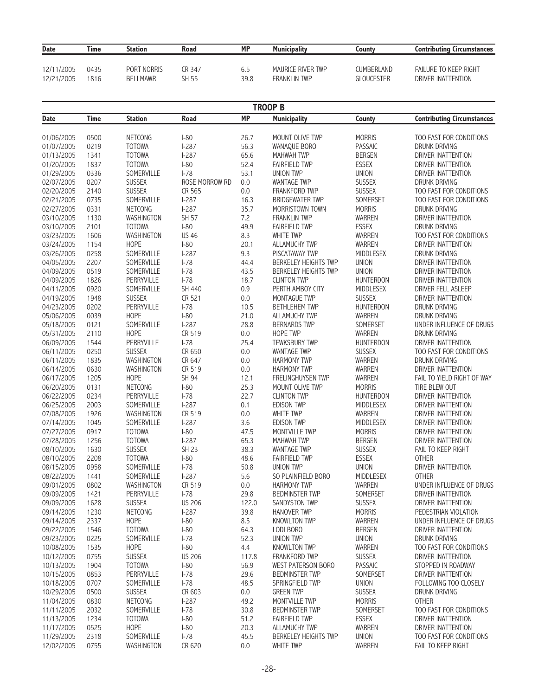| <b>Date</b> | Time | <b>Station</b>  | Road   | <b>MP</b> | <b>Municipality</b> | Countv            | <b>Contributing Circumstances</b> |
|-------------|------|-----------------|--------|-----------|---------------------|-------------------|-----------------------------------|
| 12/11/2005  | 0435 | PORT NORRIS     | CR 347 | 6.5       | MAURICE RIVER TWP   | <b>CUMBERLAND</b> | <b>FAILURE TO KEEP RIGHT</b>      |
| 12/21/2005  | 1816 | <b>BELLMAWR</b> | SH 55  | 39.8      | FRANKLIN TWP        | GLOUCESTER        | DRIVER INATTENTION                |

|             |             |                |                |           | <b>TROOP B</b>              |                  |                                   |
|-------------|-------------|----------------|----------------|-----------|-----------------------------|------------------|-----------------------------------|
| <b>Date</b> | <b>Time</b> | <b>Station</b> | Road           | <b>MP</b> | <b>Municipality</b>         | County           | <b>Contributing Circumstances</b> |
|             |             |                |                |           |                             |                  |                                   |
| 01/06/2005  | 0500        | NETCONG        | $I-80$         | 26.7      | MOUNT OLIVE TWP             | <b>MORRIS</b>    | TOO FAST FOR CONDITIONS           |
| 01/07/2005  | 0219        | <b>TOTOWA</b>  | $1 - 287$      | 56.3      | WANAQUE BORO                | <b>PASSAIC</b>   | DRUNK DRIVING                     |
| 01/13/2005  | 1341        | <b>TOTOWA</b>  | $1-287$        | 65.6      | <b>MAHWAH TWP</b>           | <b>BERGEN</b>    | DRIVER INATTENTION                |
| 01/20/2005  | 1837        | <b>TOTOWA</b>  | $I-80$         | 52.4      | <b>FAIRFIELD TWP</b>        | <b>ESSEX</b>     | <b>DRIVER INATTENTION</b>         |
| 01/29/2005  | 0336        | SOMERVILLE     | $I-78$         | 53.1      | <b>UNION TWP</b>            | <b>UNION</b>     | DRIVER INATTENTION                |
| 02/07/2005  | 0207        | <b>SUSSEX</b>  | ROSE MORROW RD | 0.0       | <b>WANTAGE TWP</b>          | <b>SUSSEX</b>    | DRUNK DRIVING                     |
| 02/20/2005  | 2140        | <b>SUSSEX</b>  | CR 565         | $0.0\,$   | FRANKFORD TWP               | <b>SUSSEX</b>    | TOO FAST FOR CONDITIONS           |
| 02/21/2005  | 0735        | SOMERVILLE     | $1-287$        | 16.3      | <b>BRIDGEWATER TWP</b>      | SOMERSET         | TOO FAST FOR CONDITIONS           |
| 02/27/2005  | 0331        | NETCONG        | $I-287$        | 35.7      | MORRISTOWN TOWN             | <b>MORRIS</b>    | DRUNK DRIVING                     |
| 03/10/2005  | 1130        | WASHINGTON     | SH 57          | 7.2       | <b>FRANKLIN TWP</b>         | WARREN           | <b>DRIVER INATTENTION</b>         |
| 03/10/2005  | 2101        | <b>TOTOWA</b>  | $I-80$         | 49.9      | <b>FAIRFIELD TWP</b>        | <b>ESSEX</b>     | DRUNK DRIVING                     |
| 03/23/2005  | 1606        | WASHINGTON     | <b>US 46</b>   | 8.3       | WHITE TWP                   | WARREN           | TOO FAST FOR CONDITIONS           |
| 03/24/2005  | 1154        | <b>HOPE</b>    | $-80$          | 20.1      | ALLAMUCHY TWP               | WARREN           | DRIVER INATTENTION                |
| 03/26/2005  | 0258        | SOMERVILLE     | $1 - 287$      | 9.3       | PISCATAWAY TWP              | MIDDLESEX        | DRUNK DRIVING                     |
| 04/05/2005  | 2207        | SOMERVILLE     | $I-78$         | 44.4      | <b>BERKELEY HEIGHTS TWP</b> | <b>UNION</b>     | DRIVER INATTENTION                |
| 04/09/2005  | 0519        | SOMERVILLE     | $I-78$         | 43.5      | BERKELEY HEIGHTS TWP        | <b>UNION</b>     | DRIVER INATTENTION                |
| 04/09/2005  | 1826        | PERRYVILLE     | $I-78$         | 18.7      | <b>CLINTON TWP</b>          | <b>HUNTERDON</b> | DRIVER INATTENTION                |
| 04/11/2005  | 0920        | SOMERVILLE     | SH 440         | 0.9       | PERTH AMBOY CITY            | MIDDLESEX        | DRIVER FELL ASLEEP                |
| 04/19/2005  | 1948        | <b>SUSSEX</b>  | CR 521         | 0.0       | MONTAGUE TWP                | <b>SUSSEX</b>    | <b>DRIVER INATTENTION</b>         |
| 04/23/2005  | 0202        | PERRYVILLE     | $I-78$         | 10.5      | <b>BETHLEHEM TWP</b>        | HUNTERDON        | DRUNK DRIVING                     |
| 05/06/2005  | 0039        | HOPE           | $I-80$         | 21.0      | ALLAMUCHY TWP               | <b>WARREN</b>    | <b>DRUNK DRIVING</b>              |
| 05/18/2005  | 0121        | SOMERVILLE     | $I-287$        | 28.8      | <b>BERNARDS TWP</b>         | SOMERSET         | UNDER INFLUENCE OF DRUGS          |
| 05/31/2005  | 2110        | HOPE           | CR 519         | $0.0\,$   | <b>HOPE TWP</b>             | WARREN           | DRUNK DRIVING                     |
| 06/09/2005  | 1544        | PERRYVILLE     | $I-78$         | 25.4      | <b>TEWKSBURY TWP</b>        | <b>HUNTERDON</b> | DRIVER INATTENTION                |
| 06/11/2005  | 0250        | <b>SUSSEX</b>  | CR 650         | 0.0       | <b>WANTAGE TWP</b>          | <b>SUSSEX</b>    | TOO FAST FOR CONDITIONS           |
| 06/11/2005  | 1835        | WASHINGTON     | CR 647         | $0.0\,$   | <b>HARMONY TWP</b>          | WARREN           | DRUNK DRIVING                     |
| 06/14/2005  | 0630        | WASHINGTON     | CR 519         | $0.0\,$   | <b>HARMONY TWP</b>          | WARREN           | DRIVER INATTENTION                |
| 06/17/2005  | 1205        | HOPE           | SH 94          | 12.1      | FRELINGHUYSEN TWP           | <b>WARREN</b>    | FAIL TO YIELD RIGHT OF WAY        |
| 06/20/2005  | 0131        | NETCONG        | $I-80$         | 25.3      | MOUNT OLIVE TWP             | <b>MORRIS</b>    | TIRE BLEW OUT                     |
| 06/22/2005  | 0234        | PERRYVILLE     | $I-78$         | 22.7      | <b>CLINTON TWP</b>          | <b>HUNTERDON</b> | DRIVER INATTENTION                |
| 06/25/2005  | 2003        | SOMERVILLE     | $1-287$        | 0.1       | <b>EDISON TWP</b>           | <b>MIDDLESEX</b> | DRIVER INATTENTION                |
| 07/08/2005  | 1926        | WASHINGTON     | CR 519         | 0.0       | <b>WHITE TWP</b>            | WARREN           | DRIVER INATTENTION                |
| 07/14/2005  | 1045        | SOMERVILLE     | $1 - 287$      | 3.6       | <b>EDISON TWP</b>           | <b>MIDDLESEX</b> | DRIVER INATTENTION                |
| 07/27/2005  | 0917        | <b>TOTOWA</b>  | $I-80$         | 47.5      | MONTVILLE TWP               | <b>MORRIS</b>    | DRIVER INATTENTION                |
| 07/28/2005  | 1256        | <b>TOTOWA</b>  | $1-287$        | 65.3      | <b>MAHWAH TWP</b>           | <b>BERGEN</b>    | DRIVER INATTENTION                |
| 08/10/2005  | 1630        | <b>SUSSEX</b>  | <b>SH 23</b>   | 38.3      | <b>WANTAGE TWP</b>          | <b>SUSSEX</b>    | FAIL TO KEEP RIGHT                |
| 08/10/2005  | 2208        | <b>TOTOWA</b>  | $I-80$         | 48.6      | <b>FAIRFIELD TWP</b>        | <b>ESSEX</b>     | <b>OTHER</b>                      |
| 08/15/2005  | 0958        | SOMERVILLE     | $I-78$         | 50.8      | <b>UNION TWP</b>            | <b>UNION</b>     | DRIVER INATTENTION                |
| 08/22/2005  | 1441        | SOMERVILLE     | $I-287$        | 5.6       | SO PLAINFIELD BORO          | MIDDLESEX        | <b>OTHER</b>                      |
| 09/01/2005  | 0802        | WASHINGTON     | CR 519         | 0.0       | <b>HARMONY TWP</b>          | WARREN           | UNDER INFLUENCE OF DRUGS          |
| 09/09/2005  | 1421        | PERRYVILLE     | $I - 78$       | 29.8      | <b>BEDMINSTER TWP</b>       | SOMERSET         | DRIVER INATTENTION                |
| 09/09/2005  | 1628        | <b>SUSSEX</b>  | <b>US 206</b>  | 122.0     | SANDYSTON TWP               | <b>SUSSEX</b>    | DRIVER INATTENTION                |
| 09/14/2005  | 1230        | <b>NETCONG</b> | $1-287$        | 39.8      | <b>HANOVER TWP</b>          | <b>MORRIS</b>    | PEDESTRIAN VIOLATION              |
| 09/14/2005  | 2337        | <b>HOPE</b>    | $I-80$         | 8.5       | <b>KNOWLTON TWP</b>         | <b>WARREN</b>    | UNDER INFLUENCE OF DRUGS          |
| 09/22/2005  | 1546        | <b>TOTOWA</b>  | $I-80$         | 64.3      | LODI BORO                   | <b>BERGEN</b>    | DRIVER INATTENTION                |
| 09/23/2005  | 0225        | SOMERVILLE     | $I-78$         | 52.3      | <b>UNION TWP</b>            | <b>UNION</b>     | DRUNK DRIVING                     |
| 10/08/2005  | 1535        | <b>HOPE</b>    | $I-80$         | 4.4       | <b>KNOWLTON TWP</b>         | <b>WARREN</b>    | TOO FAST FOR CONDITIONS           |
| 10/12/2005  | 0755        | <b>SUSSEX</b>  | <b>US 206</b>  | 117.8     | FRANKFORD TWP               | <b>SUSSEX</b>    | DRIVER INATTENTION                |
| 10/13/2005  | 1904        | <b>TOTOWA</b>  | $I-80$         | 56.9      | WEST PATERSON BORO          | <b>PASSAIC</b>   | STOPPED IN ROADWAY                |
| 10/15/2005  | 0853        | PERRYVILLE     | $I-78$         | 29.6      | <b>BEDMINSTER TWP</b>       | SOMERSET         | DRIVER INATTENTION                |
| 10/18/2005  | 0707        | SOMERVILLE     | $I-78$         | 48.5      | SPRINGFIELD TWP             | <b>UNION</b>     | FOLLOWING TOO CLOSELY             |
| 10/29/2005  | 0500        | <b>SUSSEX</b>  | CR 603         | 0.0       | <b>GREEN TWP</b>            | <b>SUSSEX</b>    | DRUNK DRIVING                     |
| 11/04/2005  | 0830        | <b>NETCONG</b> | $1-287$        | 49.2      | <b>MONTVILLE TWP</b>        | <b>MORRIS</b>    | <b>OTHER</b>                      |
| 11/11/2005  | 2032        | SOMERVILLE     | $I-78$         | 30.8      | <b>BEDMINSTER TWP</b>       | SOMERSET         | TOO FAST FOR CONDITIONS           |
| 11/13/2005  | 1234        | <b>TOTOWA</b>  | $I-80$         | 51.2      | <b>FAIRFIELD TWP</b>        | <b>ESSEX</b>     | DRIVER INATTENTION                |
| 11/17/2005  | 0525        | <b>HOPE</b>    | $I-80$         | 20.3      | ALLAMUCHY TWP               | WARREN           | DRIVER INATTENTION                |
| 11/29/2005  | 2318        | SOMERVILLE     | $I-78$         | 45.5      | <b>BERKELEY HEIGHTS TWP</b> | <b>UNION</b>     | TOO FAST FOR CONDITIONS           |
| 12/02/2005  | 0755        | WASHINGTON     | CR 620         | 0.0       | WHITE TWP                   | WARREN           | FAIL TO KEEP RIGHT                |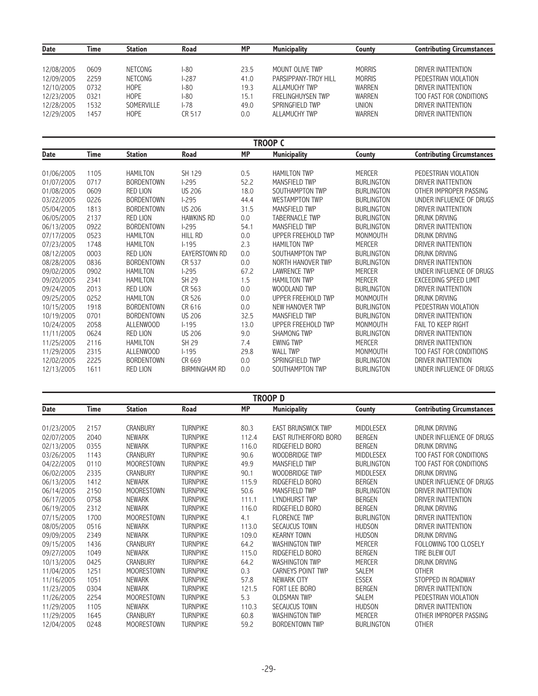| <b>Date</b> | Time | <b>Station</b> | <b>Road</b> | <b>MP</b> | <b>Municipality</b>  | County        | <b>Contributing Circumstances</b> |
|-------------|------|----------------|-------------|-----------|----------------------|---------------|-----------------------------------|
|             |      |                |             |           |                      |               |                                   |
| 12/08/2005  | 0609 | <b>NETCONG</b> | I-80        | 23.5      | MOUNT OLIVE TWP      | <b>MORRIS</b> | DRIVER INATTENTION                |
| 12/09/2005  | 2259 | <b>NETCONG</b> | $-287$      | 41.0      | PARSIPPANY-TROY HILL | <b>MORRIS</b> | PEDESTRIAN VIOLATION              |
| 12/10/2005  | 0732 | <b>HOPE</b>    | I-80        | 19.3      | ALLAMUCHY TWP        | WARREN        | DRIVER INATTENTION                |
| 12/23/2005  | 0321 | <b>HOPE</b>    | l-80        | 15.1      | FRELINGHUYSEN TWP    | WARREN        | TOO FAST FOR CONDITIONS           |
| 12/28/2005  | 1532 | SOMERVILLE     | l-78        | 49.0      | SPRINGFIFI D TWP     | <b>UNION</b>  | DRIVER INATTENTION                |
| 12/29/2005  | 1457 | <b>HOPE</b>    | CR 517      | 0.0       | ALLAMUCHY TWP        | WARREN        | DRIVER INATTENTION                |

#### **TROOP C Date** Time Station Road MP Municipality County Contributing Circumstances 01/06/2005 1105 HAMILTON SH 129 0.5 HAMILTON TWP MERCER PEDESTRIAN VIOLATION 01/07/2005 0717 BORDENTOWN I-295 52.2 MANSFIELD TWP BURLINGTON DRIVER INATTENTION 01/08/2005 0609 RED LION US 206 18.0 SOUTHAMPTON TWP BURLINGTON OTHER IMPROPER PASSING 03/22/2005 0226 BORDENTOWN I-295 44.4 WESTAMPTON TWP BURLINGTON UNDER INFLUENCE OF DRUGS 05/04/2005 1813 BORDENTOWN US 206 31.5 MANSFIELD TWP BURLINGTON DRIVER INATTENTION TABERNACLE TWP 06/13/2005 0922 BORDENTOWN I-295 54.1 MANSFIELD TWP BURLINGTON DRIVER INATTENTION 07/17/2005 0523 HAMILTON HILL RD 0.0 UPPER FREEHOLD TWP MONMOUTH DRUNK DRIVING 07/23/2005 1748 HAMILTON 1-195 2.3 HAMILTON TWP MERCER DRIVER INATTENTION 1999/12/2005 1748 HAMILTON 195 2.3 HAMILTON MP<br>08/12/2005 0003 RED LION EAYERSTOWN RD 0.0 SOUTHAMPTON TWP BURLINGTON DRUNK DRIVING 08/12/2005 0003 RED LION EAYERSTOWN RD 0.0 SOUTHAMPTON TWP BURLINGTON DRUNK DRIVING 08/28/2005 0836 BORDENTOWN CR 537 0.0 NORTH HANOVER TWP BURLINGTON DRIVER INATTENTION HAMILTON I-295 67.2 LAWRENCE TWP MERCER UNDER INFLUENCE OF DRUGS 09/20/2005 2341 HAMILTON SH 29 1.5 HAMILTON TWP MERCER EXCEEDING SPEED LIMIT 09/24/2005 2013 RED LION CR 563 0.0 WOODLAND TWP BURLINGTON DRIVER INATTENTION 09/25/2005 0252 HAMILTON CR 526 0.0 UPPER FREEHOLD TWP MONMOUTH DRUNK DRIVING 10/15/2005 1918 BORDENTOWN CR 616 0.0 NEW HANOVER TWP BURLINGTON PEDESTRIAN VIOLATION 10/19/2005 0701 BORDENTOWN US 206 32.5 MANSFIELD TWP BURLINGTON DRIVER INATTENTION 14/25 13.0 UPPER FREEHOLD TWP 11/11/2005 0624 RED LION US 206 9.0 SHAMONG TWP BURLINGTON DRIVER INATTENTION 11/25/2005 2116 HAMILTON SH 29 7.4 EWING TWP MERCER DRIVER INATTENTION 11/29/2005 2315 ALLENWOOD I-195 29.8 WALL TWP MONMOUTH TOO FAST FOR CONDITIONS 12/02/2005 2225 BORDENTOWN CR 669 0.0 SPRINGFIELD TWP BURLINGTON DRIVER INATTENTION 1611 RED LION BIRMINGHAM RD 0.0 SOUTHAMPTON TWP BURLINGTON UNDER INFLUENCE OF DRUGS

|             | TROOP D |                   |                 |           |                           |                   |                                   |  |  |  |
|-------------|---------|-------------------|-----------------|-----------|---------------------------|-------------------|-----------------------------------|--|--|--|
| <b>Date</b> | Time    | <b>Station</b>    | Road            | <b>MP</b> | <b>Municipality</b>       | County            | <b>Contributing Circumstances</b> |  |  |  |
| 01/23/2005  | 2157    | <b>CRANBURY</b>   | <b>TURNPIKE</b> | 80.3      | <b>EAST BRUNSWICK TWP</b> | <b>MIDDLESEX</b>  | DRUNK DRIVING                     |  |  |  |
| 02/07/2005  | 2040    | <b>NEWARK</b>     | <b>TURNPIKE</b> | 112.4     | EAST RUTHERFORD BORO      | <b>BERGEN</b>     | UNDER INFLUENCE OF DRUGS          |  |  |  |
| 02/13/2005  | 0355    | <b>NEWARK</b>     | <b>TURNPIKE</b> | 116.0     | RIDGEFIELD BORO           | <b>BERGEN</b>     | DRUNK DRIVING                     |  |  |  |
| 03/26/2005  | 1143    | CRANBURY          | <b>TURNPIKE</b> | 90.6      | WOODBRIDGE TWP            | <b>MIDDLESEX</b>  | TOO FAST FOR CONDITIONS           |  |  |  |
| 04/22/2005  | 0110    | <b>MOORESTOWN</b> | <b>TURNPIKE</b> | 49.9      | MANSFIELD TWP             | <b>BURLINGTON</b> | TOO FAST FOR CONDITIONS           |  |  |  |
| 06/02/2005  | 2335    | CRANBURY          | <b>TURNPIKE</b> | 90.1      | WOODBRIDGE TWP            | <b>MIDDLESEX</b>  | DRUNK DRIVING                     |  |  |  |
| 06/13/2005  | 1412    | <b>NEWARK</b>     | <b>TURNPIKE</b> | 115.9     | RIDGEFIELD BORO           | <b>BERGEN</b>     | UNDER INFLUENCE OF DRUGS          |  |  |  |
| 06/14/2005  | 2150    | <b>MOORESTOWN</b> | <b>TURNPIKE</b> | 50.6      | MANSFIELD TWP             | <b>BURLINGTON</b> | DRIVER INATTENTION                |  |  |  |
| 06/17/2005  | 0758    | <b>NEWARK</b>     | <b>TURNPIKE</b> | 111.1     | LYNDHURST TWP             | <b>BERGEN</b>     | DRIVER INATTENTION                |  |  |  |
| 06/19/2005  | 2312    | <b>NEWARK</b>     | <b>TURNPIKE</b> | 116.0     | RIDGEFIELD BORO           | <b>BERGEN</b>     | DRUNK DRIVING                     |  |  |  |
| 07/15/2005  | 1700    | <b>MOORESTOWN</b> | <b>TURNPIKE</b> | 4.1       | <b>FLORENCE TWP</b>       | <b>BURLINGTON</b> | DRIVER INATTENTION                |  |  |  |
| 08/05/2005  | 0516    | <b>NEWARK</b>     | <b>TURNPIKE</b> | 113.0     | SECAUCUS TOWN             | <b>HUDSON</b>     | DRIVER INATTENTION                |  |  |  |
| 09/09/2005  | 2349    | <b>NEWARK</b>     | <b>TURNPIKE</b> | 109.0     | <b>KEARNY TOWN</b>        | <b>HUDSON</b>     | DRUNK DRIVING                     |  |  |  |
| 09/15/2005  | 1436    | CRANBURY          | <b>TURNPIKE</b> | 64.2      | <b>WASHINGTON TWP</b>     | <b>MERCER</b>     | FOLLOWING TOO CLOSELY             |  |  |  |
| 09/27/2005  | 1049    | <b>NEWARK</b>     | <b>TURNPIKE</b> | 115.0     | RIDGEFIELD BORO           | <b>BERGEN</b>     | TIRE BLEW OUT                     |  |  |  |
| 10/13/2005  | 0425    | <b>CRANBURY</b>   | <b>TURNPIKE</b> | 64.2      | <b>WASHINGTON TWP</b>     | <b>MERCER</b>     | DRUNK DRIVING                     |  |  |  |
| 11/04/2005  | 1251    | <b>MOORESTOWN</b> | <b>TURNPIKE</b> | 0.3       | CARNEYS POINT TWP         | <b>SALEM</b>      | <b>OTHER</b>                      |  |  |  |
| 11/16/2005  | 1051    | <b>NEWARK</b>     | <b>TURNPIKE</b> | 57.8      | NEWARK CITY               | <b>ESSEX</b>      | STOPPED IN ROADWAY                |  |  |  |
| 11/23/2005  | 0304    | <b>NEWARK</b>     | <b>TURNPIKE</b> | 121.5     | FORT LEE BORO             | <b>BERGEN</b>     | DRIVER INATTENTION                |  |  |  |
| 11/26/2005  | 2254    | <b>MOORESTOWN</b> | <b>TURNPIKE</b> | 5.3       | <b>OLDSMAN TWP</b>        | SALEM             | PEDESTRIAN VIOLATION              |  |  |  |
| 11/29/2005  | 1105    | <b>NEWARK</b>     | <b>TURNPIKE</b> | 110.3     | SECAUCUS TOWN             | <b>HUDSON</b>     | DRIVER INATTENTION                |  |  |  |
| 11/29/2005  | 1645    | CRANBURY          | <b>TURNPIKE</b> | 60.8      | <b>WASHINGTON TWP</b>     | <b>MERCER</b>     | OTHER IMPROPER PASSING            |  |  |  |
| 12/04/2005  | 0248    | <b>MOORESTOWN</b> | <b>TURNPIKE</b> | 59.2      | <b>BORDENTOWN TWP</b>     | <b>BURLINGTON</b> | <b>OTHER</b>                      |  |  |  |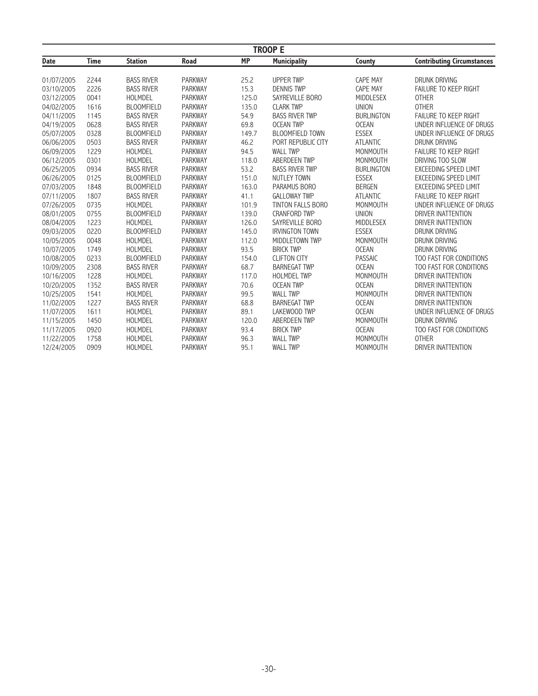|             |             |                   |                |           | <b>TROOP E</b>         |                   |                                   |
|-------------|-------------|-------------------|----------------|-----------|------------------------|-------------------|-----------------------------------|
| <b>Date</b> | <b>Time</b> | <b>Station</b>    | <b>Road</b>    | <b>MP</b> | <b>Municipality</b>    | County            | <b>Contributing Circumstances</b> |
| 01/07/2005  | 2244        | <b>BASS RIVER</b> | <b>PARKWAY</b> | 25.2      | <b>UPPER TWP</b>       | <b>CAPE MAY</b>   | <b>DRUNK DRIVING</b>              |
| 03/10/2005  | 2226        | <b>BASS RIVER</b> | <b>PARKWAY</b> | 15.3      | <b>DENNIS TWP</b>      | <b>CAPE MAY</b>   | <b>FAILURE TO KEEP RIGHT</b>      |
| 03/12/2005  | 0041        | HOLMDEL           | <b>PARKWAY</b> | 125.0     | SAYREVILLE BORO        | <b>MIDDLESEX</b>  | <b>OTHER</b>                      |
| 04/02/2005  | 1616        | <b>BLOOMFIELD</b> | PARKWAY        | 135.0     | <b>CLARK TWP</b>       | <b>UNION</b>      | <b>OTHER</b>                      |
| 04/11/2005  | 1145        | <b>BASS RIVER</b> | <b>PARKWAY</b> | 54.9      | <b>BASS RIVER TWP</b>  | <b>BURLINGTON</b> | <b>FAILURE TO KEEP RIGHT</b>      |
| 04/19/2005  | 0628        | <b>BASS RIVER</b> | <b>PARKWAY</b> | 69.8      | <b>OCEAN TWP</b>       | <b>OCEAN</b>      | UNDER INFLUENCE OF DRUGS          |
| 05/07/2005  | 0328        | <b>BLOOMFIELD</b> | <b>PARKWAY</b> | 149.7     | <b>BLOOMFIELD TOWN</b> | <b>ESSEX</b>      | UNDER INFLUENCE OF DRUGS          |
| 06/06/2005  | 0503        | <b>BASS RIVER</b> | <b>PARKWAY</b> | 46.2      | PORT REPUBLIC CITY     | <b>ATLANTIC</b>   | DRUNK DRIVING                     |
| 06/09/2005  | 1229        | HOLMDEL           | <b>PARKWAY</b> | 94.5      | <b>WALL TWP</b>        | <b>MONMOUTH</b>   | <b>FAILURE TO KEEP RIGHT</b>      |
| 06/12/2005  | 0301        | HOLMDEL           | <b>PARKWAY</b> | 118.0     | <b>ABERDEEN TWP</b>    | <b>MONMOUTH</b>   | DRIVING TOO SLOW                  |
| 06/25/2005  | 0934        | <b>BASS RIVER</b> | <b>PARKWAY</b> | 53.2      | <b>BASS RIVER TWP</b>  | <b>BURLINGTON</b> | <b>EXCEEDING SPEED LIMIT</b>      |
| 06/26/2005  | 0125        | <b>BLOOMFIELD</b> | <b>PARKWAY</b> | 151.0     | <b>NUTLEY TOWN</b>     | <b>ESSEX</b>      | EXCEEDING SPEED LIMIT             |
| 07/03/2005  | 1848        | <b>BLOOMFIELD</b> | PARKWAY        | 163.0     | PARAMUS BORO           | <b>BERGEN</b>     | EXCEEDING SPEED LIMIT             |
| 07/11/2005  | 1807        | <b>BASS RIVER</b> | <b>PARKWAY</b> | 41.1      | <b>GALLOWAY TWP</b>    | <b>ATLANTIC</b>   | <b>FAILURE TO KEEP RIGHT</b>      |
| 07/26/2005  | 0735        | HOLMDEL           | <b>PARKWAY</b> | 101.9     | TINTON FALLS BORO      | <b>MONMOUTH</b>   | UNDER INFLUENCE OF DRUGS          |
| 08/01/2005  | 0755        | <b>BLOOMFIELD</b> | <b>PARKWAY</b> | 139.0     | <b>CRANFORD TWP</b>    | <b>UNION</b>      | <b>DRIVER INATTENTION</b>         |
| 08/04/2005  | 1223        | HOLMDEL           | <b>PARKWAY</b> | 126.0     | SAYREVILLE BORO        | MIDDLESEX         | DRIVER INATTENTION                |
| 09/03/2005  | 0220        | <b>BLOOMFIELD</b> | <b>PARKWAY</b> | 145.0     | <b>IRVINGTON TOWN</b>  | <b>ESSEX</b>      | DRUNK DRIVING                     |
| 10/05/2005  | 0048        | HOLMDEL           | <b>PARKWAY</b> | 112.0     | MIDDLETOWN TWP         | <b>MONMOUTH</b>   | DRUNK DRIVING                     |
| 10/07/2005  | 1749        | HOLMDEL           | <b>PARKWAY</b> | 93.5      | <b>BRICK TWP</b>       | <b>OCEAN</b>      | <b>DRUNK DRIVING</b>              |
| 10/08/2005  | 0233        | <b>BLOOMFIELD</b> | <b>PARKWAY</b> | 154.0     | <b>CLIFTON CITY</b>    | <b>PASSAIC</b>    | TOO FAST FOR CONDITIONS           |
| 10/09/2005  | 2308        | <b>BASS RIVER</b> | <b>PARKWAY</b> | 68.7      | <b>BARNEGAT TWP</b>    | <b>OCEAN</b>      | TOO FAST FOR CONDITIONS           |
| 10/16/2005  | 1228        | HOLMDEL           | <b>PARKWAY</b> | 117.0     | <b>HOLMDEL TWP</b>     | <b>MONMOUTH</b>   | <b>DRIVER INATTENTION</b>         |
| 10/20/2005  | 1352        | <b>BASS RIVER</b> | PARKWAY        | 70.6      | <b>OCEAN TWP</b>       | <b>OCEAN</b>      | DRIVER INATTENTION                |
| 10/25/2005  | 1541        | HOLMDEL           | <b>PARKWAY</b> | 99.5      | <b>WALL TWP</b>        | <b>MONMOUTH</b>   | DRIVER INATTENTION                |
| 11/02/2005  | 1227        | <b>BASS RIVER</b> | <b>PARKWAY</b> | 68.8      | <b>BARNEGAT TWP</b>    | <b>OCEAN</b>      | DRIVER INATTENTION                |
| 11/07/2005  | 1611        | HOLMDEL           | <b>PARKWAY</b> | 89.1      | LAKEWOOD TWP           | <b>OCEAN</b>      | UNDER INFLUENCE OF DRUGS          |
| 11/15/2005  | 1450        | HOLMDEL           | <b>PARKWAY</b> | 120.0     | <b>ABERDEEN TWP</b>    | MONMOUTH          | <b>DRUNK DRIVING</b>              |
| 11/17/2005  | 0920        | HOLMDEL           | <b>PARKWAY</b> | 93.4      | <b>BRICK TWP</b>       | <b>OCEAN</b>      | TOO FAST FOR CONDITIONS           |
| 11/22/2005  | 1758        | HOLMDEL           | <b>PARKWAY</b> | 96.3      | <b>WALL TWP</b>        | <b>MONMOUTH</b>   | <b>OTHER</b>                      |
| 12/24/2005  | 0909        | HOLMDEL           | <b>PARKWAY</b> | 95.1      | <b>WALL TWP</b>        | <b>MONMOUTH</b>   | DRIVER INATTENTION                |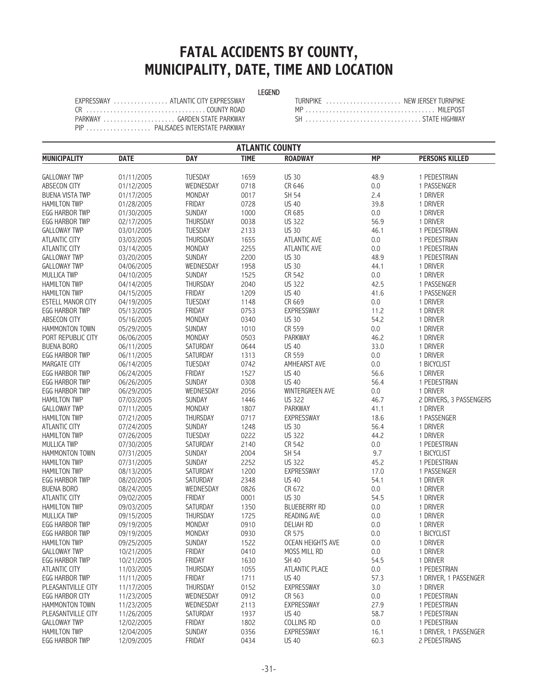## **FATAL ACCIDENTS BY COUNTY, MUNICIPALITY, DATE, TIME AND LOCATION**

#### LEGEND

| EXPRESSWAY ATLANTIC CITY EXPRESSWAY |
|-------------------------------------|
|                                     |
|                                     |
| PIP  PALISADES INTERSTATE PARKWAY   |

| EXPRESSWAY ATLANTIC CITY EXPRESSWAY | TURNPIKE  NEW JERSEY TURNPIKE |
|-------------------------------------|-------------------------------|
| CR   COUNTY ROAD                    |                               |
|                                     |                               |

|                        | <b>ATLANTIC COUNTY</b>   |                   |             |                        |           |                         |  |  |  |
|------------------------|--------------------------|-------------------|-------------|------------------------|-----------|-------------------------|--|--|--|
| <b>MUNICIPALITY</b>    | <b>DATE</b>              | <b>DAY</b>        | <b>TIME</b> | <b>ROADWAY</b>         | <b>MP</b> | <b>PERSONS KILLED</b>   |  |  |  |
| <b>GALLOWAY TWP</b>    | 01/11/2005               | TUESDAY           | 1659        | <b>US 30</b>           | 48.9      | 1 PEDESTRIAN            |  |  |  |
| ABSECON CITY           | 01/12/2005               | WEDNESDAY         | 0718        | CR 646                 | 0.0       | 1 PASSENGER             |  |  |  |
| <b>BUENA VISTA TWP</b> | 01/17/2005               | MONDAY            | 0017        | SH 54                  | 2.4       | 1 DRIVER                |  |  |  |
| <b>HAMILTON TWP</b>    | 01/28/2005               | FRIDAY            | 0728        | <b>US 40</b>           | 39.8      | 1 DRIVER                |  |  |  |
| <b>EGG HARBOR TWP</b>  | 01/30/2005               | SUNDAY            | 1000        | CR 685                 | 0.0       | 1 DRIVER                |  |  |  |
| EGG HARBOR TWP         | 02/17/2005               | THURSDAY          | 0038        | <b>US 322</b>          | 56.9      | 1 DRIVER                |  |  |  |
| <b>GALLOWAY TWP</b>    | 03/01/2005               | TUESDAY           | 2133        | <b>US 30</b>           | 46.1      | 1 PEDESTRIAN            |  |  |  |
| <b>ATLANTIC CITY</b>   | 03/03/2005               | THURSDAY          | 1655        | <b>ATLANTIC AVE</b>    | 0.0       | 1 PEDESTRIAN            |  |  |  |
| <b>ATLANTIC CITY</b>   | 03/14/2005               | MONDAY            | 2255        | <b>ATLANTIC AVE</b>    | 0.0       | 1 PEDESTRIAN            |  |  |  |
| <b>GALLOWAY TWP</b>    | 03/20/2005               | SUNDAY            | 2200        | <b>US 30</b>           | 48.9      | 1 PEDESTRIAN            |  |  |  |
| <b>GALLOWAY TWP</b>    | 04/06/2005               | WEDNESDAY         | 1958        | <b>US 30</b>           | 44.1      | 1 DRIVER                |  |  |  |
| MULLICA TWP            |                          | SUNDAY            | 1525        | CR 542                 | 0.0       | 1 DRIVER                |  |  |  |
| <b>HAMILTON TWP</b>    | 04/10/2005<br>04/14/2005 | THURSDAY          | 2040        | <b>US 322</b>          | 42.5      | 1 PASSENGER             |  |  |  |
|                        |                          |                   | 1209        |                        | 41.6      |                         |  |  |  |
| <b>HAMILTON TWP</b>    | 04/15/2005<br>04/19/2005 | FRIDAY<br>TUESDAY | 1148        | <b>US 40</b><br>CR 669 |           | 1 PASSENGER             |  |  |  |
| ESTELL MANOR CITY      |                          | <b>FRIDAY</b>     |             |                        | 0.0       | 1 DRIVER<br>1 DRIVER    |  |  |  |
| <b>EGG HARBOR TWP</b>  | 05/13/2005               |                   | 0753        | <b>EXPRESSWAY</b>      | 11.2      |                         |  |  |  |
| ABSECON CITY           | 05/16/2005               | MONDAY            | 0340        | <b>US 30</b>           | 54.2      | 1 DRIVER                |  |  |  |
| <b>HAMMONTON TOWN</b>  | 05/29/2005               | SUNDAY            | 1010        | CR 559                 | 0.0       | 1 DRIVER                |  |  |  |
| PORT REPUBLIC CITY     | 06/06/2005               | MONDAY            | 0503        | <b>PARKWAY</b>         | 46.2      | 1 DRIVER                |  |  |  |
| <b>BUENA BORO</b>      | 06/11/2005               | SATURDAY          | 0644        | <b>US 40</b>           | 33.0      | 1 DRIVER                |  |  |  |
| <b>EGG HARBOR TWP</b>  | 06/11/2005               | SATURDAY          | 1313        | CR 559                 | 0.0       | 1 DRIVER                |  |  |  |
| <b>MARGATE CITY</b>    | 06/14/2005               | TUESDAY           | 0742        | AMHEARST AVE           | 0.0       | 1 BICYCLIST             |  |  |  |
| <b>EGG HARBOR TWP</b>  | 06/24/2005               | FRIDAY            | 1527        | <b>US 40</b>           | 56.6      | 1 DRIVER                |  |  |  |
| <b>EGG HARBOR TWP</b>  | 06/26/2005               | SUNDAY            | 0308        | <b>US 40</b>           | 56.4      | 1 PEDESTRIAN            |  |  |  |
| <b>EGG HARBOR TWP</b>  | 06/29/2005               | WEDNESDAY         | 2056        | WINTERGREEN AVE        | 0.0       | 1 DRIVER                |  |  |  |
| <b>HAMILTON TWP</b>    | 07/03/2005               | SUNDAY            | 1446        | <b>US 322</b>          | 46.7      | 2 DRIVERS, 3 PASSENGERS |  |  |  |
| <b>GALLOWAY TWP</b>    | 07/11/2005               | MONDAY            | 1807        | <b>PARKWAY</b>         | 41.1      | 1 DRIVER                |  |  |  |
| <b>HAMILTON TWP</b>    | 07/21/2005               | THURSDAY          | 0717        | <b>EXPRESSWAY</b>      | 18.6      | 1 PASSENGER             |  |  |  |
| <b>ATLANTIC CITY</b>   | 07/24/2005               | SUNDAY            | 1248        | <b>US 30</b>           | 56.4      | 1 DRIVER                |  |  |  |
| <b>HAMILTON TWP</b>    | 07/26/2005               | TUESDAY           | 0222        | <b>US 322</b>          | 44.2      | 1 DRIVER                |  |  |  |
| MULLICA TWP            | 07/30/2005               | SATURDAY          | 2140        | CR 542                 | 0.0       | 1 PEDESTRIAN            |  |  |  |
| <b>HAMMONTON TOWN</b>  | 07/31/2005               | SUNDAY            | 2004        | SH 54                  | 9.7       | 1 BICYCLIST             |  |  |  |
| <b>HAMILTON TWP</b>    | 07/31/2005               | <b>SUNDAY</b>     | 2252        | <b>US 322</b>          | 45.2      | 1 PEDESTRIAN            |  |  |  |
| <b>HAMILTON TWP</b>    | 08/13/2005               | SATURDAY          | 1200        | <b>EXPRESSWAY</b>      | 17.0      | 1 PASSENGER             |  |  |  |
| <b>EGG HARBOR TWP</b>  | 08/20/2005               | SATURDAY          | 2348        | <b>US 40</b>           | 54.1      | 1 DRIVER                |  |  |  |
| <b>BUENA BORO</b>      | 08/24/2005               | WEDNESDAY         | 0826        | CR 672                 | 0.0       | 1 DRIVER                |  |  |  |
| <b>ATLANTIC CITY</b>   | 09/02/2005               | FRIDAY            | 0001        | <b>US 30</b>           | 54.5      | 1 DRIVER                |  |  |  |
| <b>HAMILTON TWP</b>    | 09/03/2005               | SATURDAY          | 1350        | <b>BLUEBERRY RD</b>    | 0.0       | 1 DRIVER                |  |  |  |
| MULLICA TWP            | 09/15/2005               | THURSDAY          | 1725        | <b>READING AVE</b>     | 0.0       | 1 DRIVER                |  |  |  |
| <b>EGG HARBOR TWP</b>  | 09/19/2005               | MONDAY            | 0910        | <b>DELIAH RD</b>       | $0.0\,$   | 1 DRIVER                |  |  |  |
| EGG HARBOR TWP         | 09/19/2005               | MONDAY            | 0930        | CR 575                 | 0.0       | 1 BICYCLIST             |  |  |  |
| HAMILTON TWP           | 09/25/2005               | SUNDAY            | 1522        | OCEAN HEIGHTS AVE      | $0.0\,$   | 1 DRIVER                |  |  |  |
| <b>GALLOWAY TWP</b>    | 10/21/2005               | FRIDAY            | 0410        | MOSS MILL RD           | 0.0       | 1 DRIVER                |  |  |  |
| EGG HARBOR TWP         | 10/21/2005               | FRIDAY            | 1630        | <b>SH 40</b>           | 54.5      | 1 DRIVER                |  |  |  |
| <b>ATLANTIC CITY</b>   | 11/03/2005               | THURSDAY          | 1055        | ATLANTIC PLACE         | 0.0       | 1 PEDESTRIAN            |  |  |  |
| <b>EGG HARBOR TWP</b>  | 11/11/2005               | <b>FRIDAY</b>     | 1711        | <b>US 40</b>           | 57.3      | 1 DRIVER, 1 PASSENGER   |  |  |  |
| PLEASANTVILLE CITY     | 11/17/2005               | THURSDAY          | 0152        | <b>EXPRESSWAY</b>      | 3.0       | 1 DRIVER                |  |  |  |
| EGG HARBOR CITY        | 11/23/2005               | WEDNESDAY         | 0912        | CR 563                 | 0.0       | 1 PEDESTRIAN            |  |  |  |
| HAMMONTON TOWN         | 11/23/2005               | WEDNESDAY         | 2113        | <b>EXPRESSWAY</b>      | 27.9      | 1 PEDESTRIAN            |  |  |  |
| PLEASANTVILLE CITY     | 11/26/2005               | SATURDAY          | 1937        | <b>US 40</b>           | 58.7      | 1 PEDESTRIAN            |  |  |  |
| <b>GALLOWAY TWP</b>    | 12/02/2005               | FRIDAY            | 1802        | <b>COLLINS RD</b>      | 0.0       | 1 PEDESTRIAN            |  |  |  |
| <b>HAMILTON TWP</b>    | 12/04/2005               | SUNDAY            | 0356        | <b>EXPRESSWAY</b>      | 16.1      | 1 DRIVER, 1 PASSENGER   |  |  |  |
| EGG HARBOR TWP         | 12/09/2005               | FRIDAY            | 0434        | <b>US 40</b>           | 60.3      | 2 PEDESTRIANS           |  |  |  |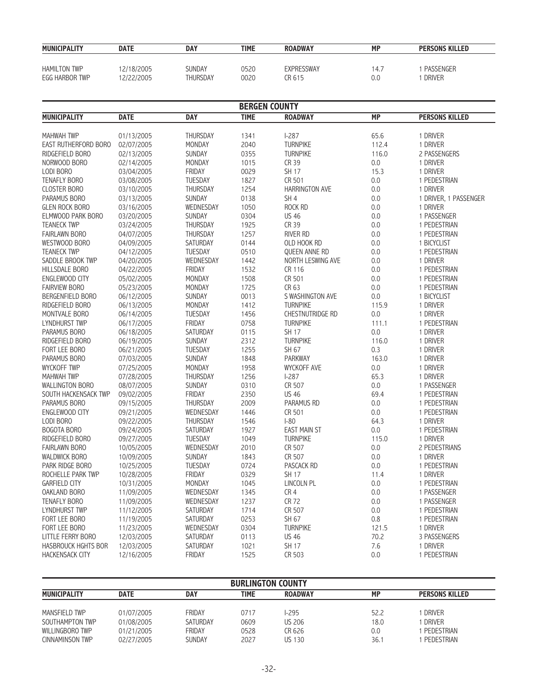| <b>MUNICIPALITY</b> | <b>DATE</b> | <b>DAY</b> | TIME | <b>ROADWAY</b> | <b>MP</b> | <b>PERSONS KILLED</b> |
|---------------------|-------------|------------|------|----------------|-----------|-----------------------|
| <b>HAMILTON TWP</b> | 12/18/2005  | SUNDAY     | 0520 | EXPRESSWAY     | 14.7      | PASSENGER             |
| EGG HARBOR TWP      | 12/22/2005  | THURSDAY   | 0020 | CR 615         | 0.0       | <b>DRIVER</b>         |

|                          | <b>BERGEN COUNTY</b> |                 |             |                         |           |                       |  |  |
|--------------------------|----------------------|-----------------|-------------|-------------------------|-----------|-----------------------|--|--|
| <b>MUNICIPALITY</b>      | <b>DATE</b>          | <b>DAY</b>      | <b>TIME</b> | <b>ROADWAY</b>          | <b>MP</b> | <b>PERSONS KILLED</b> |  |  |
|                          |                      |                 |             |                         |           |                       |  |  |
| <b>MAHWAH TWP</b>        | 01/13/2005           | <b>THURSDAY</b> | 1341        | $1-287$                 | 65.6      | 1 DRIVER              |  |  |
| EAST RUTHERFORD BORO     | 02/07/2005           | MONDAY          | 2040        | <b>TURNPIKE</b>         | 112.4     | 1 DRIVER              |  |  |
| RIDGEFIELD BORO          | 02/13/2005           | <b>SUNDAY</b>   | 0355        | <b>TURNPIKE</b>         | 116.0     | 2 PASSENGERS          |  |  |
| NORWOOD BORO             | 02/14/2005           | <b>MONDAY</b>   | 1015        | CR 39                   | 0.0       | 1 DRIVER              |  |  |
| LODI BORO                | 03/04/2005           | <b>FRIDAY</b>   | 0029        | <b>SH 17</b>            | 15.3      | 1 DRIVER              |  |  |
| <b>TENAFLY BORO</b>      | 03/08/2005           | TUESDAY         | 1827        | CR 501                  | $0.0\,$   | 1 PEDESTRIAN          |  |  |
| <b>CLOSTER BORO</b>      | 03/10/2005           | THURSDAY        | 1254        | <b>HARRINGTON AVE</b>   | 0.0       | 1 DRIVER              |  |  |
| PARAMUS BORO             | 03/13/2005           | <b>SUNDAY</b>   | 0138        | SH <sub>4</sub>         | 0.0       | 1 DRIVER, 1 PASSENGER |  |  |
| <b>GLEN ROCK BORO</b>    | 03/16/2005           | WEDNESDAY       | 1050        | ROCK RD                 | 0.0       | 1 DRIVER              |  |  |
| ELMWOOD PARK BORO        | 03/20/2005           | SUNDAY          | 0304        | <b>US 46</b>            | 0.0       | 1 PASSENGER           |  |  |
| <b>TEANECK TWP</b>       | 03/24/2005           | THURSDAY        | 1925        | CR 39                   | 0.0       | 1 PEDESTRIAN          |  |  |
| <b>FAIRLAWN BORO</b>     | 04/07/2005           | <b>THURSDAY</b> | 1257        | <b>RIVER RD</b>         | 0.0       | 1 PEDESTRIAN          |  |  |
| WESTWOOD BORO            | 04/09/2005           | SATURDAY        | 0144        | OLD HOOK RD             | 0.0       | 1 BICYCLIST           |  |  |
| <b>TEANECK TWP</b>       | 04/12/2005           | <b>TUESDAY</b>  | 0510        | <b>OUEEN ANNE RD</b>    | 0.0       | 1 PEDESTRIAN          |  |  |
| SADDLE BROOK TWP         | 04/20/2005           | WEDNESDAY       | 1442        | NORTH LESWING AVE       | 0.0       | 1 DRIVER              |  |  |
| HILLSDALE BORO           | 04/22/2005           | <b>FRIDAY</b>   | 1532        | CR 116                  | 0.0       | 1 PEDESTRIAN          |  |  |
| ENGLEWOOD CITY           | 05/02/2005           | MONDAY          | 1508        | CR 501                  | 0.0       | 1 PEDESTRIAN          |  |  |
| <b>FAIRVIEW BORO</b>     | 05/23/2005           | <b>MONDAY</b>   | 1725        | CR 63                   | 0.0       | 1 PEDESTRIAN          |  |  |
| BERGENFIELD BORO         | 06/12/2005           | <b>SUNDAY</b>   | 0013        | S WASHINGTON AVE        | 0.0       | 1 BICYCLIST           |  |  |
| RIDGEFIELD BORO          | 06/13/2005           | MONDAY          | 1412        | <b>TURNPIKE</b>         | 115.9     | 1 DRIVER              |  |  |
| MONTVALE BORO            | 06/14/2005           | <b>TUESDAY</b>  | 1456        | <b>CHESTNUTRIDGE RD</b> | 0.0       | 1 DRIVER              |  |  |
| LYNDHURST TWP            | 06/17/2005           | FRIDAY          | 0758        | <b>TURNPIKE</b>         | 111.1     | 1 PEDESTRIAN          |  |  |
| PARAMUS BORO             | 06/18/2005           | SATURDAY        | 0115        | SH 17                   | 0.0       | 1 DRIVER              |  |  |
| RIDGEFIELD BORO          | 06/19/2005           | SUNDAY          | 2312        | <b>TURNPIKE</b>         | 116.0     | 1 DRIVER              |  |  |
| FORT LEE BORO            | 06/21/2005           | <b>TUESDAY</b>  | 1255        | SH 67                   | 0.3       | 1 DRIVER              |  |  |
|                          |                      | SUNDAY          | 1848        | <b>PARKWAY</b>          | 163.0     | 1 DRIVER              |  |  |
| PARAMUS BORO             | 07/03/2005           |                 |             |                         |           |                       |  |  |
| <b>WYCKOFF TWP</b>       | 07/25/2005           | MONDAY          | 1958        | <b>WYCKOFF AVE</b>      | 0.0       | 1 DRIVER              |  |  |
| <b>MAHWAH TWP</b>        | 07/28/2005           | THURSDAY        | 1256        | $1-287$                 | 65.3      | 1 DRIVER              |  |  |
| <b>WALLINGTON BORO</b>   | 08/07/2005           | <b>SUNDAY</b>   | 0310        | CR 507                  | 0.0       | 1 PASSENGER           |  |  |
| SOUTH HACKENSACK TWP     | 09/02/2005           | FRIDAY          | 2350        | <b>US 46</b>            | 69.4      | 1 PEDESTRIAN          |  |  |
| PARAMUS BORO             | 09/15/2005           | THURSDAY        | 2009        | <b>PARAMUS RD</b>       | 0.0       | 1 PEDESTRIAN          |  |  |
| <b>ENGLEWOOD CITY</b>    | 09/21/2005           | WEDNESDAY       | 1446        | CR 501                  | 0.0       | 1 PEDESTRIAN          |  |  |
| LODI BORO                | 09/22/2005           | <b>THURSDAY</b> | 1546        | $1-80$                  | 64.3      | 1 DRIVER              |  |  |
| <b>BOGOTA BORO</b>       | 09/24/2005           | SATURDAY        | 1927        | <b>EAST MAIN ST</b>     | 0.0       | 1 PEDESTRIAN          |  |  |
| RIDGEFIELD BORO          | 09/27/2005           | <b>TUESDAY</b>  | 1049        | <b>TURNPIKE</b>         | 115.0     | 1 DRIVER              |  |  |
| <b>FAIRLAWN BORO</b>     | 10/05/2005           | WEDNESDAY       | 2010        | CR 507                  | 0.0       | 2 PEDESTRIANS         |  |  |
| <b>WALDWICK BORO</b>     | 10/09/2005           | SUNDAY          | 1843        | CR 507                  | 0.0       | 1 DRIVER              |  |  |
| PARK RIDGE BORO          | 10/25/2005           | <b>TUESDAY</b>  | 0724        | PASCACK RD              | 0.0       | 1 PEDESTRIAN          |  |  |
| ROCHELLE PARK TWP        | 10/28/2005           | <b>FRIDAY</b>   | 0329        | SH 17                   | 11.4      | 1 DRIVER              |  |  |
| <b>GARFIELD CITY</b>     | 10/31/2005           | MONDAY          | 1045        | LINCOLN PL              | 0.0       | 1 PEDESTRIAN          |  |  |
| OAKLAND BORO             | 11/09/2005           | WEDNESDAY       | 1345        | CR4                     | 0.0       | 1 PASSENGER           |  |  |
| TENAFLY BORO             | 11/09/2005           | WEDNESDAY       | 1237        | <b>CR 72</b>            | 0.0       | 1 PASSENGER           |  |  |
| LYNDHURST TWP            | 11/12/2005           | SATURDAY        | 1714        | CR 507                  | 0.0       | 1 PEDESTRIAN          |  |  |
| FORT LEE BORO            | 11/19/2005           | SATURDAY        | 0253        | SH 67                   | 0.8       | 1 PEDESTRIAN          |  |  |
| FORT LEE BORO            | 11/23/2005           | WEDNESDAY       | 0304        | <b>TURNPIKE</b>         | 121.5     | 1 DRIVER              |  |  |
| <b>LITTLE FERRY BORO</b> | 12/03/2005           | <b>SATURDAY</b> | 0113        | <b>US 46</b>            | 70.2      | 3 PASSENGERS          |  |  |
| HASBROUCK HGHTS BOR      | 12/03/2005           | SATURDAY        | 1021        | <b>SH 17</b>            | 7.6       | 1 DRIVER              |  |  |
| HACKENSACK CITY          | 12/16/2005           | <b>FRIDAY</b>   | 1525        | CR 503                  | 0.0       | 1 PEDESTRIAN          |  |  |

| <b>BURLINGTON COUNTY</b> |             |               |      |                |      |                       |  |
|--------------------------|-------------|---------------|------|----------------|------|-----------------------|--|
| <b>MUNICIPALITY</b>      | <b>DATE</b> | <b>DAY</b>    | TIME | <b>ROADWAY</b> | МP   | <b>PERSONS KILLED</b> |  |
| MANSFIELD TWP            | 01/07/2005  | <b>FRIDAY</b> | 0717 | -295           | 52.2 | <b>DRIVER</b>         |  |
| SOUTHAMPTON TWP          | 01/08/2005  | SATURDAY      | 0609 | <b>US 206</b>  | 18.0 | <b>DRIVER</b>         |  |
| WILLINGBORO TWP          | 01/21/2005  | <b>FRIDAY</b> | 0528 | CR 626         | 0.0  | PEDESTRIAN            |  |
| CINNAMINSON TWP          | 02/27/2005  | <b>SUNDAY</b> | 2027 | US 130         | 36.1 | PEDESTRIAN            |  |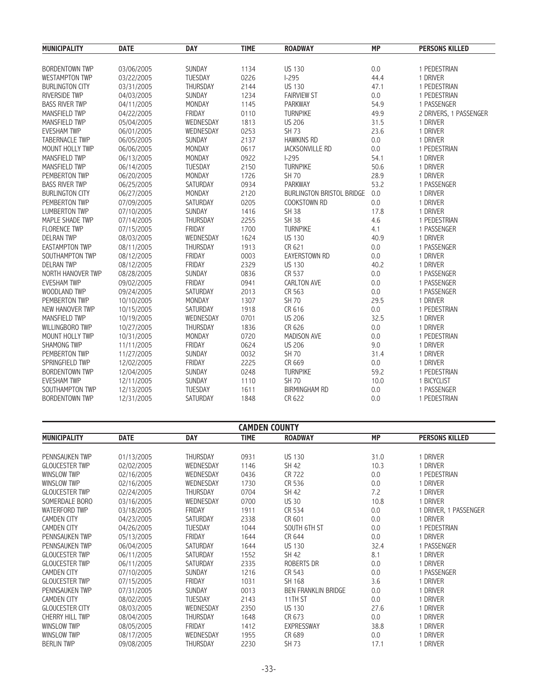| <b>MUNICIPALITY</b>    | <b>DATE</b> | <b>DAY</b>      | <b>TIME</b> | <b>ROADWAY</b>            | <b>MP</b> | <b>PERSONS KILLED</b>  |
|------------------------|-------------|-----------------|-------------|---------------------------|-----------|------------------------|
| <b>BORDENTOWN TWP</b>  | 03/06/2005  | SUNDAY          | 1134        | <b>US 130</b>             | 0.0       | 1 PEDESTRIAN           |
| <b>WESTAMPTON TWP</b>  | 03/22/2005  | <b>TUESDAY</b>  | 0226        | $1-295$                   | 44.4      | 1 DRIVER               |
| <b>BURLINGTON CITY</b> | 03/31/2005  | THURSDAY        | 2144        | <b>US 130</b>             | 47.1      | 1 PEDESTRIAN           |
| <b>RIVERSIDE TWP</b>   | 04/03/2005  | SUNDAY          | 1234        | <b>FAIRVIEW ST</b>        | 0.0       | 1 PEDESTRIAN           |
| <b>BASS RIVER TWP</b>  | 04/11/2005  | MONDAY          | 1145        | <b>PARKWAY</b>            | 54.9      | 1 PASSENGER            |
| MANSFIELD TWP          | 04/22/2005  | <b>FRIDAY</b>   | 0110        | <b>TURNPIKE</b>           | 49.9      | 2 DRIVERS, 1 PASSENGER |
| MANSFIELD TWP          | 05/04/2005  | WEDNESDAY       | 1813        | <b>US 206</b>             | 31.5      | 1 DRIVER               |
| <b>EVESHAM TWP</b>     | 06/01/2005  | WEDNESDAY       | 0253        | SH 73                     | 23.6      | 1 DRIVER               |
| <b>TABERNACLE TWP</b>  | 06/05/2005  | <b>SUNDAY</b>   | 2137        | <b>HAWKINS RD</b>         | 0.0       | 1 DRIVER               |
| MOUNT HOLLY TWP        | 06/06/2005  | MONDAY          | 0617        | <b>JACKSONVILLE RD</b>    | 0.0       | 1 PEDESTRIAN           |
| MANSFIELD TWP          | 06/13/2005  | MONDAY          | 0922        | $1 - 295$                 | 54.1      | 1 DRIVER               |
| MANSFIELD TWP          | 06/14/2005  | <b>TUESDAY</b>  | 2150        | <b>TURNPIKE</b>           | 50.6      | 1 DRIVER               |
| PEMBERTON TWP          | 06/20/2005  | MONDAY          | 1726        | <b>SH 70</b>              | 28.9      | 1 DRIVER               |
| <b>BASS RIVER TWP</b>  | 06/25/2005  | SATURDAY        | 0934        | <b>PARKWAY</b>            | 53.2      | 1 PASSENGER            |
| <b>BURLINGTON CITY</b> | 06/27/2005  | MONDAY          | 2120        | BURLINGTON BRISTOL BRIDGE | 0.0       | 1 DRIVER               |
| PEMBERTON TWP          | 07/09/2005  | SATURDAY        | 0205        | COOKSTOWN RD              | 0.0       | 1 DRIVER               |
| <b>LUMBERTON TWP</b>   | 07/10/2005  | <b>SUNDAY</b>   | 1416        | <b>SH 38</b>              | 17.8      | 1 DRIVER               |
| MAPLE SHADE TWP        | 07/14/2005  | THURSDAY        | 2255        | <b>SH 38</b>              | 4.6       | 1 PEDESTRIAN           |
| <b>FLORENCE TWP</b>    | 07/15/2005  | <b>FRIDAY</b>   | 1700        | <b>TURNPIKE</b>           | 4.1       | 1 PASSENGER            |
| <b>DELRAN TWP</b>      | 08/03/2005  | WEDNESDAY       | 1624        | <b>US 130</b>             | 40.9      | 1 DRIVER               |
| <b>EASTAMPTON TWP</b>  | 08/11/2005  | THURSDAY        | 1913        | CR 621                    | 0.0       | 1 PASSENGER            |
| SOUTHAMPTON TWP        | 08/12/2005  | FRIDAY          | 0003        | <b>EAYERSTOWN RD</b>      | 0.0       | 1 DRIVER               |
| <b>DELRAN TWP</b>      | 08/12/2005  | FRIDAY          | 2329        | <b>US 130</b>             | 40.2      | 1 DRIVER               |
| NORTH HANOVER TWP      | 08/28/2005  | SUNDAY          | 0836        | CR 537                    | 0.0       | 1 PASSENGER            |
| <b>EVESHAM TWP</b>     | 09/02/2005  | FRIDAY          | 0941        | <b>CARLTON AVE</b>        | 0.0       | 1 PASSENGER            |
| WOODLAND TWP           | 09/24/2005  | SATURDAY        | 2013        | CR 563                    | 0.0       | 1 PASSENGER            |
| PEMBERTON TWP          | 10/10/2005  | MONDAY          | 1307        | <b>SH 70</b>              | 29.5      | 1 DRIVER               |
| <b>NEW HANOVER TWP</b> | 10/15/2005  | <b>SATURDAY</b> | 1918        | CR 616                    | 0.0       | 1 PEDESTRIAN           |
| MANSFIELD TWP          | 10/19/2005  | WEDNESDAY       | 0701        | <b>US 206</b>             | 32.5      | 1 DRIVER               |
| WILLINGBORO TWP        | 10/27/2005  | <b>THURSDAY</b> | 1836        | CR 626                    | 0.0       | 1 DRIVER               |
| MOUNT HOLLY TWP        | 10/31/2005  | MONDAY          | 0720        | <b>MADISON AVE</b>        | 0.0       | 1 PEDESTRIAN           |
| <b>SHAMONG TWP</b>     | 11/11/2005  | FRIDAY          | 0624        | <b>US 206</b>             | 9.0       | 1 DRIVER               |
| PEMBERTON TWP          | 11/27/2005  | SUNDAY          | 0032        | <b>SH 70</b>              | 31.4      | 1 DRIVER               |
| SPRINGFIELD TWP        | 12/02/2005  | <b>FRIDAY</b>   | 2225        | CR 669                    | 0.0       | 1 DRIVER               |
| <b>BORDENTOWN TWP</b>  | 12/04/2005  | SUNDAY          | 0248        | <b>TURNPIKE</b>           | 59.2      | 1 PEDESTRIAN           |
| <b>EVESHAM TWP</b>     | 12/11/2005  | SUNDAY          | 1110        | <b>SH 70</b>              | 10.0      | 1 BICYCLIST            |
| SOUTHAMPTON TWP        | 12/13/2005  | <b>TUESDAY</b>  | 1611        | <b>BIRMINGHAM RD</b>      | 0.0       | 1 PASSENGER            |
| <b>BORDENTOWN TWP</b>  | 12/31/2005  | SATURDAY        | 1848        | CR 622                    | 0.0       | 1 PEDESTRIAN           |
|                        |             |                 |             |                           |           |                        |

| <b>CAMDEN COUNTY</b>   |             |                 |             |                            |           |                       |  |
|------------------------|-------------|-----------------|-------------|----------------------------|-----------|-----------------------|--|
| <b>MUNICIPALITY</b>    | <b>DATE</b> | <b>DAY</b>      | <b>TIME</b> | <b>ROADWAY</b>             | <b>MP</b> | <b>PERSONS KILLED</b> |  |
|                        |             |                 |             |                            |           |                       |  |
| <b>PENNSAUKEN TWP</b>  | 01/13/2005  | <b>THURSDAY</b> | 0931        | <b>US 130</b>              | 31.0      | 1 DRIVER              |  |
| <b>GLOUCESTER TWP</b>  | 02/02/2005  | WEDNESDAY       | 1146        | SH 42                      | 10.3      | 1 DRIVER              |  |
| <b>WINSLOW TWP</b>     | 02/16/2005  | WEDNESDAY       | 0436        | CR 722                     | 0.0       | 1 PEDESTRIAN          |  |
| WINSLOW TWP            | 02/16/2005  | WEDNESDAY       | 1730        | CR 536                     | 0.0       | 1 DRIVER              |  |
| <b>GLOUCESTER TWP</b>  | 02/24/2005  | <b>THURSDAY</b> | 0704        | SH 42                      | 7.2       | 1 DRIVER              |  |
| SOMERDALE BORO         | 03/16/2005  | WEDNESDAY       | 0700        | <b>US 30</b>               | 10.8      | 1 DRIVER              |  |
| WATERFORD TWP          | 03/18/2005  | FRIDAY          | 1911        | CR 534                     | 0.0       | 1 DRIVER, 1 PASSENGER |  |
| <b>CAMDEN CITY</b>     | 04/23/2005  | <b>SATURDAY</b> | 2338        | CR 601                     | 0.0       | 1 DRIVER              |  |
| <b>CAMDEN CITY</b>     | 04/26/2005  | <b>TUESDAY</b>  | 1044        | SOUTH 6TH ST               | 0.0       | 1 PEDESTRIAN          |  |
| <b>PENNSAUKEN TWP</b>  | 05/13/2005  | FRIDAY          | 1644        | CR 644                     | 0.0       | 1 DRIVER              |  |
| PENNSAUKEN TWP         | 06/04/2005  | <b>SATURDAY</b> | 1644        | <b>US 130</b>              | 32.4      | 1 PASSENGER           |  |
| <b>GLOUCESTER TWP</b>  | 06/11/2005  | SATURDAY        | 1552        | SH 42                      | 8.1       | 1 DRIVER              |  |
| <b>GLOUCESTER TWP</b>  | 06/11/2005  | SATURDAY        | 2335        | ROBERTS DR                 | 0.0       | 1 DRIVER              |  |
| <b>CAMDEN CITY</b>     | 07/10/2005  | <b>SUNDAY</b>   | 1216        | CR 543                     | 0.0       | 1 PASSENGER           |  |
| <b>GLOUCESTER TWP</b>  | 07/15/2005  | FRIDAY          | 1031        | SH 168                     | 3.6       | 1 DRIVER              |  |
| <b>PENNSAUKEN TWP</b>  | 07/31/2005  | <b>SUNDAY</b>   | 0013        | <b>BEN FRANKLIN BRIDGE</b> | 0.0       | 1 DRIVER              |  |
| <b>CAMDEN CITY</b>     | 08/02/2005  | <b>TUESDAY</b>  | 2143        | 11TH ST                    | 0.0       | 1 DRIVER              |  |
| <b>GLOUCESTER CITY</b> | 08/03/2005  | WEDNESDAY       | 2350        | <b>US 130</b>              | 27.6      | 1 DRIVER              |  |
| <b>CHERRY HILL TWP</b> | 08/04/2005  | <b>THURSDAY</b> | 1648        | CR 673                     | 0.0       | 1 DRIVER              |  |
| WINSLOW TWP            | 08/05/2005  | <b>FRIDAY</b>   | 1412        | <b>EXPRESSWAY</b>          | 38.8      | 1 DRIVER              |  |
| WINSLOW TWP            | 08/17/2005  | WEDNESDAY       | 1955        | CR 689                     | 0.0       | 1 DRIVER              |  |
| <b>BERLIN TWP</b>      | 09/08/2005  | <b>THURSDAY</b> | 2230        | <b>SH 73</b>               | 17.1      | 1 DRIVER              |  |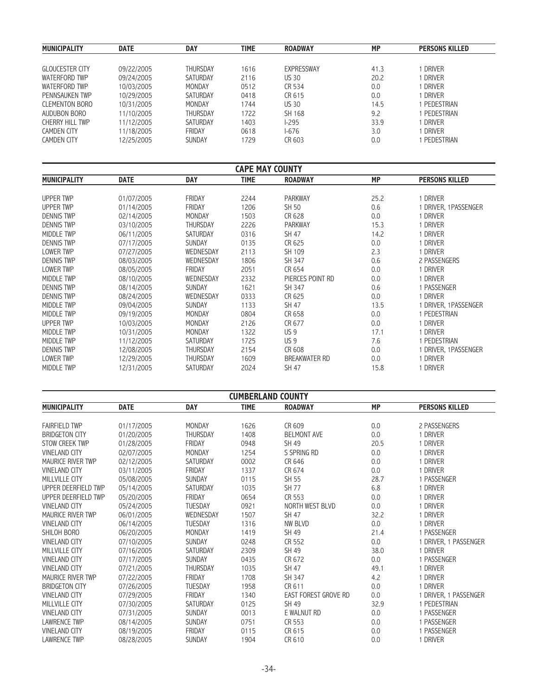| <b>MUNICIPALITY</b>    | <b>DATE</b> | <b>DAY</b>      | <b>TIME</b> | <b>ROADWAY</b> | <b>MP</b> | <b>PERSONS KILLED</b> |
|------------------------|-------------|-----------------|-------------|----------------|-----------|-----------------------|
|                        |             |                 |             |                |           |                       |
| <b>GLOUCESTER CITY</b> | 09/22/2005  | <b>THURSDAY</b> | 1616        | EXPRESSWAY     | 41.3      | DRIVER                |
| WATERFORD TWP          | 09/24/2005  | SATURDAY        | 2116        | <b>US 30</b>   | 20.2      | DRIVER                |
| WATERFORD TWP          | 10/03/2005  | MONDAY          | 0512        | CR 534         | 0.0       | DRIVER                |
| PENNSAUKEN TWP         | 10/29/2005  | SATURDAY        | 0418        | CR 615         | 0.0       | DRIVER                |
| <b>CLEMENTON BORO</b>  | 10/31/2005  | MONDAY          | 1744        | <b>US 30</b>   | 14.5      | PEDESTRIAN            |
| AUDUBON BORO           | 11/10/2005  | <b>THURSDAY</b> | 1722        | SH 168         | 9.2       | PEDESTRIAN            |
| CHERRY HILL TWP        | 11/12/2005  | SATURDAY        | 1403        | $1 - 295$      | 33.9      | DRIVER                |
| CAMDEN CITY            | 11/18/2005  | FRIDAY          | 0618        | $1-676$        | 3.0       | DRIVER                |
| <b>CAMDEN CITY</b>     | 12/25/2005  | SUNDAY          | 1729        | CR 603         | 0.0       | PEDESTRIAN            |

| <b>CAPE MAY COUNTY</b> |             |                 |             |                      |           |                       |  |
|------------------------|-------------|-----------------|-------------|----------------------|-----------|-----------------------|--|
| <b>MUNICIPALITY</b>    | <b>DATE</b> | <b>DAY</b>      | <b>TIME</b> | <b>ROADWAY</b>       | <b>MP</b> | <b>PERSONS KILLED</b> |  |
|                        |             |                 |             |                      |           |                       |  |
| UPPER TWP              | 01/07/2005  | <b>FRIDAY</b>   | 2244        | <b>PARKWAY</b>       | 25.2      | 1 DRIVER              |  |
| UPPER TWP              | 01/14/2005  | <b>FRIDAY</b>   | 1206        | SH 50                | 0.6       | 1 DRIVER, 1PASSENGER  |  |
| <b>DENNIS TWP</b>      | 02/14/2005  | <b>MONDAY</b>   | 1503        | CR 628               | 0.0       | 1 DRIVER              |  |
| <b>DENNIS TWP</b>      | 03/10/2005  | <b>THURSDAY</b> | 2226        | <b>PARKWAY</b>       | 15.3      | 1 DRIVER              |  |
| MIDDLE TWP             | 06/11/2005  | <b>SATURDAY</b> | 0316        | SH 47                | 14.2      | 1 DRIVER              |  |
| <b>DENNIS TWP</b>      | 07/17/2005  | <b>SUNDAY</b>   | 0135        | CR 625               | 0.0       | 1 DRIVER              |  |
| LOWER TWP              | 07/27/2005  | WEDNESDAY       | 2113        | SH 109               | 2.3       | 1 DRIVER              |  |
| <b>DENNIS TWP</b>      | 08/03/2005  | WEDNESDAY       | 1806        | SH 347               | 0.6       | 2 PASSENGERS          |  |
| LOWER TWP              | 08/05/2005  | FRIDAY          | 2051        | CR 654               | 0.0       | 1 DRIVER              |  |
| MIDDLE TWP             | 08/10/2005  | WEDNESDAY       | 2332        | PIERCES POINT RD     | 0.0       | 1 DRIVER              |  |
| <b>DENNIS TWP</b>      | 08/14/2005  | <b>SUNDAY</b>   | 1621        | SH 347               | 0.6       | 1 PASSENGER           |  |
| <b>DENNIS TWP</b>      | 08/24/2005  | WEDNESDAY       | 0333        | CR 625               | 0.0       | 1 DRIVER              |  |
| MIDDLE TWP             | 09/04/2005  | <b>SUNDAY</b>   | 1133        | SH 47                | 13.5      | 1 DRIVER, 1PASSENGER  |  |
| MIDDLE TWP             | 09/19/2005  | MONDAY          | 0804        | CR 658               | 0.0       | 1 PEDESTRIAN          |  |
| UPPER TWP              | 10/03/2005  | MONDAY          | 2126        | CR 677               | 0.0       | 1 DRIVER              |  |
| MIDDLE TWP             | 10/31/2005  | <b>MONDAY</b>   | 1322        | US <sub>9</sub>      | 17.1      | 1 DRIVER              |  |
| MIDDLE TWP             | 11/12/2005  | <b>SATURDAY</b> | 1725        | US <sub>9</sub>      | 7.6       | 1 PEDESTRIAN          |  |
| <b>DENNIS TWP</b>      | 12/08/2005  | <b>THURSDAY</b> | 2154        | CR 608               | 0.0       | 1 DRIVER, 1PASSENGER  |  |
| LOWER TWP              | 12/29/2005  | <b>THURSDAY</b> | 1609        | <b>BREAKWATER RD</b> | 0.0       | 1 DRIVER              |  |
| MIDDLE TWP             | 12/31/2005  | <b>SATURDAY</b> | 2024        | SH 47                | 15.8      | <b>DRIVER</b>         |  |

| <b>CUMBERLAND COUNTY</b> |             |                 |             |                             |           |                       |  |
|--------------------------|-------------|-----------------|-------------|-----------------------------|-----------|-----------------------|--|
| <b>MUNICIPALITY</b>      | <b>DATE</b> | <b>DAY</b>      | <b>TIME</b> | <b>ROADWAY</b>              | <b>MP</b> | <b>PERSONS KILLED</b> |  |
| <b>FAIRFIELD TWP</b>     | 01/17/2005  | MONDAY          | 1626        | CR 609                      | 0.0       | 2 PASSENGERS          |  |
| <b>BRIDGETON CITY</b>    | 01/20/2005  | <b>THURSDAY</b> | 1408        | <b>BELMONT AVE</b>          | 0.0       | 1 DRIVER              |  |
| STOW CREEK TWP           | 01/28/2005  | FRIDAY          | 0948        | SH 49                       | 20.5      | 1 DRIVER              |  |
| <b>VINELAND CITY</b>     | 02/07/2005  | <b>MONDAY</b>   | 1254        | S SPRING RD                 | 0.0       | 1 DRIVER              |  |
| MAURICE RIVER TWP        | 02/12/2005  | <b>SATURDAY</b> | 0002        | CR 646                      | 0.0       | 1 DRIVER              |  |
| <b>VINELAND CITY</b>     | 03/11/2005  | <b>FRIDAY</b>   | 1337        | CR 674                      | 0.0       | 1 DRIVER              |  |
| MILLVILLE CITY           | 05/08/2005  | SUNDAY          | 0115        | SH 55                       | 28.7      | 1 PASSENGER           |  |
| UPPER DEERFIELD TWP      | 05/14/2005  | <b>SATURDAY</b> | 1035        | <b>SH 77</b>                | 6.8       | 1 DRIVER              |  |
| UPPER DEERFIELD TWP      | 05/20/2005  | <b>FRIDAY</b>   | 0654        | CR 553                      | 0.0       | 1 DRIVER              |  |
| <b>VINELAND CITY</b>     | 05/24/2005  | <b>TUESDAY</b>  | 0921        | NORTH WEST BLVD             | 0.0       | 1 DRIVER              |  |
| MAURICE RIVER TWP        | 06/01/2005  | WEDNESDAY       | 1507        | <b>SH 47</b>                | 32.2      | 1 DRIVER              |  |
| <b>VINELAND CITY</b>     | 06/14/2005  | <b>TUESDAY</b>  | 1316        | NW BLVD                     | 0.0       | 1 DRIVER              |  |
| SHILOH BORO              | 06/20/2005  | <b>MONDAY</b>   | 1419        | SH 49                       | 21.4      | 1 PASSENGER           |  |
| <b>VINELAND CITY</b>     | 07/10/2005  | <b>SUNDAY</b>   | 0248        | CR 552                      | 0.0       | 1 DRIVER, 1 PASSENGER |  |
| MILLVILLE CITY           | 07/16/2005  | <b>SATURDAY</b> | 2309        | SH 49                       | 38.0      | 1 DRIVER              |  |
| <b>VINELAND CITY</b>     | 07/17/2005  | <b>SUNDAY</b>   | 0435        | CR 672                      | 0.0       | 1 PASSENGER           |  |
| <b>VINELAND CITY</b>     | 07/21/2005  | <b>THURSDAY</b> | 1035        | SH 47                       | 49.1      | 1 DRIVER              |  |
| <b>MAURICE RIVER TWP</b> | 07/22/2005  | <b>FRIDAY</b>   | 1708        | SH 347                      | 4.2       | 1 DRIVER              |  |
| <b>BRIDGETON CITY</b>    | 07/26/2005  | <b>TUESDAY</b>  | 1958        | CR 611                      | 0.0       | 1 DRIVER              |  |
| <b>VINELAND CITY</b>     | 07/29/2005  | FRIDAY          | 1340        | <b>EAST FOREST GROVE RD</b> | 0.0       | 1 DRIVER, 1 PASSENGER |  |
| MILLVILLE CITY           | 07/30/2005  | <b>SATURDAY</b> | 0125        | SH 49                       | 32.9      | 1 PEDESTRIAN          |  |
| <b>VINELAND CITY</b>     | 07/31/2005  | <b>SUNDAY</b>   | 0013        | E WALNUT RD                 | 0.0       | 1 PASSENGER           |  |
| <b>LAWRENCE TWP</b>      | 08/14/2005  | <b>SUNDAY</b>   | 0751        | CR 553                      | 0.0       | 1 PASSENGER           |  |
| <b>VINELAND CITY</b>     | 08/19/2005  | FRIDAY          | 0115        | CR 615                      | 0.0       | 1 PASSENGER           |  |
| <b>LAWRENCE TWP</b>      | 08/28/2005  | <b>SUNDAY</b>   | 1904        | CR 610                      | 0.0       | 1 DRIVER              |  |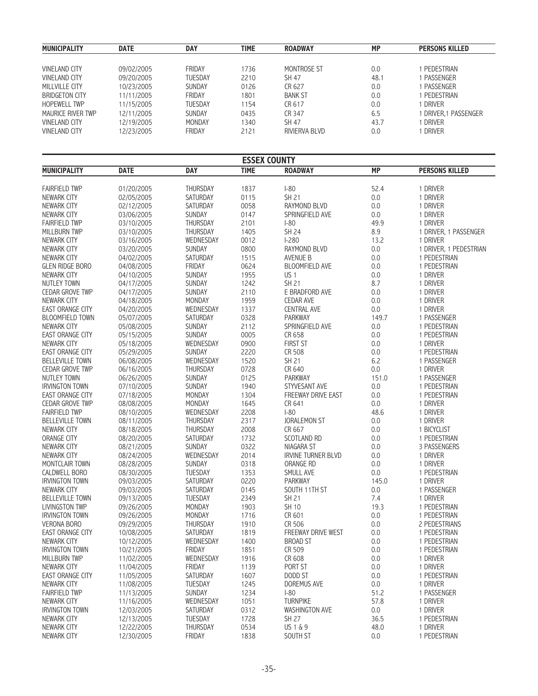| <b>MUNICIPALITY</b>      | <b>DATE</b> | DAY             | <b>TIME</b>                        | <b>ROADWAY</b>            | <b>MP</b> | <b>PERSONS KILLED</b>  |
|--------------------------|-------------|-----------------|------------------------------------|---------------------------|-----------|------------------------|
|                          |             |                 |                                    |                           |           |                        |
| <b>VINELAND CITY</b>     | 09/02/2005  | FRIDAY          | 1736                               | MONTROSE ST               | 0.0       | 1 PEDESTRIAN           |
| <b>VINELAND CITY</b>     | 09/20/2005  | TUESDAY         | 2210                               | SH 47                     | 48.1      | 1 PASSENGER            |
| MILLVILLE CITY           | 10/23/2005  | SUNDAY          | 0126                               | CR 627                    | 0.0       | 1 PASSENGER            |
| <b>BRIDGETON CITY</b>    | 11/11/2005  | FRIDAY          | 1801                               | <b>BANK ST</b>            | 0.0       | 1 PEDESTRIAN           |
| <b>HOPEWELL TWP</b>      | 11/15/2005  | TUESDAY         | 1154                               | CR 617                    | 0.0       | 1 DRIVER               |
| <b>MAURICE RIVER TWP</b> | 12/11/2005  | SUNDAY          | 0435                               | CR 347                    | 6.5       | 1 DRIVER, 1 PASSENGER  |
| <b>VINELAND CITY</b>     | 12/19/2005  | MONDAY          | 1340                               | SH 47                     | 43.7      | 1 DRIVER               |
| <b>VINELAND CITY</b>     | 12/23/2005  | FRIDAY          | 2121                               | RIVIERVA BLVD             | 0.0       | 1 DRIVER               |
|                          |             |                 |                                    |                           |           |                        |
| <b>MUNICIPALITY</b>      | <b>DATE</b> | <b>DAY</b>      | <b>ESSEX COUNTY</b><br><b>TIME</b> | <b>ROADWAY</b>            | <b>MP</b> | <b>PERSONS KILLED</b>  |
|                          |             |                 |                                    |                           |           |                        |
| <b>FAIRFIELD TWP</b>     | 01/20/2005  | THURSDAY        | 1837                               | $I-80$                    | 52.4      | 1 DRIVER               |
| NEWARK CITY              | 02/05/2005  | SATURDAY        | 0115                               | <b>SH 21</b>              | 0.0       | 1 DRIVER               |
| NEWARK CITY              | 02/12/2005  | SATURDAY        | 0058                               | RAYMOND BLVD              | 0.0       | 1 DRIVER               |
| NEWARK CITY              | 03/06/2005  | SUNDAY          | 0147                               | SPRINGFIELD AVE           | 0.0       | 1 DRIVER               |
| <b>FAIRFIELD TWP</b>     | 03/10/2005  | THURSDAY        | 2101                               | $I-80$                    | 49.9      | 1 DRIVER               |
| <b>MILLBURN TWP</b>      | 03/10/2005  | THURSDAY        | 1405                               | <b>SH 24</b>              | 8.9       | 1 DRIVER, 1 PASSENGER  |
| NEWARK CITY              | 03/16/2005  | WEDNESDAY       | 0012                               | $1 - 280$                 | 13.2      | 1 DRIVER               |
| NEWARK CITY              | 03/20/2005  | SUNDAY          | 0800                               | <b>RAYMOND BLVD</b>       | 0.0       | 1 DRIVER, 1 PEDESTRIAN |
| NEWARK CITY              | 04/02/2005  | SATURDAY        | 1515                               | <b>AVENUE B</b>           | 0.0       | 1 PEDESTRIAN           |
| <b>GLEN RIDGE BORO</b>   | 04/08/2005  | FRIDAY          | 0624                               | <b>BLOOMFIELD AVE</b>     | 0.0       | 1 PEDESTRIAN           |
| NEWARK CITY              | 04/10/2005  | SUNDAY          | 1955                               | US <sub>1</sub>           | 0.0       | 1 DRIVER               |
| NUTLEY TOWN              | 04/17/2005  | SUNDAY          | 1242                               | <b>SH 21</b>              | 8.7       | 1 DRIVER               |
| CEDAR GROVE TWP          | 04/17/2005  | SUNDAY          | 2110                               | E BRADFORD AVE            | 0.0       | 1 DRIVER               |
| NEWARK CITY              | 04/18/2005  | MONDAY          | 1959                               | <b>CEDAR AVE</b>          | 0.0       | 1 DRIVER               |
| EAST ORANGE CITY         | 04/20/2005  | WEDNESDAY       | 1337                               | <b>CENTRAL AVE</b>        | 0.0       | 1 DRIVER               |
| <b>BLOOMFIELD TOWN</b>   | 05/07/2005  | SATURDAY        | 0328                               | <b>PARKWAY</b>            | 149.7     | 1 PASSENGER            |
| NEWARK CITY              | 05/08/2005  | SUNDAY          | 2112                               | SPRINGFIELD AVE           | 0.0       | 1 PEDESTRIAN           |
| EAST ORANGE CITY         | 05/15/2005  | SUNDAY          | 0005                               | CR 658                    | 0.0       | 1 PEDESTRIAN           |
| NEWARK CITY              | 05/18/2005  | WEDNESDAY       | 0900                               | <b>FIRST ST</b>           | 0.0       | 1 DRIVER               |
| <b>EAST ORANGE CITY</b>  | 05/29/2005  | SUNDAY          | 2220                               | CR 508                    | 0.0       | 1 PEDESTRIAN           |
| <b>BELLEVILLE TOWN</b>   | 06/08/2005  | WEDNESDAY       | 1520                               | <b>SH 21</b>              | 6.2       | 1 PASSENGER            |
| CEDAR GROVE TWP          | 06/16/2005  | THURSDAY        | 0728                               | CR 640                    | 0.0       | 1 DRIVER               |
| NUTLEY TOWN              | 06/26/2005  | SUNDAY          | 0125                               | <b>PARKWAY</b>            | 151.0     | 1 PASSENGER            |
| <b>IRVINGTON TOWN</b>    | 07/10/2005  | <b>SUNDAY</b>   | 1940                               | STYVESANT AVE             | 0.0       | 1 PEDESTRIAN           |
| <b>EAST ORANGE CITY</b>  | 07/18/2005  | MONDAY          | 1304                               | FREEWAY DRIVE EAST        | 0.0       | 1 PEDESTRIAN           |
| <b>CEDAR GROVE TWP</b>   | 08/08/2005  | MONDAY          | 1645                               | CR 641                    | 0.0       | 1 DRIVER               |
| <b>FAIRFIELD TWP</b>     | 08/10/2005  | WEDNESDAY       | 2208                               | $I-80$                    | 48.6      | 1 DRIVER               |
| <b>BELLEVILLE TOWN</b>   | 08/11/2005  | THURSDAY        | 2317                               | <b>JORALEMON ST</b>       | 0.0       | 1 DRIVER               |
| NEWARK CITY              | 08/18/2005  | <b>THURSDAY</b> | 2008                               | CR 667                    | 0.0       | 1 BICYCLIST            |
| ORANGE CITY              | 08/20/2005  | SATURDAY        | 1732                               | <b>SCOTLAND RD</b>        | 0.0       | 1 PEDESTRIAN           |
| NEWARK CITY              | 08/21/2005  | SUNDAY          | 0322                               | NIAGARA ST                | 0.0       | 3 PASSENGERS           |
| NEWARK CITY              | 08/24/2005  | WEDNESDAY       | 2014                               | <b>IRVINE TURNER BLVD</b> | 0.0       | 1 DRIVER               |
| MONTCLAIR TOWN           | 08/28/2005  | <b>SUNDAY</b>   | 0318                               | ORANGE RD                 | 0.0       | 1 DRIVER               |
| CALDWELL BORO            | 08/30/2005  | TUESDAY         | 1353                               | SMULL AVE                 | 0.0       | 1 PEDESTRIAN           |
| <b>IRVINGTON TOWN</b>    | 09/03/2005  | SATURDAY        | 0220                               | <b>PARKWAY</b>            | 145.0     | 1 DRIVER               |
| NEWARK CITY              | 09/03/2005  | SATURDAY        | 0145                               | SOUTH 11TH ST             | 0.0       | 1 PASSENGER            |
| <b>BELLEVILLE TOWN</b>   | 09/13/2005  | TUESDAY         | 2349                               | <b>SH 21</b>              | 7.4       | 1 DRIVER               |
| <b>LIVINGSTON TWP</b>    | 09/26/2005  | MONDAY          | 1903                               | SH 10                     | 19.3      | 1 PEDESTRIAN           |
| <b>IRVINGTON TOWN</b>    | 09/26/2005  | MONDAY          | 1716                               | CR 601                    | 0.0       | 1 PEDESTRIAN           |
| <b>VERONA BORO</b>       | 09/29/2005  | THURSDAY        | 1910                               | CR 506                    | 0.0       | 2 PEDESTRIANS          |
| <b>EAST ORANGE CITY</b>  | 10/08/2005  | SATURDAY        | 1819                               | FREEWAY DRIVE WEST        | 0.0       | 1 PEDESTRIAN           |
| NEWARK CITY              | 10/12/2005  | WEDNESDAY       | 1400                               | <b>BROAD ST</b>           | 0.0       | 1 PEDESTRIAN           |
| <b>IRVINGTON TOWN</b>    | 10/21/2005  | FRIDAY          | 1851                               | CR 509                    | 0.0       | 1 PEDESTRIAN           |
| <b>MILLBURN TWP</b>      | 11/02/2005  | WEDNESDAY       | 1916                               | CR 608                    | 0.0       | 1 DRIVER               |
| NEWARK CITY              | 11/04/2005  | FRIDAY          | 1139                               | PORT ST                   | 0.0       | 1 DRIVER               |
| EAST ORANGE CITY         | 11/05/2005  | SATURDAY        | 1607                               | DODD ST                   | 0.0       | 1 PEDESTRIAN           |
| NEWARK CITY              | 11/08/2005  | TUESDAY         | 1245                               | <b>DOREMUS AVE</b>        | 0.0       | 1 DRIVER               |
| FAIRFIELD TWP            | 11/13/2005  | SUNDAY          | 1234                               | $-80$                     | 51.2      | 1 PASSENGER            |
| NEWARK CITY              | 11/16/2005  | WEDNESDAY       | 1051                               | <b>TURNPIKE</b>           | 57.8      | 1 DRIVER               |
| <b>IRVINGTON TOWN</b>    | 12/03/2005  | SATURDAY        | 0312                               | WASHINGTON AVE            | 0.0       | 1 DRIVER               |
| NEWARK CITY              | 12/13/2005  | <b>TUESDAY</b>  | 1728                               | SH 27                     | 36.5      | 1 PEDESTRIAN           |
| NEWARK CITY              | 12/22/2005  | THURSDAY        | 0534                               | US 1 & 9                  | 48.0      | 1 DRIVER               |
| NEWARK CITY              | 12/30/2005  | FRIDAY          | 1838                               | SOUTH ST                  | 0.0       | 1 PEDESTRIAN           |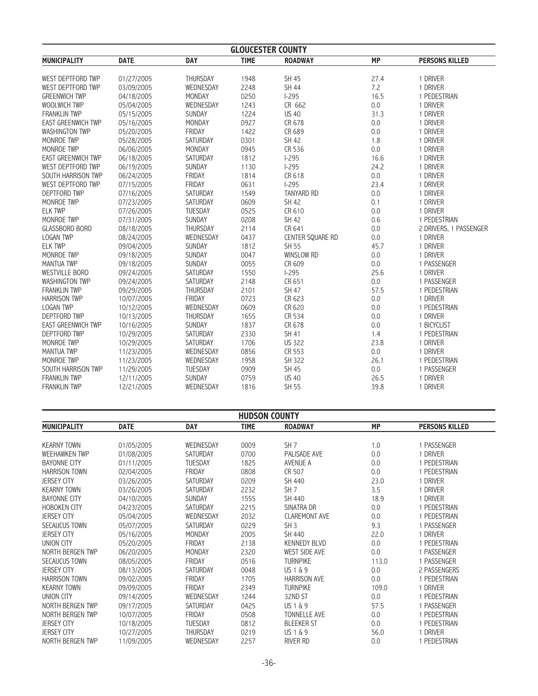| <b>GLOUCESTER COUNTY</b>  |             |                |              |                   |            |                                    |  |
|---------------------------|-------------|----------------|--------------|-------------------|------------|------------------------------------|--|
| <b>MUNICIPALITY</b>       | <b>DATE</b> | <b>DAY</b>     | <b>TIME</b>  | <b>ROADWAY</b>    | <b>MP</b>  | <b>PERSONS KILLED</b>              |  |
| WEST DEPTFORD TWP         | 01/27/2005  | THURSDAY       | 1948         | SH 45             | 27.4       | 1 DRIVER                           |  |
| WEST DEPTFORD TWP         | 03/09/2005  | WEDNESDAY      | 2248         | <b>SH 44</b>      | 7.2        | 1 DRIVER                           |  |
| <b>GREENWICH TWP</b>      | 04/18/2005  | MONDAY         | 0250         | $1-295$           | 16.5       | 1 PEDESTRIAN                       |  |
| WOOLWICH TWP              | 05/04/2005  | WEDNESDAY      | 1243         | CR 662            | 0.0        | 1 DRIVER                           |  |
| <b>FRANKLIN TWP</b>       | 05/15/2005  | SUNDAY         | 1224         | <b>US 40</b>      | 31.3       | 1 DRIVER                           |  |
| <b>EAST GREENWICH TWP</b> | 05/16/2005  | MONDAY         | 0927         | CR 678            | $0.0\,$    | 1 DRIVER                           |  |
| <b>WASHINGTON TWP</b>     | 05/20/2005  | FRIDAY         | 1422         | CR 689            | 0.0        | 1 DRIVER                           |  |
| MONROE TWP                | 05/28/2005  | SATURDAY       | 0301         | <b>SH 42</b>      | 1.8        | 1 DRIVER                           |  |
| MONROE TWP                | 06/06/2005  | MONDAY         | 0945         | CR 536            | 0.0        | 1 DRIVER                           |  |
| <b>EAST GREENWICH TWP</b> | 06/18/2005  | SATURDAY       | 1812         | $1-295$           | 16.6       | 1 DRIVER                           |  |
| WEST DEPTFORD TWP         | 06/19/2005  | SUNDAY         | 1130         | $1-295$           | 24.2       | 1 DRIVER                           |  |
| SOUTH HARRISON TWP        | 06/24/2005  | FRIDAY         | 1814         | CR 618            | 0.0        | 1 DRIVER                           |  |
| WEST DEPTFORD TWP         | 07/15/2005  | FRIDAY         | 0631         | $1 - 295$         | 23.4       | 1 DRIVER                           |  |
| <b>DEPTFORD TWP</b>       | 07/16/2005  | SATURDAY       | 1549         | <b>TANYARD RD</b> | $0.0\,$    | 1 DRIVER                           |  |
| MONROE TWP                | 07/23/2005  | SATURDAY       | 0609         | <b>SH 42</b>      | 0.1        | 1 DRIVER                           |  |
| <b>ELK TWP</b>            | 07/26/2005  | <b>TUESDAY</b> | 0525         | CR 610            | 0.0        | 1 DRIVER                           |  |
| MONROE TWP                |             | SUNDAY         |              | <b>SH 42</b>      |            | 1 PEDESTRIAN                       |  |
| <b>GLASSBORO BORO</b>     | 07/31/2005  | THURSDAY       | 0208<br>2114 | CR 641            | 0.6<br>0.0 |                                    |  |
|                           | 08/18/2005  | WEDNESDAY      |              |                   |            | 2 DRIVERS, 1 PASSENGER<br>1 DRIVER |  |
| <b>LOGAN TWP</b>          | 08/24/2005  |                | 0437         | CENTER SQUARE RD  | 0.0        |                                    |  |
| <b>ELK TWP</b>            | 09/04/2005  | SUNDAY         | 1812         | SH 55             | 45.7       | 1 DRIVER                           |  |
| <b>MONROE TWP</b>         | 09/18/2005  | SUNDAY         | 0047         | <b>WINSLOW RD</b> | 0.0        | 1 DRIVER                           |  |
| <b>MANTUA TWP</b>         | 09/18/2005  | SUNDAY         | 0055         | CR 609            | $0.0\,$    | 1 PASSENGER                        |  |
| <b>WESTVILLE BORO</b>     | 09/24/2005  | SATURDAY       | 1550         | $1-295$           | 25.6       | 1 DRIVER                           |  |
| <b>WASHINGTON TWP</b>     | 09/24/2005  | SATURDAY       | 2148         | CR 651            | 0.0        | 1 PASSENGER                        |  |
| <b>FRANKLIN TWP</b>       | 09/29/2005  | THURSDAY       | 2101         | SH 47             | 57.5       | 1 PEDESTRIAN                       |  |
| <b>HARRISON TWP</b>       | 10/07/2005  | FRIDAY         | 0723         | CR 623            | 0.0        | 1 DRIVER                           |  |
| <b>LOGAN TWP</b>          | 10/12/2005  | WEDNESDAY      | 0609         | CR 620            | $0.0\,$    | 1 PEDESTRIAN                       |  |
| <b>DEPTFORD TWP</b>       | 10/13/2005  | THURSDAY       | 1655         | CR 534            | 0.0        | 1 DRIVER                           |  |
| <b>EAST GREENWICH TWP</b> | 10/16/2005  | SUNDAY         | 1837         | CR 678            | $0.0\,$    | 1 BICYCLIST                        |  |
| <b>DEPTFORD TWP</b>       | 10/29/2005  | SATURDAY       | 2330         | SH 41             | 1.4        | 1 PEDESTRIAN                       |  |
| MONROE TWP                | 10/29/2005  | SATURDAY       | 1706         | <b>US 322</b>     | 23.8       | 1 DRIVER                           |  |
| <b>MANTUA TWP</b>         | 11/23/2005  | WEDNESDAY      | 0856         | CR 553            | $0.0\,$    | 1 DRIVER                           |  |
| MONROE TWP                | 11/23/2005  | WEDNESDAY      | 1958         | SH 322            | 26.1       | 1 PEDESTRIAN                       |  |
| SOUTH HARRISON TWP        | 11/29/2005  | <b>TUESDAY</b> | 0909         | <b>SH 45</b>      | 0.0        | 1 PASSENGER                        |  |
| <b>FRANKLIN TWP</b>       | 12/11/2005  | SUNDAY         | 0759         | <b>US 40</b>      | 26.5       | 1 DRIVER                           |  |
| <b>FRANKLIN TWP</b>       | 12/21/2005  | WEDNESDAY      | 1816         | SH 55             | 39.8       | 1 DRIVER                           |  |

| <b>HUDSON COUNTY</b> |             |                 |             |                      |           |                       |  |
|----------------------|-------------|-----------------|-------------|----------------------|-----------|-----------------------|--|
| <b>MUNICIPALITY</b>  | <b>DATE</b> | <b>DAY</b>      | <b>TIME</b> | <b>ROADWAY</b>       | <b>MP</b> | <b>PERSONS KILLED</b> |  |
|                      |             |                 |             |                      |           |                       |  |
| <b>KEARNY TOWN</b>   | 01/05/2005  | WEDNESDAY       | 0009        | SH <sub>7</sub>      | 1.0       | 1 PASSENGER           |  |
| WEEHAWKEN TWP        | 01/08/2005  | SATURDAY        | 0700        | PALISADE AVE         | 0.0       | 1 DRIVER              |  |
| <b>BAYONNE CITY</b>  | 01/11/2005  | <b>TUESDAY</b>  | 1825        | AVENUE A             | 0.0       | 1 PEDESTRIAN          |  |
| <b>HARRISON TOWN</b> | 02/04/2005  | FRIDAY          | 0808        | CR 507               | 0.0       | 1 PEDESTRIAN          |  |
| <b>JERSEY CITY</b>   | 03/26/2005  | SATURDAY        | 0209        | SH 440               | 23.0      | 1 DRIVER              |  |
| <b>KEARNY TOWN</b>   | 03/26/2005  | SATURDAY        | 2232        | SH <sub>7</sub>      | 3.5       | 1 DRIVER              |  |
| <b>BAYONNE CITY</b>  | 04/10/2005  | <b>SUNDAY</b>   | 1555        | SH 440               | 18.9      | 1 DRIVER              |  |
| <b>HOBOKEN CITY</b>  | 04/23/2005  | SATURDAY        | 2215        | SINATRA DR           | $0.0\,$   | 1 PEDESTRIAN          |  |
| <b>JERSEY CITY</b>   | 05/04/2005  | WEDNESDAY       | 2032        | <b>CLAREMONT AVE</b> | 0.0       | 1 PEDESTRIAN          |  |
| <b>SECAUCUS TOWN</b> | 05/07/2005  | <b>SATURDAY</b> | 0229        | SH <sub>3</sub>      | 9.3       | 1 PASSENGER           |  |
| <b>JERSEY CITY</b>   | 05/16/2005  | MONDAY          | 2005        | SH 440               | 22.0      | 1 DRIVER              |  |
| UNION CITY           | 05/20/2005  | FRIDAY          | 2138        | <b>KENNEDY BLVD</b>  | 0.0       | 1 PEDESTRIAN          |  |
| NORTH BERGEN TWP     | 06/20/2005  | MONDAY          | 2320        | <b>WEST SIDE AVE</b> | 0.0       | 1 PASSENGER           |  |
| <b>SECAUCUS TOWN</b> | 08/05/2005  | FRIDAY          | 0516        | <b>TURNPIKE</b>      | 113.0     | 1 PASSENGER           |  |
| <b>JERSEY CITY</b>   | 08/13/2005  | SATURDAY        | 0048        | US 1 & 9             | 0.0       | 2 PASSENGERS          |  |
| <b>HARRISON TOWN</b> | 09/02/2005  | FRIDAY          | 1705        | <b>HARRISON AVE</b>  | 0.0       | 1 PEDESTRIAN          |  |
| <b>KEARNY TOWN</b>   | 09/09/2005  | FRIDAY          | 2349        | <b>TURNPIKE</b>      | 109.0     | 1 DRIVER              |  |
| <b>UNION CITY</b>    | 09/14/2005  | WEDNESDAY       | 1244        | 32ND ST              | 0.0       | 1 PEDESTRIAN          |  |
| NORTH BERGEN TWP     | 09/17/2005  | <b>SATURDAY</b> | 0425        | $US 1 \& 9$          | 57.5      | 1 PASSENGER           |  |
| NORTH BERGEN TWP     | 10/07/2005  | FRIDAY          | 0508        | <b>TONNELLE AVE</b>  | 0.0       | 1 PEDESTRIAN          |  |
| <b>JERSEY CITY</b>   | 10/18/2005  | <b>TUESDAY</b>  | 0812        | <b>BLEEKER ST</b>    | 0.0       | 1 PEDESTRIAN          |  |
| <b>JERSEY CITY</b>   | 10/27/2005  | THURSDAY        | 0219        | US 1 & 9             | 56.0      | 1 DRIVER              |  |
| NORTH BERGEN TWP     | 11/09/2005  | WEDNESDAY       | 2257        | RIVER RD             | 0.0       | 1 PEDESTRIAN          |  |
|                      |             |                 |             |                      |           |                       |  |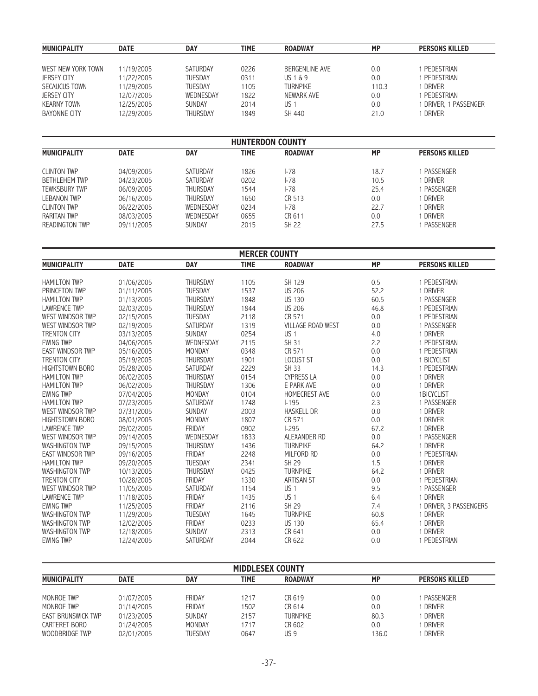| <b>MUNICIPALITY</b> | <b>DATE</b> | <b>DAY</b>      | TIME | <b>ROADWAY</b>  | <b>MP</b> | <b>PERSONS KILLED</b> |
|---------------------|-------------|-----------------|------|-----------------|-----------|-----------------------|
|                     |             |                 |      |                 |           |                       |
| WEST NEW YORK TOWN  | 11/19/2005  | SATURDAY        | 0226 | BERGENLINE AVE  | 0.0       | PEDESTRIAN            |
| <b>JERSEY CITY</b>  | 11/22/2005  | <b>TUESDAY</b>  | 0311 | US $1\&9$       | 0.0       | PEDESTRIAN            |
| SECAUCUS TOWN       | 11/29/2005  | <b>TUESDAY</b>  | 1105 | <b>TURNPIKE</b> | 110.3     | DRIVER                |
| <b>JERSEY CITY</b>  | 12/07/2005  | WEDNESDAY       | 1822 | NEWARK AVE      | 0.0       | PEDESTRIAN            |
| <b>KEARNY TOWN</b>  | 12/25/2005  | <b>SUNDAY</b>   | 2014 | US 1            | 0.0       | DRIVER, 1 PASSENGER   |
| BAYONNE CITY        | 12/29/2005  | <b>THURSDAY</b> | 1849 | SH 440          | 21.0      | DRIVER                |

| <b>HUNTERDON COUNTY</b> |             |                 |             |                |           |                       |  |  |
|-------------------------|-------------|-----------------|-------------|----------------|-----------|-----------------------|--|--|
| <b>MUNICIPALITY</b>     | <b>DATE</b> | <b>DAY</b>      | <b>TIME</b> | <b>ROADWAY</b> | <b>MP</b> | <b>PERSONS KILLED</b> |  |  |
| <b>CLINTON TWP</b>      | 04/09/2005  | SATURDAY        | 1826        | $I - 78$       | 18.7      | 1 PASSENGER           |  |  |
| <b>BETHLEHEM TWP</b>    | 04/23/2005  | SATURDAY        | 0202        | l-78           | 10.5      | 1 Driver              |  |  |
| <b>TEWKSBURY TWP</b>    | 06/09/2005  | <b>THURSDAY</b> | 1544        | l-78           | 25.4      | 1 PASSENGER           |  |  |
| <b>LEBANON TWP</b>      | 06/16/2005  | <b>THURSDAY</b> | 1650        | CR 513         | 0.0       | 1 DRIVER              |  |  |
| <b>CLINTON TWP</b>      | 06/22/2005  | WEDNESDAY       | 0234        | 1-78           | 22.7      | 1 DRIVER              |  |  |
| <b>RARITAN TWP</b>      | 08/03/2005  | WEDNESDAY       | 0655        | CR 611         | 0.0       | 1 Driver              |  |  |
| <b>READINGTON TWP</b>   | 09/11/2005  | <b>SUNDAY</b>   | 2015        | SH 22          | 27.5      | PASSENGER             |  |  |

| <b>MERCER COUNTY</b>    |             |                 |             |                          |           |                        |  |  |
|-------------------------|-------------|-----------------|-------------|--------------------------|-----------|------------------------|--|--|
| <b>MUNICIPALITY</b>     | <b>DATE</b> | <b>DAY</b>      | <b>TIME</b> | <b>ROADWAY</b>           | <b>MP</b> | <b>PERSONS KILLED</b>  |  |  |
|                         |             |                 |             |                          |           |                        |  |  |
| <b>HAMILTON TWP</b>     | 01/06/2005  | <b>THURSDAY</b> | 1105        | SH 129                   | 0.5       | 1 PEDESTRIAN           |  |  |
| PRINCETON TWP           | 01/11/2005  | <b>TUESDAY</b>  | 1537        | <b>US 206</b>            | 52.2      | 1 DRIVER               |  |  |
| <b>HAMILTON TWP</b>     | 01/13/2005  | <b>THURSDAY</b> | 1848        | <b>US 130</b>            | 60.5      | 1 PASSENGER            |  |  |
| <b>LAWRENCE TWP</b>     | 02/03/2005  | <b>THURSDAY</b> | 1844        | <b>US 206</b>            | 46.8      | 1 PEDESTRIAN           |  |  |
| WEST WINDSOR TWP        | 02/15/2005  | <b>TUESDAY</b>  | 2118        | CR 571                   | 0.0       | 1 PEDESTRIAN           |  |  |
| WEST WINDSOR TWP        | 02/19/2005  | SATURDAY        | 1319        | <b>VILLAGE ROAD WEST</b> | 0.0       | 1 PASSENGER            |  |  |
| <b>TRENTON CITY</b>     | 03/13/2005  | <b>SUNDAY</b>   | 0254        | US <sub>1</sub>          | 4.0       | 1 DRIVER               |  |  |
| <b>EWING TWP</b>        | 04/06/2005  | WEDNESDAY       | 2115        | <b>SH 31</b>             | 2.2       | 1 PEDESTRIAN           |  |  |
| <b>EAST WINDSOR TWP</b> | 05/16/2005  | MONDAY          | 0348        | CR 571                   | 0.0       | 1 PEDESTRIAN           |  |  |
| <b>TRENTON CITY</b>     | 05/19/2005  | <b>THURSDAY</b> | 1901        | <b>LOCUST ST</b>         | 0.0       | 1 BICYCLIST            |  |  |
| <b>HIGHTSTOWN BORO</b>  | 05/28/2005  | SATURDAY        | 2229        | <b>SH 33</b>             | 14.3      | 1 PEDESTRIAN           |  |  |
| <b>HAMILTON TWP</b>     | 06/02/2005  | THURSDAY        | 0154        | <b>CYPRESS LA</b>        | 0.0       | 1 DRIVER               |  |  |
| <b>HAMILTON TWP</b>     | 06/02/2005  | <b>THURSDAY</b> | 1306        | E PARK AVE               | 0.0       | 1 DRIVER               |  |  |
| <b>EWING TWP</b>        | 07/04/2005  | <b>MONDAY</b>   | 0104        | <b>HOMECREST AVE</b>     | 0.0       | 1BICYCLIST             |  |  |
| <b>HAMILTON TWP</b>     | 07/23/2005  | <b>SATURDAY</b> | 1748        | $1 - 195$                | 2.3       | 1 PASSENGER            |  |  |
| WEST WINDSOR TWP        | 07/31/2005  | SUNDAY          | 2003        | <b>HASKELL DR</b>        | 0.0       | 1 DRIVER               |  |  |
| <b>HIGHTSTOWN BORO</b>  | 08/01/2005  | MONDAY          | 1807        | CR 571                   | 0.0       | 1 DRIVER               |  |  |
| <b>LAWRENCE TWP</b>     | 09/02/2005  | <b>FRIDAY</b>   | 0902        | $1-295$                  | 67.2      | 1 DRIVER               |  |  |
| WEST WINDSOR TWP        | 09/14/2005  | WEDNESDAY       | 1833        | ALEXANDER RD             | 0.0       | 1 PASSENGER            |  |  |
| <b>WASHINGTON TWP</b>   | 09/15/2005  | <b>THURSDAY</b> | 1436        | <b>TURNPIKE</b>          | 64.2      | 1 DRIVER               |  |  |
| <b>EAST WINDSOR TWP</b> | 09/16/2005  | <b>FRIDAY</b>   | 2248        | MILFORD RD               | 0.0       | 1 PEDESTRIAN           |  |  |
| <b>HAMILTON TWP</b>     | 09/20/2005  | <b>TUESDAY</b>  | 2341        | <b>SH 29</b>             | 1.5       | 1 DRIVER               |  |  |
| <b>WASHINGTON TWP</b>   | 10/13/2005  | <b>THURSDAY</b> | 0425        | <b>TURNPIKE</b>          | 64.2      | 1 DRIVER               |  |  |
| <b>TRENTON CITY</b>     | 10/28/2005  | FRIDAY          | 1330        | <b>ARTISAN ST</b>        | 0.0       | 1 PEDESTRIAN           |  |  |
| WEST WINDSOR TWP        | 11/05/2005  | SATURDAY        | 1154        | US <sub>1</sub>          | 9.5       | 1 PASSENGER            |  |  |
| <b>LAWRENCE TWP</b>     | 11/18/2005  | FRIDAY          | 1435        | US <sub>1</sub>          | 6.4       | 1 DRIVER               |  |  |
| <b>EWING TWP</b>        | 11/25/2005  | <b>FRIDAY</b>   | 2116        | SH 29                    | 7.4       | 1 DRIVER, 3 PASSENGERS |  |  |
| <b>WASHINGTON TWP</b>   | 11/29/2005  | <b>TUESDAY</b>  | 1645        | <b>TURNPIKE</b>          | 60.8      | 1 DRIVER               |  |  |
| <b>WASHINGTON TWP</b>   | 12/02/2005  | <b>FRIDAY</b>   | 0233        | <b>US 130</b>            | 65.4      | 1 DRIVER               |  |  |
| <b>WASHINGTON TWP</b>   | 12/18/2005  | <b>SUNDAY</b>   | 2313        | CR 641                   | 0.0       | 1 DRIVER               |  |  |
| <b>EWING TWP</b>        | 12/24/2005  | <b>SATURDAY</b> | 2044        | CR 622                   | 0.0       | 1 PEDESTRIAN           |  |  |

| <b>MIDDLESEX COUNTY</b>   |             |               |             |                 |           |                       |  |  |
|---------------------------|-------------|---------------|-------------|-----------------|-----------|-----------------------|--|--|
| <b>MUNICIPALITY</b>       | <b>DATE</b> | <b>DAY</b>    | <b>TIME</b> | <b>ROADWAY</b>  | <b>MP</b> | <b>PERSONS KILLED</b> |  |  |
|                           |             |               |             |                 |           |                       |  |  |
| MONROE TWP                | 01/07/2005  | FRIDAY        | 1217        | CR 619          | 0.0       | PASSENGER             |  |  |
| MONROE TWP                | 01/14/2005  | FRIDAY        | 1502        | CR 614          | 0.0       | DRIVER                |  |  |
| <b>EAST BRUNSWICK TWP</b> | 01/23/2005  | <b>SUNDAY</b> | 2157        | <b>TURNPIKE</b> | 80.3      | <b>DRIVER</b>         |  |  |
| CARTERET BORO             | 01/24/2005  | MONDAY        | 1717        | CR 602          | 0.0       | DRIVER                |  |  |
| WOODBRIDGE TWP            | 02/01/2005  | TUESDAY       | 0647        | US <sub>9</sub> | 136.0     | <b>DRIVER</b>         |  |  |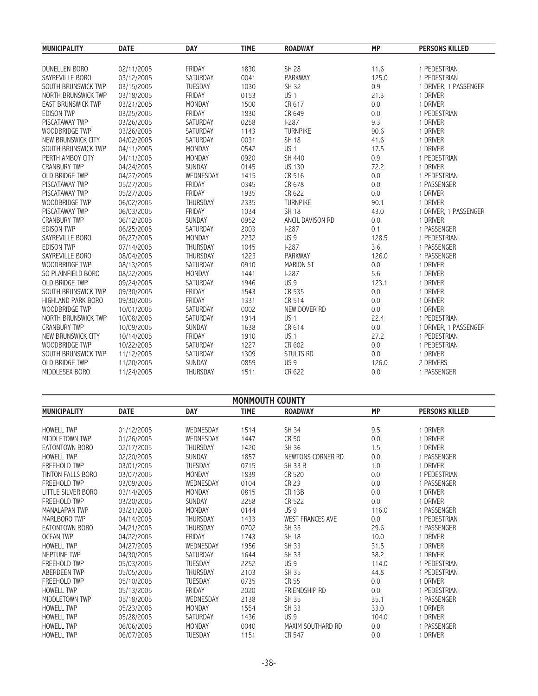| <b>MUNICIPALITY</b>       | <b>DATE</b> | <b>DAY</b>      | <b>TIME</b> | <b>ROADWAY</b>   | <b>MP</b> | <b>PERSONS KILLED</b> |
|---------------------------|-------------|-----------------|-------------|------------------|-----------|-----------------------|
|                           |             |                 |             |                  |           |                       |
| DUNELLEN BORO             | 02/11/2005  | <b>FRIDAY</b>   | 1830        | <b>SH 28</b>     | 11.6      | 1 PEDESTRIAN          |
| SAYREVILLE BORO           | 03/12/2005  | SATURDAY        | 0041        | <b>PARKWAY</b>   | 125.0     | 1 PEDESTRIAN          |
| SOUTH BRUNSWICK TWP       | 03/15/2005  | TUESDAY         | 1030        | SH 32            | 0.9       | 1 DRIVER, 1 PASSENGER |
| NORTH BRUNSWICK TWP       | 03/18/2005  | <b>FRIDAY</b>   | 0153        | US <sub>1</sub>  | 21.3      | 1 DRIVER              |
| <b>EAST BRUNSWICK TWP</b> | 03/21/2005  | <b>MONDAY</b>   | 1500        | CR 617           | 0.0       | 1 DRIVER              |
| <b>EDISON TWP</b>         | 03/25/2005  | <b>FRIDAY</b>   | 1830        | CR 649           | 0.0       | 1 PEDESTRIAN          |
| <b>PISCATAWAY TWP</b>     | 03/26/2005  | SATURDAY        | 0258        | $1-287$          | 9.3       | 1 DRIVER              |
| WOODBRIDGE TWP            | 03/26/2005  | SATURDAY        | 1143        | <b>TURNPIKE</b>  | 90.6      | 1 DRIVER              |
| NEW BRUNSWICK CITY        | 04/02/2005  | SATURDAY        | 0031        | <b>SH 18</b>     | 41.6      | 1 DRIVER              |
| SOUTH BRUNSWICK TWP       | 04/11/2005  | MONDAY          | 0542        | US <sub>1</sub>  | 17.5      | 1 DRIVER              |
| PERTH AMBOY CITY          | 04/11/2005  | MONDAY          | 0920        | SH 440           | 0.9       | 1 PEDESTRIAN          |
| <b>CRANBURY TWP</b>       | 04/24/2005  | SUNDAY          | 0145        | <b>US 130</b>    | 72.2      | 1 DRIVER              |
| <b>OLD BRIDGE TWP</b>     | 04/27/2005  | WEDNESDAY       | 1415        | CR 516           | 0.0       | 1 PEDESTRIAN          |
| PISCATAWAY TWP            | 05/27/2005  | FRIDAY          | 0345        | CR 678           | 0.0       | 1 PASSENGER           |
| <b>PISCATAWAY TWP</b>     | 05/27/2005  | <b>FRIDAY</b>   | 1935        | CR 622           | 0.0       | 1 DRIVER              |
| WOODBRIDGE TWP            | 06/02/2005  | <b>THURSDAY</b> | 2335        | <b>TURNPIKE</b>  | 90.1      | 1 DRIVER              |
| <b>PISCATAWAY TWP</b>     | 06/03/2005  | FRIDAY          | 1034        | <b>SH 18</b>     | 43.0      | 1 DRIVER, 1 PASSENGER |
| <b>CRANBURY TWP</b>       | 06/12/2005  | SUNDAY          | 0952        | ANCIL DAVISON RD | 0.0       | 1 DRIVER              |
| <b>EDISON TWP</b>         | 06/25/2005  | SATURDAY        | 2003        | $1-287$          | 0.1       | 1 PASSENGER           |
| SAYREVILLE BORO           | 06/27/2005  | MONDAY          | 2232        | US <sub>9</sub>  | 128.5     | 1 PEDESTRIAN          |
| <b>EDISON TWP</b>         | 07/14/2005  | THURSDAY        | 1045        | $I-287$          | 3.6       | 1 PASSENGER           |
| SAYREVILLE BORO           | 08/04/2005  | <b>THURSDAY</b> | 1223        | <b>PARKWAY</b>   | 126.0     | 1 PASSENGER           |
| WOODBRIDGE TWP            | 08/13/2005  | SATURDAY        | 0910        | <b>MARION ST</b> | 0.0       | 1 DRIVER              |
| SO PLAINFIELD BORO        | 08/22/2005  | MONDAY          | 1441        | $1-287$          | 5.6       | 1 DRIVER              |
| <b>OLD BRIDGE TWP</b>     | 09/24/2005  | SATURDAY        | 1946        | US <sub>9</sub>  | 123.1     | 1 DRIVER              |
| SOUTH BRUNSWICK TWP       | 09/30/2005  | FRIDAY          | 1543        | CR 535           | 0.0       | 1 DRIVER              |
| <b>HIGHLAND PARK BORO</b> | 09/30/2005  | <b>FRIDAY</b>   | 1331        | CR 514           | 0.0       | 1 DRIVER              |
| WOODBRIDGE TWP            | 10/01/2005  | SATURDAY        | 0002        | NEW DOVER RD     | 0.0       | 1 DRIVER              |
| NORTH BRUNSWICK TWP       | 10/08/2005  | SATURDAY        | 1914        | US <sub>1</sub>  | 22.4      | 1 PEDESTRIAN          |
| <b>CRANBURY TWP</b>       | 10/09/2005  | <b>SUNDAY</b>   | 1638        | CR 614           | 0.0       | 1 DRIVER, 1 PASSENGER |
| NEW BRUNSWICK CITY        | 10/14/2005  | <b>FRIDAY</b>   | 1910        | US <sub>1</sub>  | 27.2      | 1 PEDESTRIAN          |
| WOODBRIDGE TWP            | 10/22/2005  | SATURDAY        | 1227        | CR 602           | 0.0       | 1 PEDESTRIAN          |
| SOUTH BRUNSWICK TWP       | 11/12/2005  | SATURDAY        | 1309        | <b>STULTS RD</b> | 0.0       | 1 DRIVER              |
| <b>OLD BRIDGE TWP</b>     | 11/20/2005  | <b>SUNDAY</b>   | 0859        | US <sub>9</sub>  | 126.0     | 2 DRIVERS             |
| MIDDLESEX BORO            | 11/24/2005  | <b>THURSDAY</b> | 1511        | CR 622           | 0.0       | 1 PASSENGER           |

|                      | <b>MONMOUTH COUNTY</b> |                 |             |                         |           |                       |  |  |  |
|----------------------|------------------------|-----------------|-------------|-------------------------|-----------|-----------------------|--|--|--|
| <b>MUNICIPALITY</b>  | <b>DATE</b>            | <b>DAY</b>      | <b>TIME</b> | <b>ROADWAY</b>          | <b>MP</b> | <b>PERSONS KILLED</b> |  |  |  |
| <b>HOWELL TWP</b>    | 01/12/2005             | WEDNESDAY       | 1514        | SH 34                   | 9.5       | 1 DRIVER              |  |  |  |
| MIDDLETOWN TWP       | 01/26/2005             | WEDNESDAY       | 1447        | CR 50                   | 0.0       | 1 DRIVER              |  |  |  |
| EATONTOWN BORO       | 02/17/2005             | <b>THURSDAY</b> | 1420        | SH 36                   | 1.5       | 1 DRIVER              |  |  |  |
| <b>HOWELL TWP</b>    | 02/20/2005             | SUNDAY          | 1857        | NEWTONS CORNER RD       | 0.0       | 1 PASSENGER           |  |  |  |
| <b>FREEHOLD TWP</b>  | 03/01/2005             | <b>TUESDAY</b>  | 0715        | <b>SH 33 B</b>          | 1.0       | <b>DRIVER</b>         |  |  |  |
| TINTON FALLS BORO    | 03/07/2005             | <b>MONDAY</b>   | 1839        | CR 520                  | 0.0       | 1 PEDESTRIAN          |  |  |  |
| <b>FREEHOLD TWP</b>  | 03/09/2005             | WEDNESDAY       | 0104        | CR 23                   | 0.0       | 1 PASSENGER           |  |  |  |
| LITTLE SILVER BORO   | 03/14/2005             | <b>MONDAY</b>   | 0815        | <b>CR 13B</b>           | 0.0       | <b>DRIVER</b>         |  |  |  |
| <b>FREEHOLD TWP</b>  | 03/20/2005             | <b>SUNDAY</b>   | 2258        | CR 522                  | 0.0       | DRIVER                |  |  |  |
| <b>MANALAPAN TWP</b> | 03/21/2005             | <b>MONDAY</b>   | 0144        | US <sub>9</sub>         | 116.0     | 1 PASSENGER           |  |  |  |
| MARLBORO TWP         | 04/14/2005             | <b>THURSDAY</b> | 1433        | <b>WEST FRANCES AVE</b> | 0.0       | 1 PEDESTRIAN          |  |  |  |
| EATONTOWN BORO       | 04/21/2005             | <b>THURSDAY</b> | 0702        | <b>SH 35</b>            | 29.6      | 1 PASSENGER           |  |  |  |
| <b>OCEAN TWP</b>     | 04/22/2005             | <b>FRIDAY</b>   | 1743        | <b>SH 18</b>            | 10.0      | 1 DRIVER              |  |  |  |
| <b>HOWELL TWP</b>    | 04/27/2005             | WEDNESDAY       | 1956        | <b>SH 33</b>            | 31.5      | DRIVER                |  |  |  |
| NEPTUNE TWP          | 04/30/2005             | <b>SATURDAY</b> | 1644        | <b>SH 33</b>            | 38.2      | 1 DRIVER              |  |  |  |
| <b>FREEHOLD TWP</b>  | 05/03/2005             | <b>TUESDAY</b>  | 2252        | US <sub>9</sub>         | 114.0     | 1 PEDESTRIAN          |  |  |  |
| ABERDEEN TWP         | 05/05/2005             | <b>THURSDAY</b> | 2103        | <b>SH 35</b>            | 44.8      | 1 PEDESTRIAN          |  |  |  |
| <b>FREEHOLD TWP</b>  | 05/10/2005             | <b>TUESDAY</b>  | 0735        | CR 55                   | 0.0       | DRIVER                |  |  |  |
| <b>HOWELL TWP</b>    | 05/13/2005             | FRIDAY          | 2020        | FRIENDSHIP RD           | 0.0       | 1 PEDESTRIAN          |  |  |  |
| MIDDLETOWN TWP       | 05/18/2005             | WEDNESDAY       | 2138        | <b>SH 35</b>            | 35.1      | 1 PASSENGER           |  |  |  |
| <b>HOWELL TWP</b>    | 05/23/2005             | MONDAY          | 1554        | SH 33                   | 33.0      | DRIVER                |  |  |  |
| <b>HOWELL TWP</b>    | 05/28/2005             | SATURDAY        | 1436        | US <sub>9</sub>         | 104.0     | DRIVER                |  |  |  |
| <b>HOWELL TWP</b>    | 06/06/2005             | <b>MONDAY</b>   | 0040        | MAXIM SOUTHARD RD       | 0.0       | 1 PASSENGER           |  |  |  |
| <b>HOWELL TWP</b>    | 06/07/2005             | <b>TUESDAY</b>  | 1151        | CR 547                  | 0.0       | 1 DRIVER              |  |  |  |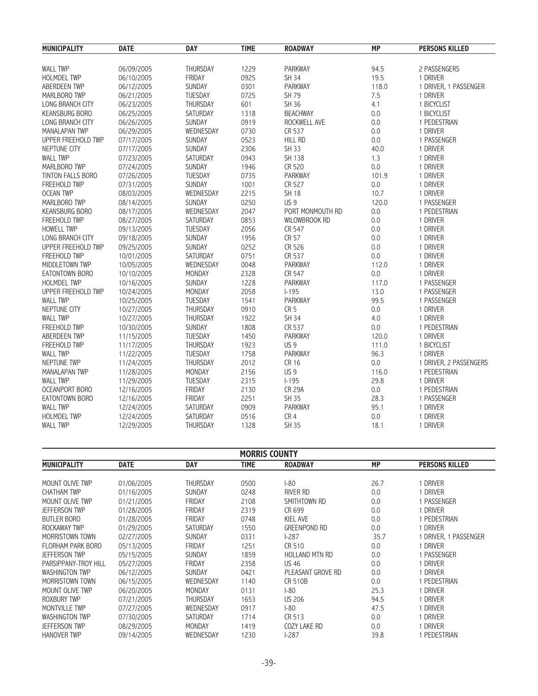| <b>MUNICIPALITY</b>      | <b>DATE</b> | <b>DAY</b>      | <b>TIME</b> | <b>ROADWAY</b>       | <b>MP</b> | <b>PERSONS KILLED</b>  |
|--------------------------|-------------|-----------------|-------------|----------------------|-----------|------------------------|
| <b>WALL TWP</b>          | 06/09/2005  | THURSDAY        | 1229        | PARKWAY              | 94.5      | 2 PASSENGERS           |
| <b>HOLMDEL TWP</b>       | 06/10/2005  | FRIDAY          | 0925        | SH 34                | 19.5      | 1 DRIVER               |
| ABERDEEN TWP             | 06/12/2005  | <b>SUNDAY</b>   | 0301        | <b>PARKWAY</b>       | 118.0     | 1 DRIVER, 1 PASSENGER  |
| MARLBORO TWP             | 06/21/2005  | TUESDAY         | 0725        | SH 79                | 7.5       | 1 DRIVER               |
| LONG BRANCH CITY         | 06/23/2005  | THURSDAY        | 601         | SH 36                | 4.1       | 1 BICYCLIST            |
| <b>KEANSBURG BORO</b>    | 06/25/2005  | SATURDAY        | 1318        | <b>BEACHWAY</b>      | 0.0       | 1 BICYCLIST            |
| LONG BRANCH CITY         | 06/26/2005  | SUNDAY          | 0919        | ROCKWELL AVE         | 0.0       | 1 PEDESTRIAN           |
| <b>MANALAPAN TWP</b>     | 06/29/2005  | WEDNESDAY       | 0730        | CR 537               | 0.0       | 1 DRIVER               |
| UPPER FREEHOLD TWP       | 07/17/2005  | SUNDAY          | 0523        | <b>HILL RD</b>       | 0.0       | 1 PASSENGER            |
| NEPTUNE CITY             | 07/17/2005  | SUNDAY          | 2306        | SH 33                | 40.0      | 1 DRIVER               |
| <b>WALL TWP</b>          | 07/23/2005  | SATURDAY        | 0943        | SH 138               | 1.3       | 1 DRIVER               |
| MARLBORO TWP             | 07/24/2005  | <b>SUNDAY</b>   | 1946        | CR 520               | 0.0       | 1 DRIVER               |
| <b>TINTON FALLS BORO</b> | 07/26/2005  | <b>TUESDAY</b>  | 0735        | <b>PARKWAY</b>       | 101.9     | 1 DRIVER               |
| <b>FREEHOLD TWP</b>      | 07/31/2005  | SUNDAY          | 1001        | CR 527               | 0.0       | 1 DRIVER               |
| <b>OCEAN TWP</b>         | 08/03/2005  | WEDNESDAY       | 2215        | <b>SH 18</b>         | 10.7      | 1 DRIVER               |
| MARLBORO TWP             | 08/14/2005  | SUNDAY          | 0250        | US <sub>9</sub>      | 120.0     | 1 PASSENGER            |
| <b>KEANSBURG BORO</b>    | 08/17/2005  | WEDNESDAY       | 2047        | PORT MONMOUTH RD     | 0.0       | 1 PEDESTRIAN           |
| <b>FREEHOLD TWP</b>      | 08/27/2005  | SATURDAY        | 0853        | <b>WILOWBROOK RD</b> | 0.0       | 1 DRIVER               |
| <b>HOWELL TWP</b>        | 09/13/2005  | TUESDAY         | 2056        | CR 547               | 0.0       | 1 DRIVER               |
| LONG BRANCH CITY         | 09/18/2005  | SUNDAY          | 1956        | CR 57                | 0.0       | 1 DRIVER               |
| UPPER FREEHOLD TWP       | 09/25/2005  | SUNDAY          | 0252        | CR 526               | 0.0       | 1 DRIVER               |
| <b>FREEHOLD TWP</b>      | 10/01/2005  | SATURDAY        | 0751        | CR 537               | 0.0       | 1 DRIVER               |
| MIDDLETOWN TWP           | 10/05/2005  | WEDNESDAY       | 0048        | <b>PARKWAY</b>       | 112.0     | 1 DRIVER               |
| EATONTOWN BORO           | 10/10/2005  | MONDAY          | 2328        | CR 547               | 0.0       | 1 DRIVER               |
| <b>HOLMDEL TWP</b>       | 10/16/2005  | SUNDAY          | 1228        | <b>PARKWAY</b>       | 117.0     | 1 PASSENGER            |
| UPPER FREEHOLD TWP       | 10/24/2005  | MONDAY          | 2058        | $1 - 195$            | 13.0      | 1 PASSENGER            |
| <b>WALL TWP</b>          | 10/25/2005  | TUESDAY         | 1541        | <b>PARKWAY</b>       | 99.5      | 1 PASSENGER            |
| NEPTUNE CITY             | 10/27/2005  | THURSDAY        | 0910        | CR <sub>5</sub>      | 0.0       | 1 DRIVER               |
| <b>WALL TWP</b>          | 10/27/2005  | THURSDAY        | 1922        | <b>SH 34</b>         | 4.0       | 1 DRIVER               |
| FREEHOLD TWP             | 10/30/2005  | SUNDAY          | 1808        | CR 537               | 0.0       | 1 PEDESTRIAN           |
| ABERDEEN TWP             | 11/15/2005  | TUESDAY         | 1450        | PARKWAY              | 120.0     | 1 DRIVER               |
| <b>FREEHOLD TWP</b>      | 11/17/2005  | <b>THURSDAY</b> | 1923        | US <sub>9</sub>      | 111.0     | 1 BICYCLIST            |
| <b>WALL TWP</b>          | 11/22/2005  | <b>TUESDAY</b>  | 1758        | <b>PARKWAY</b>       | 96.3      | 1 DRIVER               |
| <b>NEPTUNE TWP</b>       | 11/24/2005  | THURSDAY        | 2012        | CR 16                | 0.0       | 1 DRIVER, 2 PASSENGERS |
| <b>MANALAPAN TWP</b>     | 11/28/2005  | MONDAY          | 2156        | US <sub>9</sub>      | 116.0     | 1 PEDESTRIAN           |
| <b>WALL TWP</b>          | 11/29/2005  | TUESDAY         | 2315        | $1 - 195$            | 29.8      | 1 DRIVER               |
| <b>OCEANPORT BORO</b>    | 12/16/2005  | FRIDAY          | 2130        | <b>CR 29A</b>        | 0.0       | 1 PEDESTRIAN           |
| EATONTOWN BORO           | 12/16/2005  | FRIDAY          | 2251        | SH 35                | 28.3      | 1 PASSENGER            |
| <b>WALL TWP</b>          | 12/24/2005  | SATURDAY        | 0909        | PARKWAY              | 95.1      | 1 DRIVER               |
| HOLMDEL TWP              | 12/24/2005  | SATURDAY        | 0516        | CR4                  | 0.0       | 1 DRIVER               |
| <b>WALL TWP</b>          | 12/29/2005  | THURSDAY        | 1328        | <b>SH 35</b>         | 18.1      | 1 DRIVER               |

|                       | <b>MORRIS COUNTY</b> |                 |             |                       |           |                       |  |  |  |
|-----------------------|----------------------|-----------------|-------------|-----------------------|-----------|-----------------------|--|--|--|
| <b>MUNICIPALITY</b>   | <b>DATE</b>          | <b>DAY</b>      | <b>TIME</b> | <b>ROADWAY</b>        | <b>MP</b> | <b>PERSONS KILLED</b> |  |  |  |
|                       |                      |                 |             |                       |           |                       |  |  |  |
| MOUNT OLIVE TWP       | 01/06/2005           | <b>THURSDAY</b> | 0500        | $-80$                 | 26.7      | <b>DRIVER</b>         |  |  |  |
| <b>CHATHAM TWP</b>    | 01/16/2005           | <b>SUNDAY</b>   | 0248        | RIVER RD              | 0.0       | DRIVER                |  |  |  |
| MOUNT OLIVE TWP       | 01/21/2005           | <b>FRIDAY</b>   | 2108        | SMITHTOWN RD          | 0.0       | PASSENGER             |  |  |  |
| <b>JEFFERSON TWP</b>  | 01/28/2005           | <b>FRIDAY</b>   | 2319        | CR 699                | 0.0       | DRIVER                |  |  |  |
| <b>BUTLER BORO</b>    | 01/28/2005           | FRIDAY          | 0748        | KIEL AVE              | 0.0       | PEDESTRIAN            |  |  |  |
| ROCKAWAY TWP          | 01/29/2005           | <b>SATURDAY</b> | 1550        | <b>GREENPOND RD</b>   | 0.0       | <b>DRIVER</b>         |  |  |  |
| MORRISTOWN TOWN       | 02/27/2005           | <b>SUNDAY</b>   | 0331        | $1-287$               | 35.7      | DRIVER. 1 PASSENGER   |  |  |  |
| FLORHAM PARK BORO     | 05/13/2005           | <b>FRIDAY</b>   | 1251        | CR 510                | 0.0       | 1 DRIVER              |  |  |  |
| <b>JEFFERSON TWP</b>  | 05/15/2005           | <b>SUNDAY</b>   | 1859        | <b>HOLLAND MTN RD</b> | 0.0       | PASSENGER             |  |  |  |
| PARSIPPANY-TROY HILL  | 05/27/2005           | <b>FRIDAY</b>   | 2358        | <b>US 46</b>          | 0.0       | DRIVER                |  |  |  |
| <b>WASHINGTON TWP</b> | 06/12/2005           | <b>SUNDAY</b>   | 0421        | PLEASANT GROVE RD     | 0.0       | DRIVER                |  |  |  |
| MORRISTOWN TOWN       | 06/15/2005           | WEDNESDAY       | 1140        | <b>CR 510B</b>        | 0.0       | PEDESTRIAN            |  |  |  |
| MOUNT OLIVE TWP       | 06/20/2005           | <b>MONDAY</b>   | 0131        | $1-80$                | 25.3      | <b>DRIVER</b>         |  |  |  |
| <b>ROXBURY TWP</b>    | 07/21/2005           | <b>THURSDAY</b> | 1653        | US 206                | 94.5      | DRIVER                |  |  |  |
| MONTVILLE TWP         | 07/27/2005           | WEDNESDAY       | 0917        | $1-80$                | 47.5      | DRIVER                |  |  |  |
| <b>WASHINGTON TWP</b> | 07/30/2005           | SATURDAY        | 1714        | CR 513                | 0.0       | <b>DRIVER</b>         |  |  |  |
| <b>JEFFERSON TWP</b>  | 08/29/2005           | <b>MONDAY</b>   | 1419        | COZY LAKE RD          | 0.0       | <b>DRIVER</b>         |  |  |  |
| <b>HANOVER TWP</b>    | 09/14/2005           | WEDNESDAY       | 1230        | $1-287$               | 39.8      | PEDESTRIAN            |  |  |  |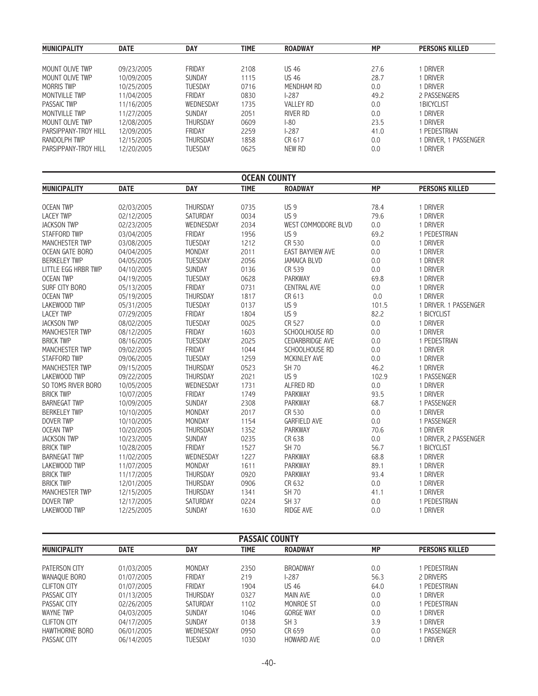| <b>MUNICIPALITY</b>  | <b>DATE</b> | <b>DAY</b>      | TIME | <b>ROADWAY</b>   | <b>MP</b> | <b>PERSONS KILLED</b> |
|----------------------|-------------|-----------------|------|------------------|-----------|-----------------------|
|                      |             |                 |      |                  |           |                       |
| MOUNT OLIVE TWP      | 09/23/2005  | FRIDAY          | 2108 | <b>US 46</b>     | 27.6      | <b>DRIVER</b>         |
| MOUNT OLIVE TWP      | 10/09/2005  | <b>SUNDAY</b>   | 1115 | <b>US 46</b>     | 28.7      | <b>DRIVER</b>         |
| <b>MORRIS TWP</b>    | 10/25/2005  | <b>TUESDAY</b>  | 0716 | MENDHAM RD       | 0.0       | <b>DRIVER</b>         |
| MONTVILLE TWP        | 11/04/2005  | FRIDAY          | 0830 | $1 - 287$        | 49.2      | 2 PASSENGERS          |
| PASSAIC TWP          | 11/16/2005  | WEDNESDAY       | 1735 | <b>VALLEY RD</b> | 0.0       | 1BICYCLIST            |
| MONTVILLE TWP        | 11/27/2005  | <b>SUNDAY</b>   | 2051 | RIVER RD         | 0.0       | <b>DRIVER</b>         |
| MOUNT OF IVE TWP     | 12/08/2005  | <b>THURSDAY</b> | 0609 | $1-80$           | 23.5      | <b>DRIVER</b>         |
| PARSIPPANY-TROY HILL | 12/09/2005  | FRIDAY          | 2259 | $1 - 287$        | 41.0      | PEDESTRIAN            |
| RANDOLPH TWP         | 12/15/2005  | <b>THURSDAY</b> | 1858 | CR 617           | 0.0       | DRIVER. 1 PASSENGER   |
| PARSIPPANY-TROY HILL | 12/20/2005  | <b>TUESDAY</b>  | 0625 | NEW RD           | 0.0       | <b>DRIVER</b>         |

|                                      | <b>OCEAN COUNTY</b> |                |              |                                    |           |                       |  |  |  |  |
|--------------------------------------|---------------------|----------------|--------------|------------------------------------|-----------|-----------------------|--|--|--|--|
| <b>MUNICIPALITY</b>                  | <b>DATE</b>         | <b>DAY</b>     | <b>TIME</b>  | <b>ROADWAY</b>                     | <b>MP</b> | <b>PERSONS KILLED</b> |  |  |  |  |
|                                      |                     |                |              |                                    |           |                       |  |  |  |  |
| <b>OCEAN TWP</b><br><b>LACEY TWP</b> | 02/03/2005          | THURSDAY       | 0735         | US <sub>9</sub><br>US <sub>9</sub> | 78.4      | 1 DRIVER              |  |  |  |  |
|                                      | 02/12/2005          | SATURDAY       | 0034<br>2034 | WEST COMMODORE BLVD                | 79.6      | 1 DRIVER<br>1 DRIVER  |  |  |  |  |
| <b>JACKSON TWP</b>                   | 02/23/2005          | WEDNESDAY      |              |                                    | 0.0       |                       |  |  |  |  |
| <b>STAFFORD TWP</b>                  | 03/04/2005          | FRIDAY         | 1956         | <b>US9</b>                         | 69.2      | 1 PEDESTRIAN          |  |  |  |  |
| <b>MANCHESTER TWP</b>                | 03/08/2005          | <b>TUESDAY</b> | 1212         | CR 530                             | 0.0       | 1 DRIVER              |  |  |  |  |
| OCEAN GATE BORO                      | 04/04/2005          | <b>MONDAY</b>  | 2011         | <b>EAST BAYVIEW AVE</b>            | 0.0       | 1 DRIVER              |  |  |  |  |
| <b>BERKELEY TWP</b>                  | 04/05/2005          | TUESDAY        | 2056         | <b>JAMAICA BLVD</b>                | 0.0       | 1 DRIVER              |  |  |  |  |
| LITTLE EGG HRBR TWP                  | 04/10/2005          | SUNDAY         | 0136         | CR 539                             | 0.0       | 1 DRIVER              |  |  |  |  |
| <b>OCEAN TWP</b>                     | 04/19/2005          | TUESDAY        | 0628         | <b>PARKWAY</b>                     | 69.8      | 1 DRIVER              |  |  |  |  |
| SURF CITY BORO                       | 05/13/2005          | <b>FRIDAY</b>  | 0731         | <b>CENTRAL AVE</b>                 | 0.0       | 1 DRIVER              |  |  |  |  |
| <b>OCEAN TWP</b>                     | 05/19/2005          | THURSDAY       | 1817         | CR 613                             | 0.0       | 1 DRIVER              |  |  |  |  |
| <b>LAKEWOOD TWP</b>                  | 05/31/2005          | TUESDAY        | 0137         | US <sub>9</sub>                    | 101.5     | 1 DRIVER. 1 PASSENGER |  |  |  |  |
| <b>LACEY TWP</b>                     | 07/29/2005          | FRIDAY         | 1804         | US <sub>9</sub>                    | 82.2      | 1 BICYCLIST           |  |  |  |  |
| <b>JACKSON TWP</b>                   | 08/02/2005          | <b>TUESDAY</b> | 0025         | CR 527                             | $0.0\,$   | 1 DRIVER              |  |  |  |  |
| <b>MANCHESTER TWP</b>                | 08/12/2005          | <b>FRIDAY</b>  | 1603         | SCHOOLHOUSE RD                     | 0.0       | 1 DRIVER              |  |  |  |  |
| <b>BRICK TWP</b>                     | 08/16/2005          | <b>TUESDAY</b> | 2025         | <b>CEDARBRIDGE AVE</b>             | 0.0       | 1 PEDESTRIAN          |  |  |  |  |
| <b>MANCHESTER TWP</b>                | 09/02/2005          | <b>FRIDAY</b>  | 1044         | SCHOOLHOUSE RD                     | 0.0       | 1 DRIVER              |  |  |  |  |
| <b>STAFFORD TWP</b>                  | 09/06/2005          | TUESDAY        | 1259         | MCKINLEY AVE                       | 0.0       | 1 DRIVER              |  |  |  |  |
| <b>MANCHESTER TWP</b>                | 09/15/2005          | THURSDAY       | 0523         | <b>SH 70</b>                       | 46.2      | 1 DRIVER              |  |  |  |  |
| <b>LAKEWOOD TWP</b>                  | 09/22/2005          | THURSDAY       | 2021         | US <sub>9</sub>                    | 102.9     | 1 PASSENGER           |  |  |  |  |
| SO TOMS RIVER BORO                   | 10/05/2005          | WEDNESDAY      | 1731         | <b>ALFRED RD</b>                   | 0.0       | 1 DRIVER              |  |  |  |  |
| <b>BRICK TWP</b>                     | 10/07/2005          | <b>FRIDAY</b>  | 1749         | <b>PARKWAY</b>                     | 93.5      | 1 DRIVER              |  |  |  |  |
| <b>BARNEGAT TWP</b>                  | 10/09/2005          | SUNDAY         | 2308         | <b>PARKWAY</b>                     | 68.7      | 1 PASSENGER           |  |  |  |  |
| <b>BERKELEY TWP</b>                  | 10/10/2005          | <b>MONDAY</b>  | 2017         | CR 530                             | 0.0       | 1 DRIVER              |  |  |  |  |
| <b>DOVER TWP</b>                     | 10/10/2005          | <b>MONDAY</b>  | 1154         | <b>GARFIELD AVE</b>                | 0.0       | 1 PASSENGER           |  |  |  |  |
| <b>OCEAN TWP</b>                     | 10/20/2005          | THURSDAY       | 1352         | <b>PARKWAY</b>                     | 70.6      | 1 DRIVER              |  |  |  |  |
| <b>JACKSON TWP</b>                   | 10/23/2005          | SUNDAY         | 0235         | CR 638                             | 0.0       | 1 DRIVER, 2 PASSENGER |  |  |  |  |
| <b>BRICK TWP</b>                     | 10/28/2005          | <b>FRIDAY</b>  | 1527         | <b>SH 70</b>                       | 56.7      | 1 BICYCLIST           |  |  |  |  |
| <b>BARNEGAT TWP</b>                  | 11/02/2005          | WEDNESDAY      | 1227         | <b>PARKWAY</b>                     | 68.8      | 1 DRIVER              |  |  |  |  |
| LAKEWOOD TWP                         | 11/07/2005          | MONDAY         | 1611         | <b>PARKWAY</b>                     | 89.1      | 1 DRIVER              |  |  |  |  |
| <b>BRICK TWP</b>                     | 11/17/2005          | THURSDAY       | 0920         | <b>PARKWAY</b>                     | 93.4      | 1 DRIVER              |  |  |  |  |
| <b>BRICK TWP</b>                     | 12/01/2005          | THURSDAY       | 0906         | CR 632                             | 0.0       | 1 DRIVER              |  |  |  |  |
| <b>MANCHESTER TWP</b>                | 12/15/2005          | THURSDAY       | 1341         | <b>SH 70</b>                       | 41.1      | 1 DRIVER              |  |  |  |  |
| <b>DOVER TWP</b>                     | 12/17/2005          | SATURDAY       | 0224         | <b>SH 37</b>                       | 0.0       | 1 PEDESTRIAN          |  |  |  |  |
| <b>LAKEWOOD TWP</b>                  | 12/25/2005          | <b>SUNDAY</b>  | 1630         | <b>RIDGE AVE</b>                   | 0.0       | 1 DRIVER              |  |  |  |  |

| <b>PASSAIC COUNTY</b> |             |               |             |                   |           |                       |  |  |
|-----------------------|-------------|---------------|-------------|-------------------|-----------|-----------------------|--|--|
| <b>MUNICIPALITY</b>   | <b>DATE</b> | <b>DAY</b>    | <b>TIME</b> | <b>ROADWAY</b>    | <b>MP</b> | <b>PERSONS KILLED</b> |  |  |
|                       |             |               |             |                   |           |                       |  |  |
| PATERSON CITY         | 01/03/2005  | MONDAY        | 2350        | <b>BROADWAY</b>   | 0.0       | PEDESTRIAN            |  |  |
| WANAQUE BORO          | 01/07/2005  | FRIDAY        | 219         | $1-287$           | 56.3      | 2 DRIVERS             |  |  |
| <b>CLIFTON CITY</b>   | 01/07/2005  | FRIDAY        | 1904        | <b>US 46</b>      | 64.0      | PEDESTRIAN            |  |  |
| PASSAIC CITY          | 01/13/2005  | THURSDAY      | 0327        | MAIN AVE          | 0.0       | <b>DRIVER</b>         |  |  |
| PASSAIC CITY          | 02/26/2005  | SATURDAY      | 1102        | MONROE ST         | 0.0       | PEDESTRIAN            |  |  |
| <b>WAYNE TWP</b>      | 04/03/2005  | <b>SUNDAY</b> | 1046        | <b>GORGE WAY</b>  | 0.0       | Driver                |  |  |
| <b>CLIFTON CITY</b>   | 04/17/2005  | <b>SUNDAY</b> | 0138        | SH <sub>3</sub>   | 3.9       | DRIVER                |  |  |
| HAWTHORNE BORO        | 06/01/2005  | WEDNESDAY     | 0950        | CR 659            | 0.0       | PASSENGER             |  |  |
| PASSAIC CITY          | 06/14/2005  | TUESDAY       | 1030        | <b>HOWARD AVE</b> | 0.0       | DRIVER                |  |  |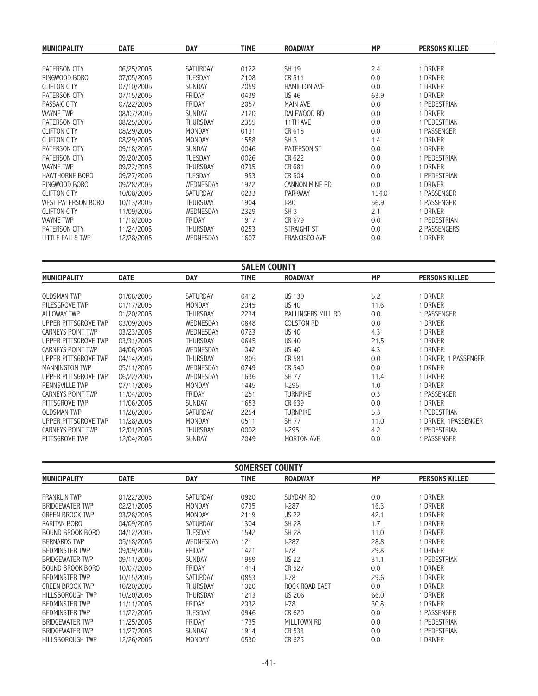| <b>MUNICIPALITY</b>       | <b>DATE</b> |                 | <b>TIME</b> | <b>ROADWAY</b>       | <b>MP</b> | <b>PERSONS KILLED</b> |
|---------------------------|-------------|-----------------|-------------|----------------------|-----------|-----------------------|
|                           |             | DAY             |             |                      |           |                       |
| <b>PATERSON CITY</b>      | 06/25/2005  | <b>SATURDAY</b> | 0122        | SH 19                | 2.4       | i driver              |
| RINGWOOD BORO             | 07/05/2005  | <b>TUESDAY</b>  | 2108        | CR 511               | 0.0       | 1 Driver              |
| <b>CLIFTON CITY</b>       | 07/10/2005  | <b>SUNDAY</b>   | 2059        | <b>HAMILTON AVE</b>  | 0.0       | 1 DRIVER              |
| <b>PATERSON CITY</b>      | 07/15/2005  | <b>FRIDAY</b>   | 0439        | <b>US 46</b>         | 63.9      | DRIVER                |
| PASSAIC CITY              | 07/22/2005  | FRIDAY          | 2057        | MAIN AVE             | 0.0       | I PEDESTRIAN          |
| <b>WAYNE TWP</b>          | 08/07/2005  | <b>SUNDAY</b>   | 2120        | DALEWOOD RD          | 0.0       | 1 Driver              |
| <b>PATERSON CITY</b>      | 08/25/2005  | <b>THURSDAY</b> | 2355        | 11TH AVE             | 0.0       | PEDESTRIAN            |
| <b>CLIFTON CITY</b>       | 08/29/2005  | MONDAY          | 0131        | CR 618               | 0.0       | 1 PASSENGER           |
| <b>CLIFTON CITY</b>       | 08/29/2005  | MONDAY          | 1558        | SH <sub>3</sub>      | 1.4       | DRIVER                |
| PATERSON CITY             | 09/18/2005  | <b>SUNDAY</b>   | 0046        | <b>PATERSON ST</b>   | 0.0       | DRIVER                |
| PATERSON CITY             | 09/20/2005  | <b>TUESDAY</b>  | 0026        | CR 622               | 0.0       | PEDESTRIAN            |
| <b>WAYNE TWP</b>          | 09/22/2005  | <b>THURSDAY</b> | 0735        | CR 681               | 0.0       | 1 Driver              |
| HAWTHORNE BORO            | 09/27/2005  | <b>TUESDAY</b>  | 1953        | CR 504               | 0.0       | 1 PEDESTRIAN          |
| RINGWOOD BORO             | 09/28/2005  | WEDNESDAY       | 1922        | CANNON MINE RD       | 0.0       | 1 DRIVER              |
| <b>CLIFTON CITY</b>       | 10/08/2005  | <b>SATURDAY</b> | 0233        | <b>PARKWAY</b>       | 154.0     | 1 PASSENGER           |
| <b>WEST PATERSON BORO</b> | 10/13/2005  | <b>THURSDAY</b> | 1904        | $-80$                | 56.9      | PASSENGER             |
| <b>CLIFTON CITY</b>       | 11/09/2005  | WEDNESDAY       | 2329        | SH <sub>3</sub>      | 2.1       | <b>DRIVER</b>         |
| <b>WAYNE TWP</b>          | 11/18/2005  | <b>FRIDAY</b>   | 1917        | CR 679               | 0.0       | 1 PEDESTRIAN          |
| PATERSON CITY             | 11/24/2005  | <b>THURSDAY</b> | 0253        | <b>STRAIGHT ST</b>   | 0.0       | 2 PASSENGERS          |
| <b>LITTLE FALLS TWP</b>   | 12/28/2005  | WEDNESDAY       | 1607        | <b>FRANCISCO AVE</b> | 0.0       | 1 Driver              |

|                      |             |                 | <b>SALEM COUNTY</b> |                           |      |                       |
|----------------------|-------------|-----------------|---------------------|---------------------------|------|-----------------------|
| <b>MUNICIPALITY</b>  | <b>DATE</b> | <b>DAY</b>      | <b>TIME</b>         | <b>ROADWAY</b>            | MP   | <b>PERSONS KILLED</b> |
|                      |             |                 |                     |                           |      |                       |
| <b>OLDSMAN TWP</b>   | 01/08/2005  | <b>SATURDAY</b> | 0412                | <b>US 130</b>             | 5.2  | 1 DRIVER              |
| PILESGROVE TWP       | 01/17/2005  | <b>MONDAY</b>   | 2045                | <b>US 40</b>              | 11.6 | 1 Driver              |
| <b>ALLOWAY TWP</b>   | 01/20/2005  | <b>THURSDAY</b> | 2234                | <b>BALLINGERS MILL RD</b> | 0.0  | 1 PASSENGER           |
| UPPER PITTSGROVE TWP | 03/09/2005  | WEDNESDAY       | 0848                | <b>COLSTON RD</b>         | 0.0  | 1 DRIVER              |
| CARNEYS POINT TWP    | 03/23/2005  | WEDNESDAY       | 0723                | <b>US 40</b>              | 4.3  | 1 DRIVER              |
| UPPER PITTSGROVE TWP | 03/31/2005  | <b>THURSDAY</b> | 0645                | <b>US 40</b>              | 21.5 | 1 DRIVER              |
| CARNEYS POINT TWP    | 04/06/2005  | WEDNESDAY       | 1042                | <b>US 40</b>              | 4.3  | i driver              |
| UPPER PITTSGROVE TWP | 04/14/2005  | <b>THURSDAY</b> | 1805                | CR 581                    | 0.0  | DRIVER. 1 PASSENGER   |
| MANNINGTON TWP       | 05/11/2005  | WEDNESDAY       | 0749                | CR 540                    | 0.0  | i driver              |
| UPPER PITTSGROVE TWP | 06/22/2005  | WEDNESDAY       | 1636                | <b>SH 77</b>              | 11.4 | 1 DRIVER              |
| PENNSVILLE TWP       | 07/11/2005  | <b>MONDAY</b>   | 1445                | $1-295$                   | 1.0  | 1 DRIVER              |
| CARNEYS POINT TWP    | 11/04/2005  | FRIDAY          | 1251                | <b>TURNPIKE</b>           | 0.3  | 1 PASSENGER           |
| PITTSGROVE TWP       | 11/06/2005  | <b>SUNDAY</b>   | 1653                | CR 639                    | 0.0  | 1 DRIVER              |
| <b>OLDSMAN TWP</b>   | 11/26/2005  | <b>SATURDAY</b> | 2254                | <b>TURNPIKE</b>           | 5.3  | PEDESTRIAN            |
| UPPER PITTSGROVE TWP | 11/28/2005  | <b>MONDAY</b>   | 0511                | SH 77                     | 11.0 | 1 DRIVER, 1PASSENGER  |
| CARNEYS POINT TWP    | 12/01/2005  | <b>THURSDAY</b> | 0002                | $1-295$                   | 4.2  | PEDESTRIAN            |
| PITTSGROVE TWP       | 12/04/2005  | <b>SUNDAY</b>   | 2049                | <b>MORTON AVE</b>         | 0.0  | PASSENGER             |

| <b>SOMERSET COUNTY</b> |             |                 |             |                |           |                       |  |
|------------------------|-------------|-----------------|-------------|----------------|-----------|-----------------------|--|
| <b>MUNICIPALITY</b>    | <b>DATE</b> | <b>DAY</b>      | <b>TIME</b> | <b>ROADWAY</b> | <b>MP</b> | <b>PERSONS KILLED</b> |  |
| <b>FRANKLIN TWP</b>    | 01/22/2005  | <b>SATURDAY</b> | 0920        | SUYDAM RD      | 0.0       | <b>DRIVER</b>         |  |
| <b>BRIDGEWATER TWP</b> | 02/21/2005  | MONDAY          | 0735        | $1-287$        | 16.3      | DRIVER                |  |
| <b>GREEN BROOK TWP</b> | 03/28/2005  | <b>MONDAY</b>   | 2119        | <b>US 22</b>   | 42.1      | i driver              |  |
| RARITAN BORO           | 04/09/2005  | <b>SATURDAY</b> | 1304        | <b>SH 28</b>   | 1.7       | DRIVER                |  |
| BOUND BROOK BORO       | 04/12/2005  | <b>TUESDAY</b>  | 1542        | <b>SH 28</b>   | 11.0      | DRIVER                |  |
| <b>BERNARDS TWP</b>    | 05/18/2005  | WEDNESDAY       | 121         | $1-287$        | 28.8      | <b>DRIVER</b>         |  |
| <b>BEDMINSTER TWP</b>  | 09/09/2005  | <b>FRIDAY</b>   | 1421        | $1 - 78$       | 29.8      | <b>DRIVER</b>         |  |
| <b>BRIDGEWATER TWP</b> | 09/11/2005  | <b>SUNDAY</b>   | 1959        | <b>US 22</b>   | 31.1      | PEDESTRIAN            |  |
| BOUND BROOK BORO       | 10/07/2005  | <b>FRIDAY</b>   | 1414        | CR 527         | 0.0       | DRIVER                |  |
| <b>BEDMINSTER TWP</b>  | 10/15/2005  | <b>SATURDAY</b> | 0853        | $1 - 78$       | 29.6      | DRIVER                |  |
| <b>GREEN BROOK TWP</b> | 10/20/2005  | THURSDAY        | 1020        | ROCK ROAD EAST | 0.0       | DRIVER                |  |
| HILLSBOROUGH TWP       | 10/20/2005  | THURSDAY        | 1213        | <b>US 206</b>  | 66.0      | DRIVER                |  |
| <b>BEDMINSTER TWP</b>  | 11/11/2005  | <b>FRIDAY</b>   | 2032        | $1 - 78$       | 30.8      | <b>DRIVER</b>         |  |
| <b>BEDMINSTER TWP</b>  | 11/22/2005  | <b>TUESDAY</b>  | 0946        | CR 620         | 0.0       | PASSENGER             |  |
| <b>BRIDGEWATER TWP</b> | 11/25/2005  | <b>FRIDAY</b>   | 1735        | MILLTOWN RD    | 0.0       | PEDESTRIAN            |  |
| <b>BRIDGEWATER TWP</b> | 11/27/2005  | <b>SUNDAY</b>   | 1914        | CR 533         | 0.0       | PEDESTRIAN            |  |
| HILLSBOROUGH TWP       | 12/26/2005  | MONDAY          | 0530        | CR 625         | 0.0       | <b>DRIVER</b>         |  |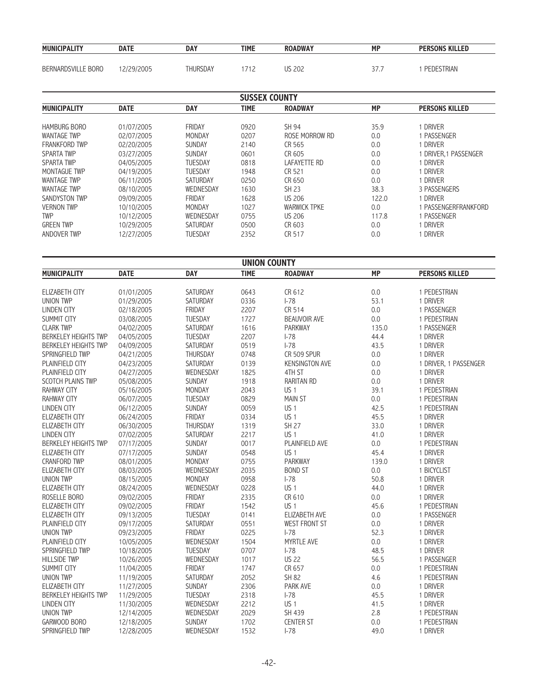| <b>MUNICIPALITY</b> | <b>DATE</b> | DAY      | TIME | <b>ROADWAY</b> | <b>MP</b> | <b>PERSONS KILLED</b> |
|---------------------|-------------|----------|------|----------------|-----------|-----------------------|
|                     |             |          |      |                |           |                       |
| BERNARDSVILLE BORO  | 12/29/2005  | Thursday | 712  | <b>US 202</b>  |           | PEDESTRIAN            |

|                                    |                          |                      | <b>SUSSEX COUNTY</b> |                                             |                |                                   |
|------------------------------------|--------------------------|----------------------|----------------------|---------------------------------------------|----------------|-----------------------------------|
| <b>MUNICIPALITY</b>                | <b>DATE</b>              | <b>DAY</b>           | <b>TIME</b>          | <b>ROADWAY</b>                              | <b>MP</b>      | <b>PERSONS KILLED</b>             |
| <b>HAMBURG BORO</b>                | 01/07/2005               | FRIDAY               | 0920                 | SH 94                                       | 35.9           | 1 DRIVER                          |
| <b>WANTAGE TWP</b>                 | 02/07/2005               | MONDAY               | 0207                 | ROSE MORROW RD                              | 0.0            | 1 PASSENGER                       |
| FRANKFORD TWP                      | 02/20/2005               | SUNDAY               | 2140                 | CR 565                                      | 0.0            | 1 DRIVER                          |
| <b>SPARTA TWP</b>                  | 03/27/2005               | <b>SUNDAY</b>        | 0601                 | CR 605                                      | 0.0            | 1 DRIVER, 1 PASSENGER             |
| SPARTA TWP                         | 04/05/2005               | TUESDAY              | 0818                 | <b>LAFAYETTE RD</b>                         | 0.0            | 1 DRIVER                          |
| MONTAGUE TWP                       | 04/19/2005               | TUESDAY              | 1948                 | CR 521                                      | 0.0            | 1 DRIVER                          |
| <b>WANTAGE TWP</b>                 | 06/11/2005               | SATURDAY             | 0250                 | CR 650                                      | 0.0            | 1 DRIVER                          |
| <b>WANTAGE TWP</b>                 | 08/10/2005               | WEDNESDAY            | 1630                 | <b>SH 23</b>                                | 38.3           | 3 PASSENGERS                      |
| SANDYSTON TWP                      | 09/09/2005               | <b>FRIDAY</b>        | 1628                 | <b>US 206</b>                               | 122.0          | 1 DRIVER                          |
| <b>VERNON TWP</b>                  | 10/10/2005               | MONDAY               | 1027                 | <b>WARWICK TPKE</b>                         | 0.0            | 1 PASSENGERFRANKFORD              |
| <b>TWP</b>                         | 10/12/2005               | WEDNESDAY            | 0755                 | <b>US 206</b>                               | 117.8          | 1 PASSENGER                       |
| <b>GREEN TWP</b>                   | 10/29/2005               | SATURDAY             | 0500                 | CR 603                                      | 0.0            | 1 DRIVER                          |
| ANDOVER TWP                        | 12/27/2005               | <b>TUESDAY</b>       | 2352                 | CR 517                                      | 0.0            | 1 DRIVER                          |
|                                    |                          |                      |                      |                                             |                |                                   |
|                                    |                          |                      | <b>UNION COUNTY</b>  |                                             |                |                                   |
| <b>MUNICIPALITY</b>                | <b>DATE</b>              | <b>DAY</b>           | <b>TIME</b>          | <b>ROADWAY</b>                              | <b>MP</b>      | <b>PERSONS KILLED</b>             |
|                                    |                          |                      |                      |                                             |                |                                   |
| ELIZABETH CITY                     | 01/01/2005               | <b>SATURDAY</b>      | 0643                 | CR 612                                      | 0.0            | 1 PEDESTRIAN                      |
| <b>UNION TWP</b>                   | 01/29/2005               | SATURDAY             | 0336                 | $I-78$                                      | 53.1           | 1 DRIVER                          |
| <b>LINDEN CITY</b>                 | 02/18/2005               | FRIDAY               | 2207                 | CR 514                                      | 0.0            | 1 PASSENGER                       |
| SUMMIT CITY                        | 03/08/2005               | TUESDAY<br>SATURDAY  | 1727                 | <b>BEAUVOIR AVE</b>                         | 0.0            | 1 PEDESTRIAN                      |
| <b>CLARK TWP</b>                   | 04/02/2005               |                      | 1616                 | <b>PARKWAY</b>                              | 135.0          | 1 PASSENGER                       |
| <b>BERKELEY HEIGHTS TWP</b>        | 04/05/2005               | TUESDAY              | 2207                 | $I-78$                                      | 44.4           | 1 DRIVER<br>1 DRIVER              |
| BERKELEY HEIGHTS TWP               | 04/09/2005               | SATURDAY             | 0519                 | $I-78$                                      | 43.5           |                                   |
| SPRINGFIELD TWP<br>PLAINFIELD CITY | 04/21/2005<br>04/23/2005 | THURSDAY<br>SATURDAY | 0748                 | <b>CR 509 SPUR</b><br><b>KENSINGTON AVE</b> | 0.0<br>$0.0\,$ | 1 DRIVER                          |
| PLAINFIELD CITY                    | 04/27/2005               | WEDNESDAY            | 0139<br>1825         | 4TH ST                                      | 0.0            | 1 DRIVER, 1 PASSENGER<br>1 DRIVER |
| SCOTCH PLAINS TWP                  | 05/08/2005               | SUNDAY               | 1918                 | <b>RARITAN RD</b>                           | 0.0            | 1 DRIVER                          |
| <b>RAHWAY CITY</b>                 | 05/16/2005               | MONDAY               | 2043                 | US <sub>1</sub>                             | 39.1           | 1 PEDESTRIAN                      |
| RAHWAY CITY                        | 06/07/2005               | TUESDAY              | 0829                 | <b>MAIN ST</b>                              | 0.0            | 1 PEDESTRIAN                      |
| LINDEN CITY                        | 06/12/2005               | <b>SUNDAY</b>        | 0059                 | US <sub>1</sub>                             | 42.5           | 1 PEDESTRIAN                      |
| ELIZABETH CITY                     | 06/24/2005               | FRIDAY               | 0334                 | US <sub>1</sub>                             | 45.5           | 1 DRIVER                          |
| ELIZABETH CITY                     | 06/30/2005               | THURSDAY             | 1319                 | <b>SH 27</b>                                | 33.0           | 1 DRIVER                          |
| <b>LINDEN CITY</b>                 | 07/02/2005               | SATURDAY             | 2217                 | US <sub>1</sub>                             | 41.0           | 1 DRIVER                          |
| <b>BERKELEY HEIGHTS TWP</b>        | 07/17/2005               | SUNDAY               | 0017                 | <b>PLAINFIELD AVE</b>                       | 0.0            | 1 PEDESTRIAN                      |
| <b>ELIZABETH CITY</b>              | 07/17/2005               | SUNDAY               | 0548                 | US <sub>1</sub>                             | 45.4           | 1 DRIVER                          |
| <b>CRANFORD TWP</b>                | 08/01/2005               | MONDAY               | 0755                 | <b>PARKWAY</b>                              | 139.0          | 1 DRIVER                          |
| <b>ELIZABETH CITY</b>              | 08/03/2005               | WEDNESDAY            | 2035                 | <b>BOND ST</b>                              | 0.0            | 1 BICYCLIST                       |
| <b>UNION TWP</b>                   | 08/15/2005               | MONDAY               | 0958                 | $I-78$                                      | 50.8           | 1 DRIVER                          |
| ELIZABETH CITY                     | 08/24/2005               | WEDNESDAY            | 0228                 | US <sub>1</sub>                             | 44.0           | 1 DRIVER                          |
| ROSELLE BORO                       | 09/02/2005               | FRIDAY               | 2335                 | CR 610                                      | $0.0\,$        | 1 DRIVER                          |
| ELIZABETH CITY                     | 09/02/2005               | FRIDAY               | 1542                 | US <sub>1</sub>                             | 45.6           | 1 PEDESTRIAN                      |
| ELIZABETH CITY                     | 09/13/2005               | TUESDAY              | 0141                 | <b>ELIZABETH AVE</b>                        | 0.0            | 1 PASSENGER                       |
| PLAINFIELD CITY                    | 09/17/2005               | SATURDAY             | 0551                 | <b>WEST FRONT ST</b>                        | 0.0            | 1 DRIVER                          |
| UNION TWP                          | 09/23/2005               | FRIDAY               | 0225                 | $I-78$                                      | 52.3           | 1 DRIVER                          |
| PLAINFIELD CITY                    | 10/05/2005               | WEDNESDAY            | 1504                 | MYRTLE AVE                                  | 0.0            | 1 DRIVER                          |
| SPRINGFIELD TWP                    | 10/18/2005               | TUESDAY              | 0707                 | $I-78$                                      | 48.5           | 1 DRIVER                          |
| <b>HILLSIDE TWP</b>                | 10/26/2005               | WEDNESDAY            | 1017                 | <b>US 22</b>                                | 56.5           | 1 PASSENGER                       |
| SUMMIT CITY                        | 11/04/2005               | FRIDAY               | 1747                 | CR 657                                      | 0.0            | 1 PEDESTRIAN                      |
| UNION TWP                          | 11/19/2005               | SATURDAY             | 2052                 | <b>SH 82</b>                                | 4.6            | 1 PEDESTRIAN                      |
| ELIZABETH CITY                     | 11/27/2005               | SUNDAY               | 2306                 | PARK AVE                                    | 0.0            | 1 DRIVER                          |
| <b>BERKELEY HEIGHTS TWP</b>        | 11/29/2005               | TUESDAY              | 2318                 | $I-78$                                      | 45.5           | 1 DRIVER                          |
| LINDEN CITY                        | 11/30/2005               | WEDNESDAY            | 2212                 | US <sub>1</sub>                             | 41.5           | 1 DRIVER                          |
| UNION TWP                          | 12/14/2005               | WEDNESDAY            | 2029                 | SH 439                                      | 2.8            | 1 PEDESTRIAN                      |
| GARWOOD BORO                       | 12/18/2005               | SUNDAY               | 1702                 | <b>CENTER ST</b>                            | 0.0            | 1 PEDESTRIAN                      |
| SPRINGFIELD TWP                    | 12/28/2005               | WEDNESDAY            | 1532                 | $I-78$                                      | 49.0           | 1 DRIVER                          |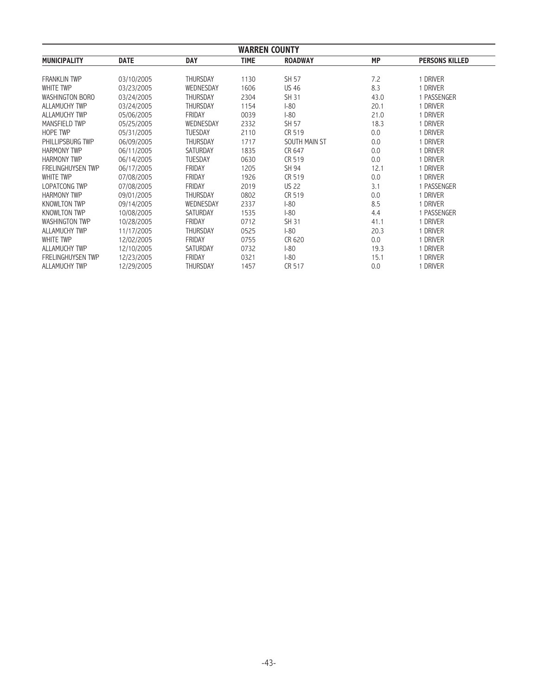| <b>WARREN COUNTY</b>     |             |                 |             |                |           |                       |
|--------------------------|-------------|-----------------|-------------|----------------|-----------|-----------------------|
| <b>MUNICIPALITY</b>      | <b>DATE</b> | <b>DAY</b>      | <b>TIME</b> | <b>ROADWAY</b> | <b>MP</b> | <b>PERSONS KILLED</b> |
| <b>FRANKLIN TWP</b>      | 03/10/2005  | <b>THURSDAY</b> | 1130        | SH 57          | 7.2       | 1 DRIVER              |
| <b>WHITE TWP</b>         | 03/23/2005  | WEDNESDAY       | 1606        | <b>US 46</b>   | 8.3       | 1 DRIVER              |
| <b>WASHINGTON BORO</b>   | 03/24/2005  | <b>THURSDAY</b> | 2304        | SH 31          | 43.0      | 1 PASSENGER           |
| <b>ALLAMUCHY TWP</b>     | 03/24/2005  | <b>THURSDAY</b> | 1154        | $ -80$         | 20.1      | 1 DRIVER              |
| ALLAMUCHY TWP            | 05/06/2005  | <b>FRIDAY</b>   | 0039        | $ -80$         | 21.0      | 1 DRIVER              |
| MANSFIELD TWP            | 05/25/2005  | WEDNESDAY       | 2332        | SH 57          | 18.3      | 1 DRIVER              |
| <b>HOPE TWP</b>          | 05/31/2005  | <b>TUESDAY</b>  | 2110        | CR 519         | 0.0       | 1 DRIVER              |
| PHILLIPSBURG TWP         | 06/09/2005  | <b>THURSDAY</b> | 1717        | SOUTH MAIN ST  | 0.0       | 1 DRIVER              |
| <b>HARMONY TWP</b>       | 06/11/2005  | <b>SATURDAY</b> | 1835        | CR 647         | 0.0       | 1 DRIVER              |
| <b>HARMONY TWP</b>       | 06/14/2005  | <b>TUESDAY</b>  | 0630        | CR 519         | 0.0       | 1 DRIVER              |
| <b>FRELINGHUYSEN TWP</b> | 06/17/2005  | <b>FRIDAY</b>   | 1205        | SH 94          | 12.1      | 1 DRIVER              |
| <b>WHITE TWP</b>         | 07/08/2005  | FRIDAY          | 1926        | CR 519         | 0.0       | 1 DRIVER              |
| <b>LOPATCONG TWP</b>     |             | FRIDAY          | 2019        | <b>US 22</b>   | 3.1       | 1 PASSENGER           |
| <b>HARMONY TWP</b>       | 07/08/2005  |                 |             |                |           |                       |
|                          | 09/01/2005  | <b>THURSDAY</b> | 0802        | CR 519         | 0.0       | 1 DRIVER              |
| <b>KNOWLTON TWP</b>      | 09/14/2005  | WEDNESDAY       | 2337        | $ -80$         | 8.5       | 1 DRIVER              |
| <b>KNOWLTON TWP</b>      | 10/08/2005  | <b>SATURDAY</b> | 1535        | $ -80$         | 4.4       | 1 PASSENGER           |
| <b>WASHINGTON TWP</b>    | 10/28/2005  | <b>FRIDAY</b>   | 0712        | SH 31          | 41.1      | 1 DRIVER              |
| <b>ALLAMUCHY TWP</b>     | 11/17/2005  | <b>THURSDAY</b> | 0525        | $1-80$         | 20.3      | 1 DRIVER              |
| WHITE TWP                | 12/02/2005  | FRIDAY          | 0755        | CR 620         | 0.0       | 1 DRIVER              |
| ALLAMUCHY TWP            | 12/10/2005  | SATURDAY        | 0732        | $-80$          | 19.3      | 1 DRIVER              |
| <b>FRELINGHUYSEN TWP</b> | 12/23/2005  | <b>FRIDAY</b>   | 0321        | $ -80$         | 15.1      | 1 DRIVER              |
| <b>ALLAMUCHY TWP</b>     | 12/29/2005  | <b>THURSDAY</b> | 1457        | CR 517         | 0.0       | 1 DRIVER              |